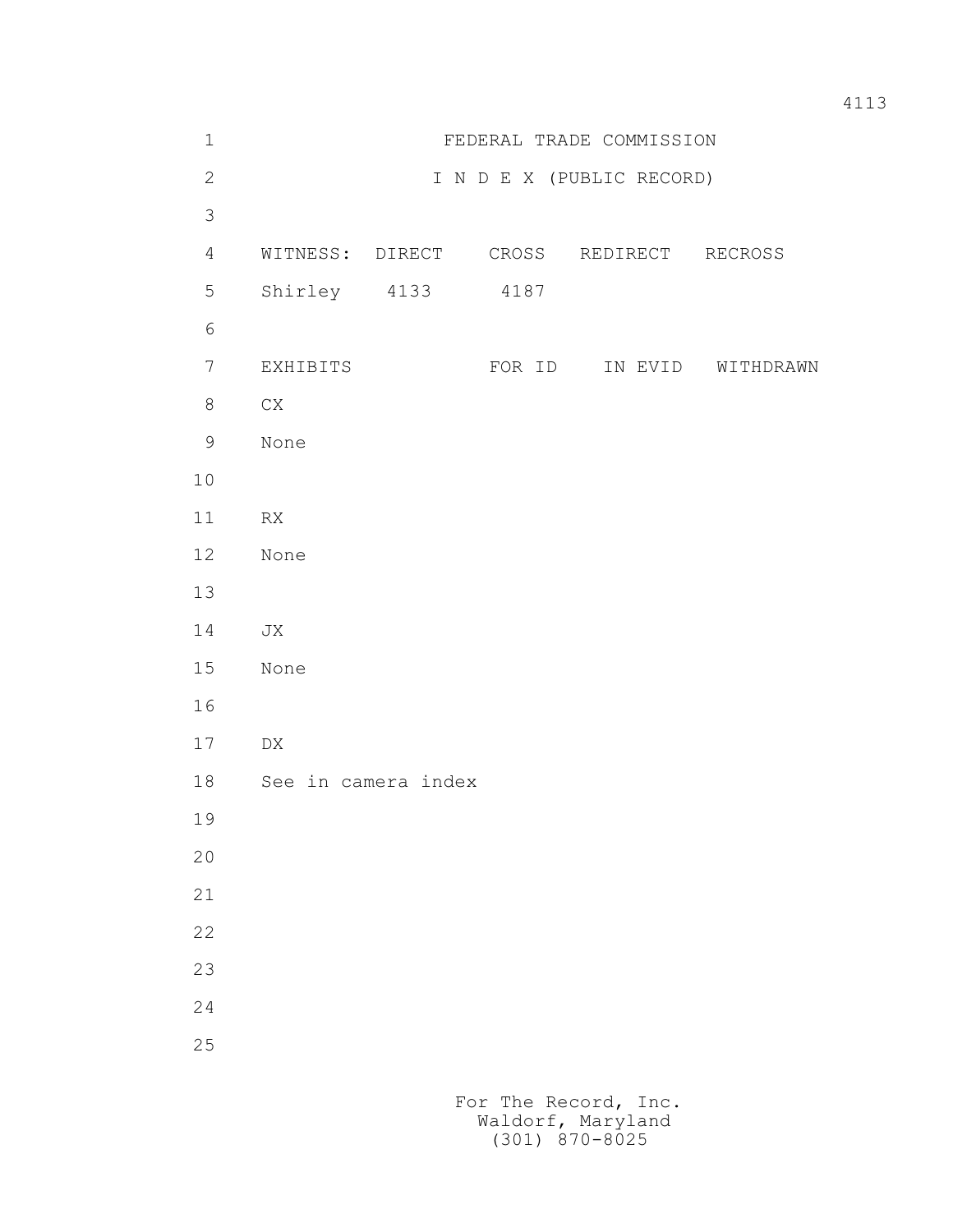| $1\,$           | FEDERAL TRADE COMMISSION  |  |        |                                        |                   |
|-----------------|---------------------------|--|--------|----------------------------------------|-------------------|
| $\mathbf{2}$    | I N D E X (PUBLIC RECORD) |  |        |                                        |                   |
| $\mathcal{S}$   |                           |  |        |                                        |                   |
| $\overline{4}$  |                           |  |        | WITNESS: DIRECT CROSS REDIRECT RECROSS |                   |
| $\mathsf S$     | Shirley 4133              |  | 4187   |                                        |                   |
| $\epsilon$      |                           |  |        |                                        |                   |
| $7\phantom{.0}$ | EXHIBITS                  |  | FOR ID |                                        | IN EVID WITHDRAWN |
| $8\,$           | ${\rm CX}$                |  |        |                                        |                   |
| $\mathsf 9$     | None                      |  |        |                                        |                   |
| $10$            |                           |  |        |                                        |                   |
| 11              | RX                        |  |        |                                        |                   |
| 12              | None                      |  |        |                                        |                   |
| 13              |                           |  |        |                                        |                   |
| 14              | JX                        |  |        |                                        |                   |
| 15              | None                      |  |        |                                        |                   |
| 16              |                           |  |        |                                        |                   |
| 17              | ${\rm D}{\rm X}$          |  |        |                                        |                   |
| 18              | See in camera index       |  |        |                                        |                   |
| 19              |                           |  |        |                                        |                   |
| $20$            |                           |  |        |                                        |                   |
| 21              |                           |  |        |                                        |                   |
| 22              |                           |  |        |                                        |                   |
| 23              |                           |  |        |                                        |                   |
| 24              |                           |  |        |                                        |                   |
| 25              |                           |  |        |                                        |                   |
|                 |                           |  |        |                                        |                   |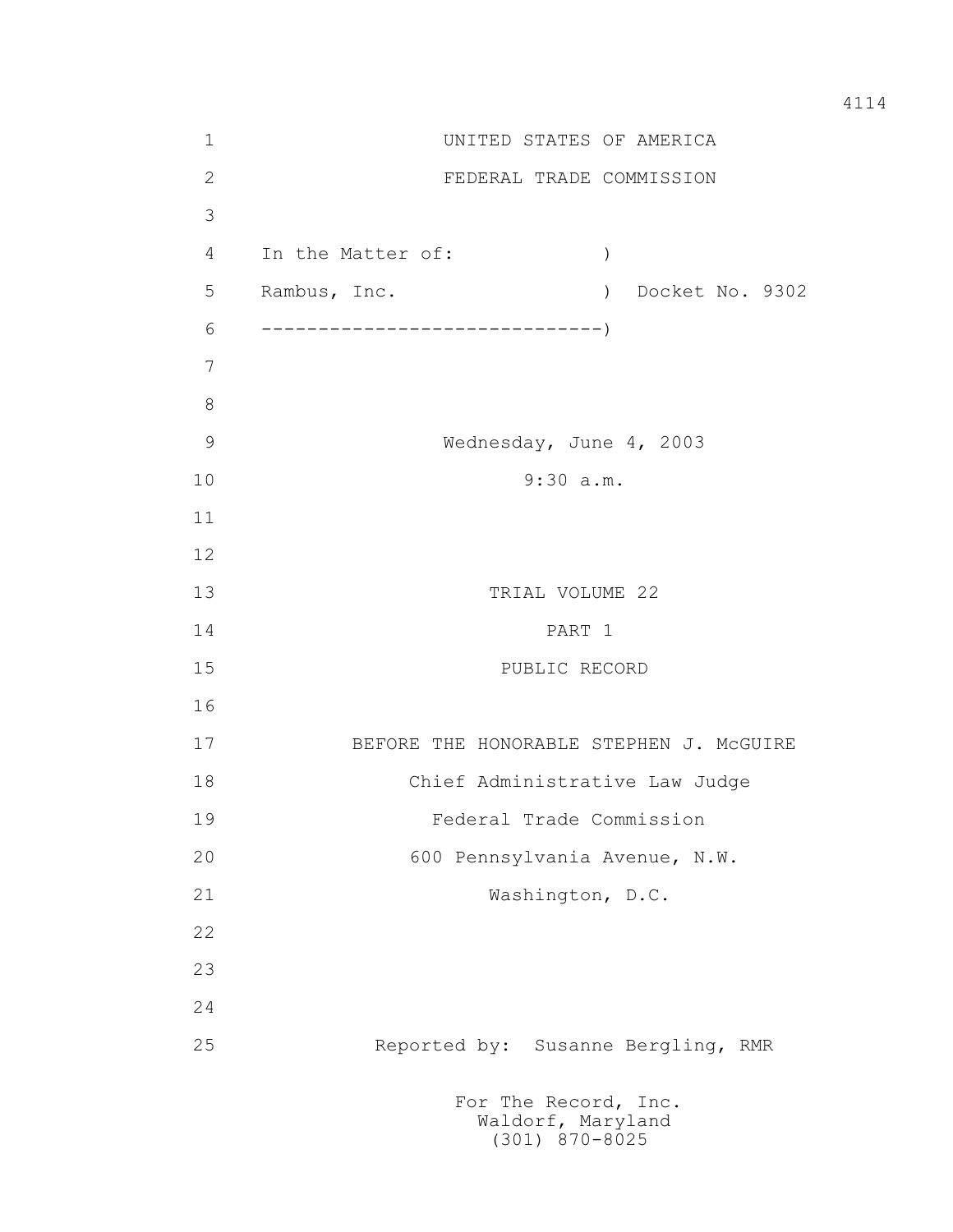1 UNITED STATES OF AMERICA 2 FEDERAL TRADE COMMISSION 3 4 In the Matter of: ) 5 Rambus, Inc. ) Docket No. 9302 6 ------------------------------) 7 8 9 Wednesday, June 4, 2003 10 9:30 a.m. 11 12 13 TRIAL VOLUME 22 14 PART 1 15 PUBLIC RECORD 16 17 BEFORE THE HONORABLE STEPHEN J. McGUIRE 18 Chief Administrative Law Judge 19 Federal Trade Commission 20 600 Pennsylvania Avenue, N.W. 21 Washington, D.C. 22 23 24 25 Reported by: Susanne Bergling, RMR For The Record, Inc. Waldorf, Maryland

## (301) 870-8025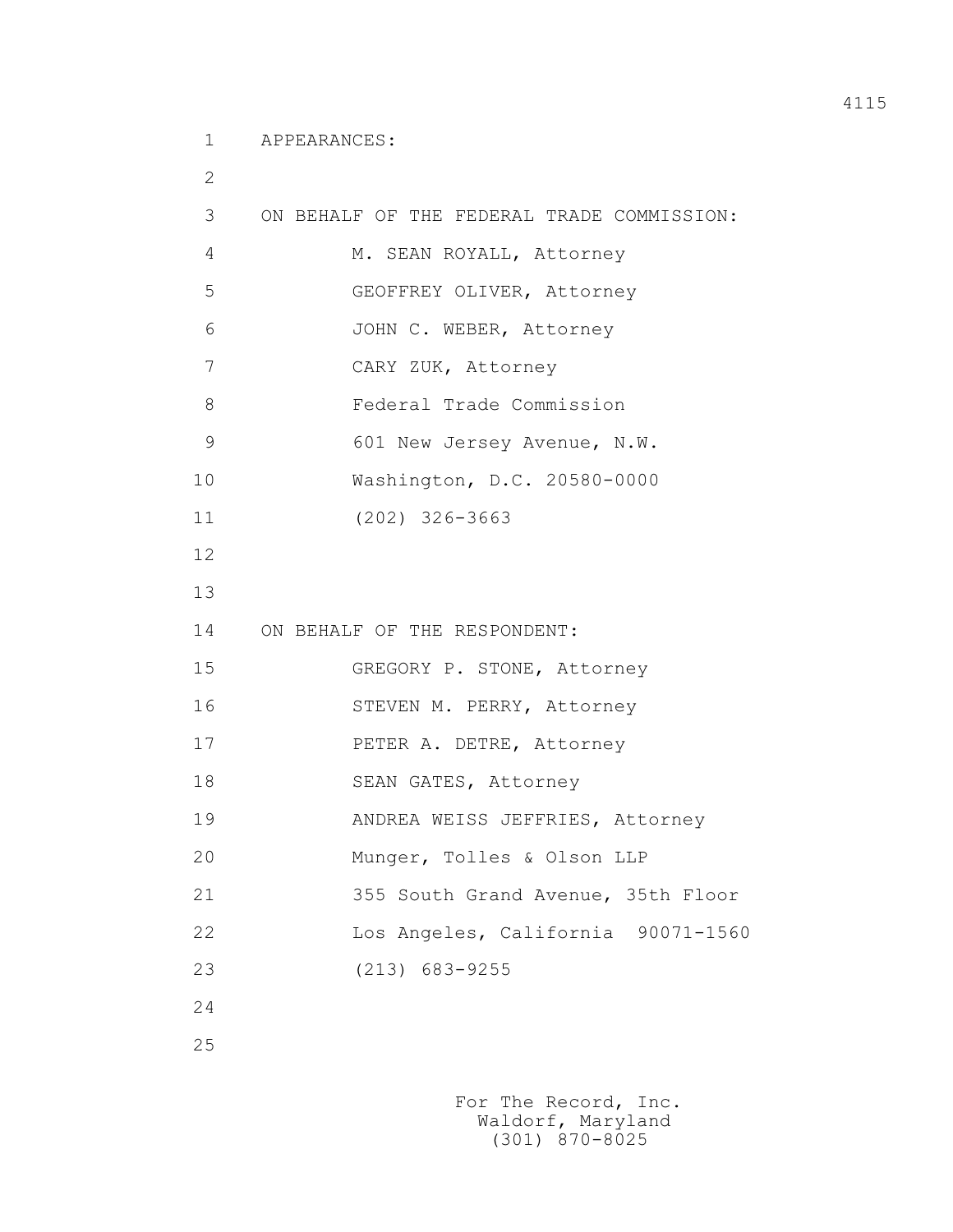1 APPEARANCES:

 2 3 ON BEHALF OF THE FEDERAL TRADE COMMISSION: 4 M. SEAN ROYALL, Attorney 5 GEOFFREY OLIVER, Attorney 6 JOHN C. WEBER, Attorney 7 CARY ZUK, Attorney 8 Federal Trade Commission 9 601 New Jersey Avenue, N.W. 10 Washington, D.C. 20580-0000 11 (202) 326-3663 12 13 14 ON BEHALF OF THE RESPONDENT: 15 GREGORY P. STONE, Attorney 16 STEVEN M. PERRY, Attorney 17 PETER A. DETRE, Attorney 18 SEAN GATES, Attorney 19 ANDREA WEISS JEFFRIES, Attorney 20 Munger, Tolles & Olson LLP 21 355 South Grand Avenue, 35th Floor 22 Los Angeles, California 90071-1560 23 (213) 683-9255 24

25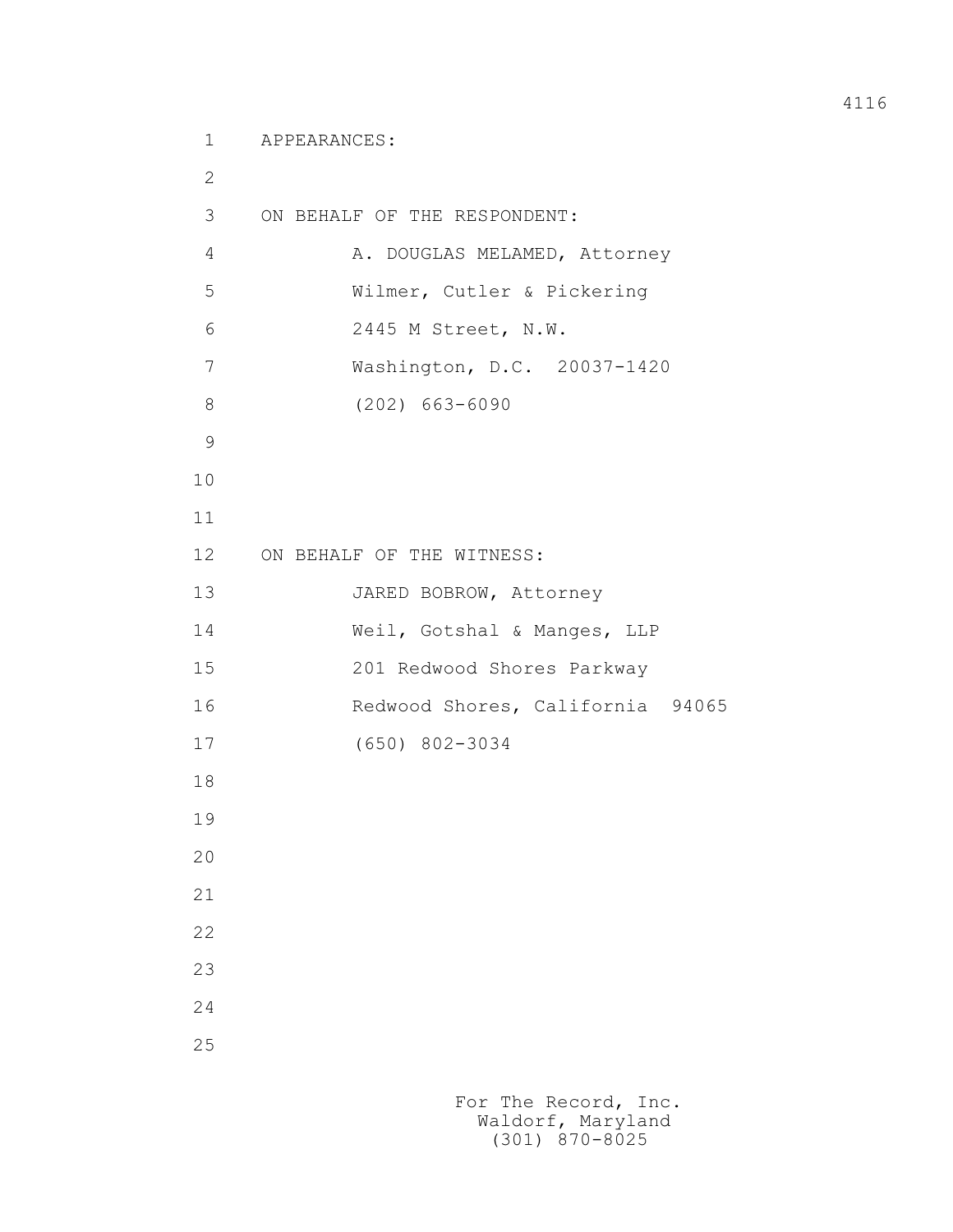1 APPEARANCES:

 2 3 ON BEHALF OF THE RESPONDENT: 4 A. DOUGLAS MELAMED, Attorney 5 Wilmer, Cutler & Pickering 6 2445 M Street, N.W. 7 Washington, D.C. 20037-1420 8 (202) 663-6090 9 10 11 12 ON BEHALF OF THE WITNESS: 13 JARED BOBROW, Attorney 14 Weil, Gotshal & Manges, LLP 15 201 Redwood Shores Parkway 16 Redwood Shores, California 94065 17 (650) 802-3034 18 19 20 21 22 23 24 25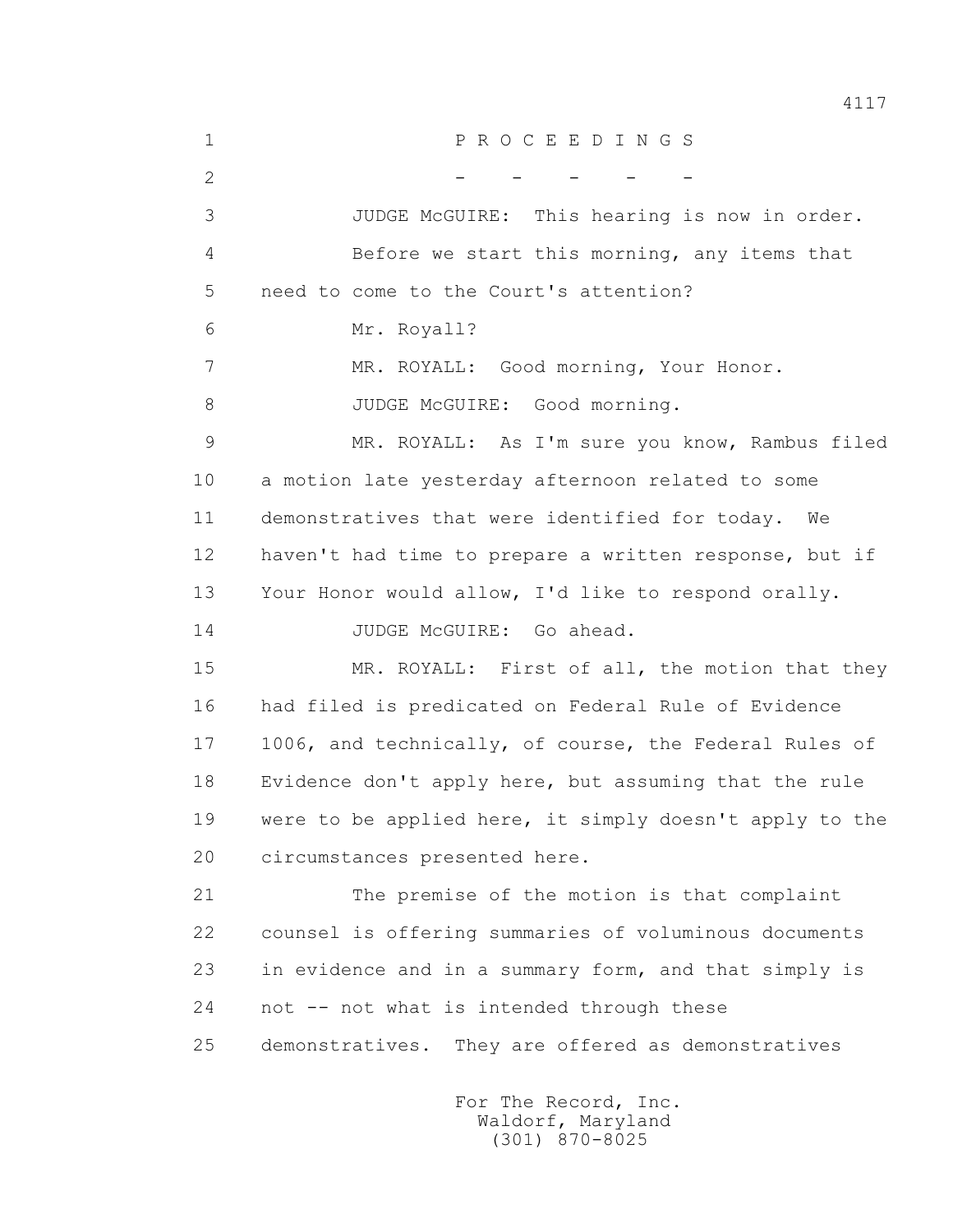1 P R O C E E D I N G S 2 - - - - - 3 JUDGE McGUIRE: This hearing is now in order. 4 Before we start this morning, any items that 5 need to come to the Court's attention? 6 Mr. Royall? 7 MR. ROYALL: Good morning, Your Honor. 8 JUDGE McGUIRE: Good morning. 9 MR. ROYALL: As I'm sure you know, Rambus filed 10 a motion late yesterday afternoon related to some 11 demonstratives that were identified for today. We 12 haven't had time to prepare a written response, but if 13 Your Honor would allow, I'd like to respond orally. 14 JUDGE McGUIRE: Go ahead. 15 MR. ROYALL: First of all, the motion that they 16 had filed is predicated on Federal Rule of Evidence 17 1006, and technically, of course, the Federal Rules of 18 Evidence don't apply here, but assuming that the rule 19 were to be applied here, it simply doesn't apply to the 20 circumstances presented here. 21 The premise of the motion is that complaint 22 counsel is offering summaries of voluminous documents 23 in evidence and in a summary form, and that simply is 24 not -- not what is intended through these 25 demonstratives. They are offered as demonstratives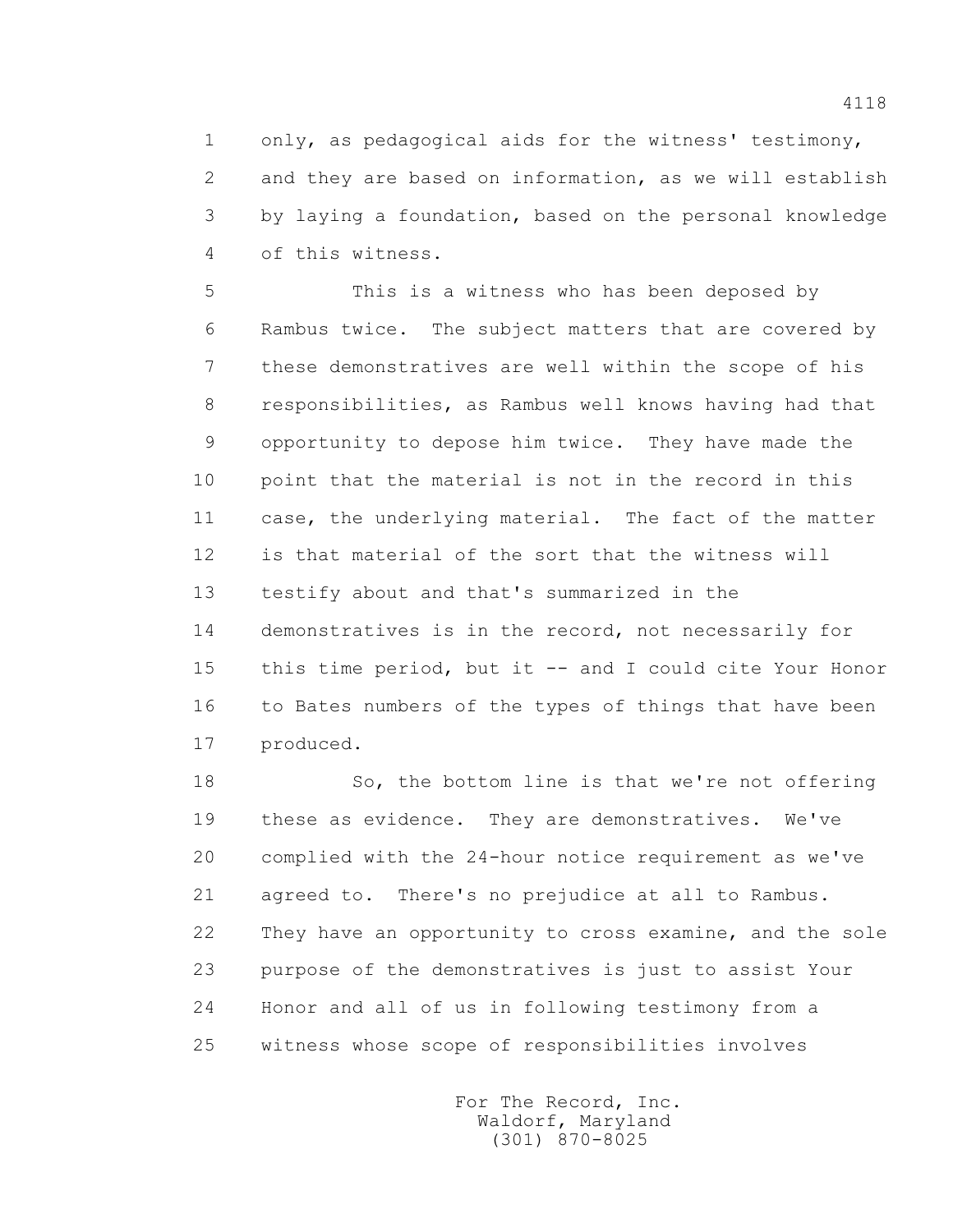1 only, as pedagogical aids for the witness' testimony, 2 and they are based on information, as we will establish 3 by laying a foundation, based on the personal knowledge 4 of this witness.

 5 This is a witness who has been deposed by 6 Rambus twice. The subject matters that are covered by 7 these demonstratives are well within the scope of his 8 responsibilities, as Rambus well knows having had that 9 opportunity to depose him twice. They have made the 10 point that the material is not in the record in this 11 case, the underlying material. The fact of the matter 12 is that material of the sort that the witness will 13 testify about and that's summarized in the 14 demonstratives is in the record, not necessarily for 15 this time period, but it -- and I could cite Your Honor 16 to Bates numbers of the types of things that have been 17 produced.

 18 So, the bottom line is that we're not offering 19 these as evidence. They are demonstratives. We've 20 complied with the 24-hour notice requirement as we've 21 agreed to. There's no prejudice at all to Rambus. 22 They have an opportunity to cross examine, and the sole 23 purpose of the demonstratives is just to assist Your 24 Honor and all of us in following testimony from a 25 witness whose scope of responsibilities involves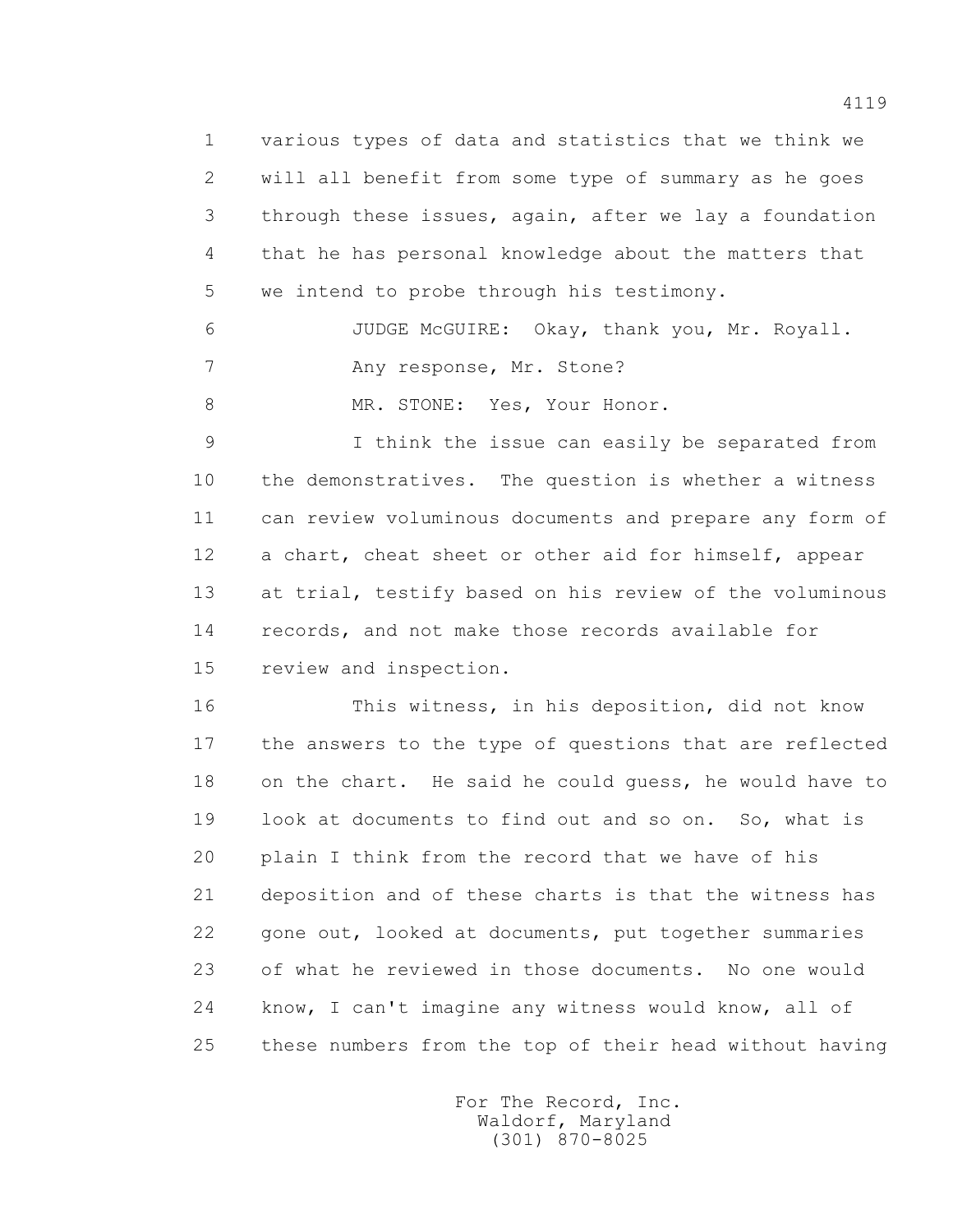1 various types of data and statistics that we think we 2 will all benefit from some type of summary as he goes 3 through these issues, again, after we lay a foundation 4 that he has personal knowledge about the matters that 5 we intend to probe through his testimony.

 6 JUDGE McGUIRE: Okay, thank you, Mr. Royall. 7 Any response, Mr. Stone?

8 MR. STONE: Yes, Your Honor.

 9 I think the issue can easily be separated from 10 the demonstratives. The question is whether a witness 11 can review voluminous documents and prepare any form of 12 a chart, cheat sheet or other aid for himself, appear 13 at trial, testify based on his review of the voluminous 14 records, and not make those records available for 15 review and inspection.

 16 This witness, in his deposition, did not know 17 the answers to the type of questions that are reflected 18 on the chart. He said he could guess, he would have to 19 look at documents to find out and so on. So, what is 20 plain I think from the record that we have of his 21 deposition and of these charts is that the witness has 22 gone out, looked at documents, put together summaries 23 of what he reviewed in those documents. No one would 24 know, I can't imagine any witness would know, all of 25 these numbers from the top of their head without having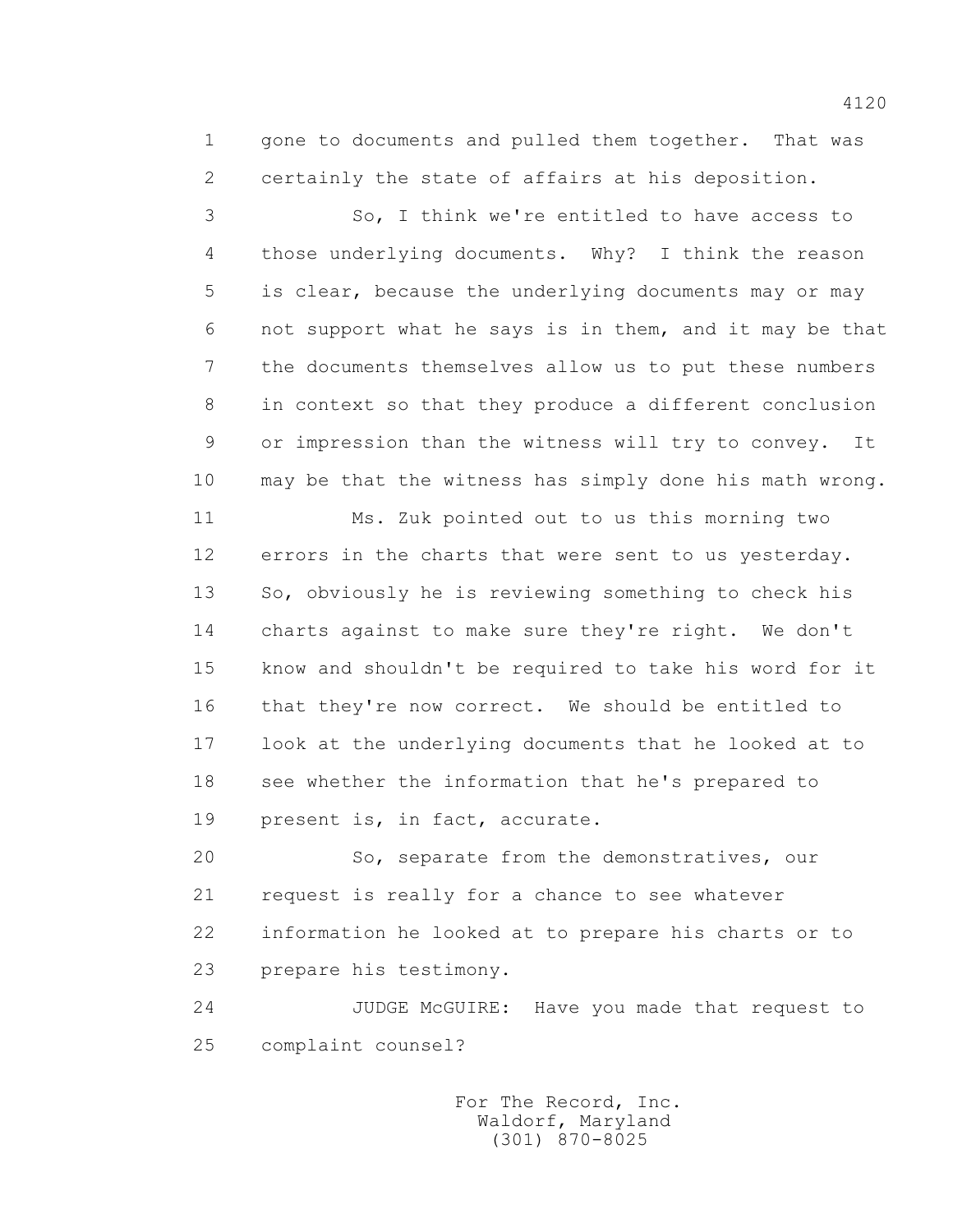1 gone to documents and pulled them together. That was 2 certainly the state of affairs at his deposition.

 3 So, I think we're entitled to have access to 4 those underlying documents. Why? I think the reason 5 is clear, because the underlying documents may or may 6 not support what he says is in them, and it may be that 7 the documents themselves allow us to put these numbers 8 in context so that they produce a different conclusion 9 or impression than the witness will try to convey. It 10 may be that the witness has simply done his math wrong.

 11 Ms. Zuk pointed out to us this morning two 12 errors in the charts that were sent to us yesterday. 13 So, obviously he is reviewing something to check his 14 charts against to make sure they're right. We don't 15 know and shouldn't be required to take his word for it 16 that they're now correct. We should be entitled to 17 look at the underlying documents that he looked at to 18 see whether the information that he's prepared to 19 present is, in fact, accurate.

 20 So, separate from the demonstratives, our 21 request is really for a chance to see whatever 22 information he looked at to prepare his charts or to 23 prepare his testimony.

 24 JUDGE McGUIRE: Have you made that request to 25 complaint counsel?

> For The Record, Inc. Waldorf, Maryland (301) 870-8025

4120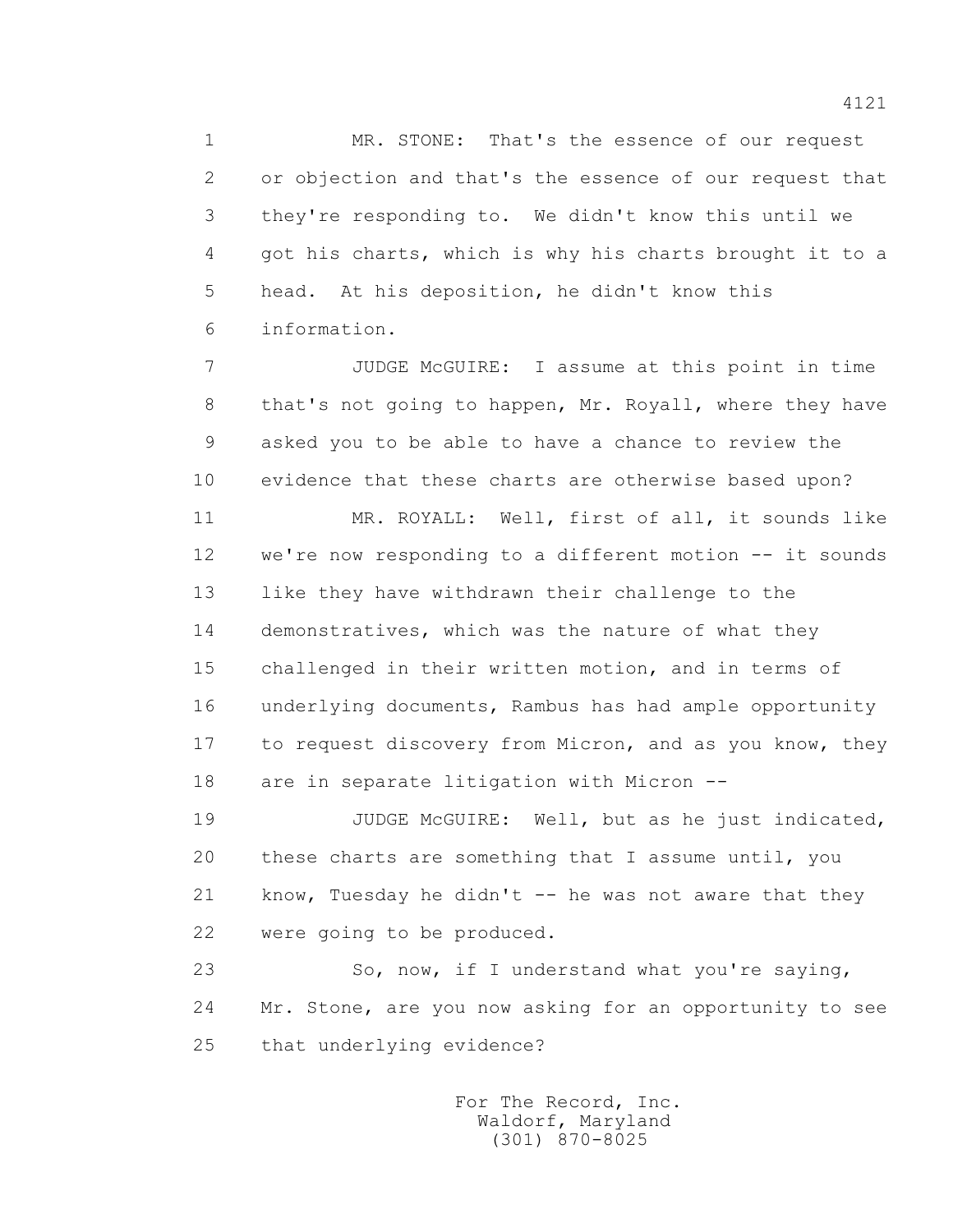1 MR. STONE: That's the essence of our request 2 or objection and that's the essence of our request that 3 they're responding to. We didn't know this until we 4 got his charts, which is why his charts brought it to a 5 head. At his deposition, he didn't know this 6 information.

 7 JUDGE McGUIRE: I assume at this point in time 8 that's not going to happen, Mr. Royall, where they have 9 asked you to be able to have a chance to review the 10 evidence that these charts are otherwise based upon?

 11 MR. ROYALL: Well, first of all, it sounds like 12 we're now responding to a different motion -- it sounds 13 like they have withdrawn their challenge to the 14 demonstratives, which was the nature of what they 15 challenged in their written motion, and in terms of 16 underlying documents, Rambus has had ample opportunity 17 to request discovery from Micron, and as you know, they 18 are in separate litigation with Micron --

19 JUDGE McGUIRE: Well, but as he just indicated, 20 these charts are something that I assume until, you 21 know, Tuesday he didn't -- he was not aware that they 22 were going to be produced.

 23 So, now, if I understand what you're saying, 24 Mr. Stone, are you now asking for an opportunity to see 25 that underlying evidence?

> For The Record, Inc. Waldorf, Maryland (301) 870-8025

4121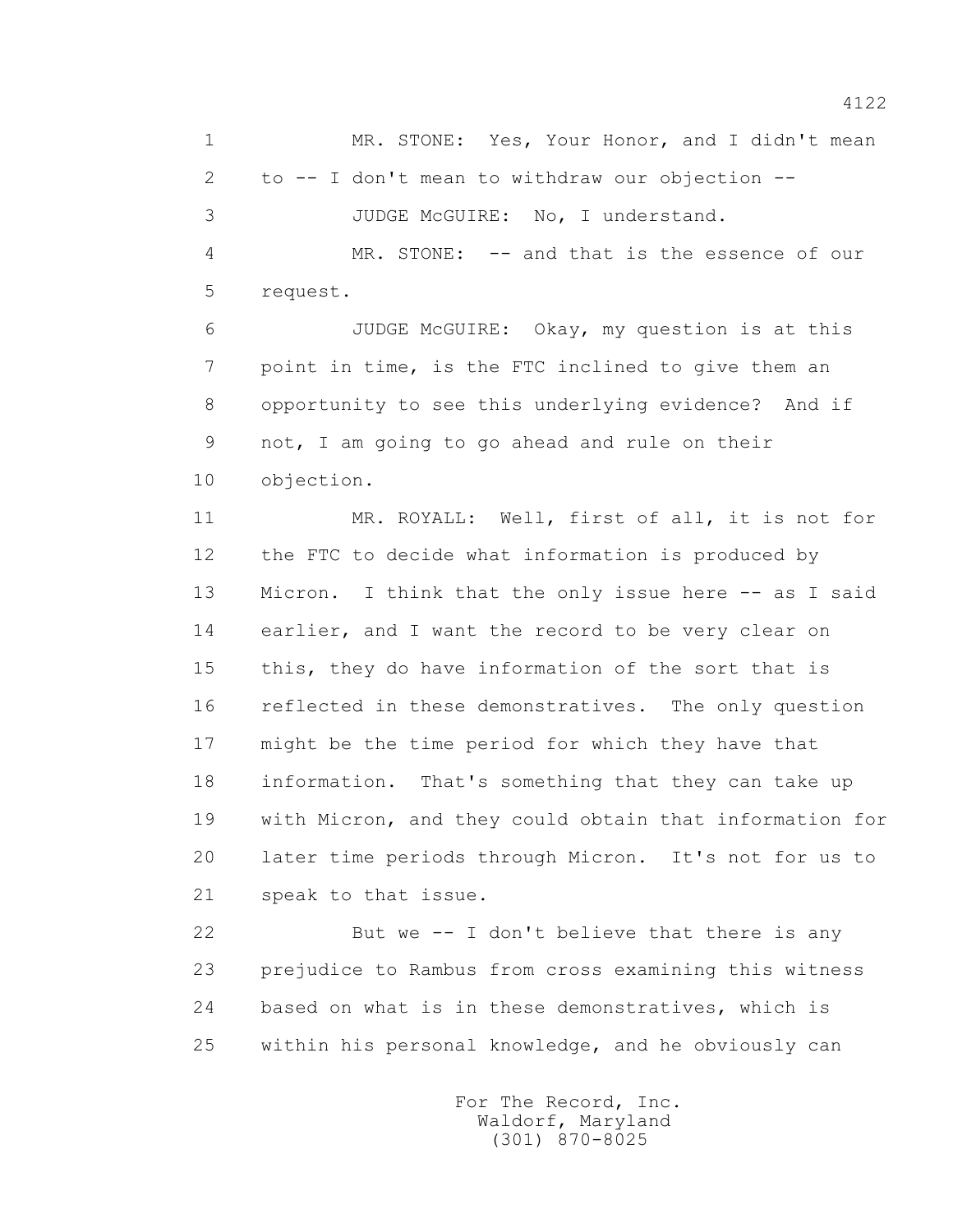1 MR. STONE: Yes, Your Honor, and I didn't mean 2 to -- I don't mean to withdraw our objection -- 3 JUDGE McGUIRE: No, I understand. 4 MR. STONE: -- and that is the essence of our

5 request.

 6 JUDGE McGUIRE: Okay, my question is at this 7 point in time, is the FTC inclined to give them an 8 opportunity to see this underlying evidence? And if 9 not, I am going to go ahead and rule on their 10 objection.

 11 MR. ROYALL: Well, first of all, it is not for 12 the FTC to decide what information is produced by 13 Micron. I think that the only issue here -- as I said 14 earlier, and I want the record to be very clear on 15 this, they do have information of the sort that is 16 reflected in these demonstratives. The only question 17 might be the time period for which they have that 18 information. That's something that they can take up 19 with Micron, and they could obtain that information for 20 later time periods through Micron. It's not for us to 21 speak to that issue.

 22 But we -- I don't believe that there is any 23 prejudice to Rambus from cross examining this witness 24 based on what is in these demonstratives, which is 25 within his personal knowledge, and he obviously can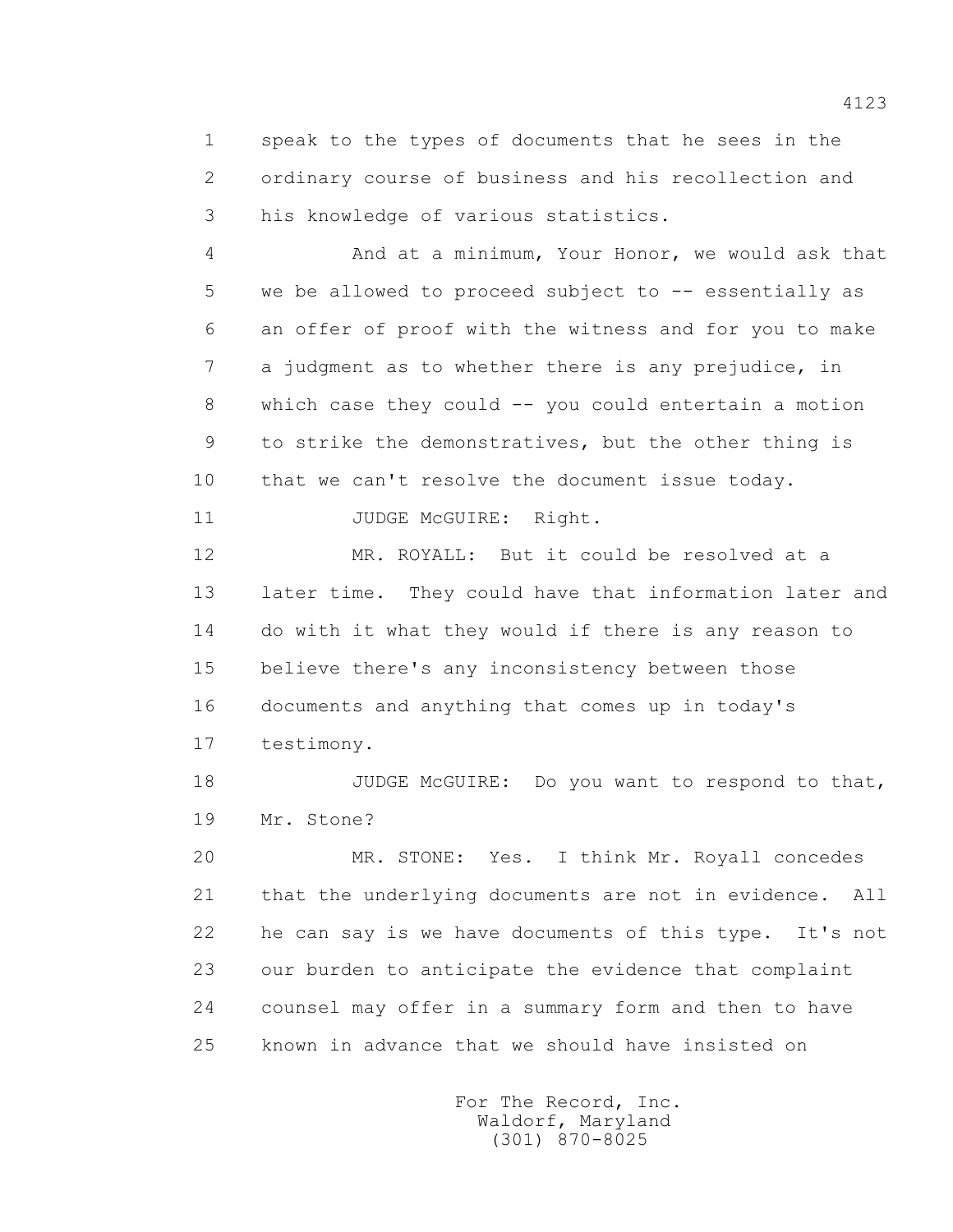1 speak to the types of documents that he sees in the 2 ordinary course of business and his recollection and 3 his knowledge of various statistics.

 4 And at a minimum, Your Honor, we would ask that 5 we be allowed to proceed subject to -- essentially as 6 an offer of proof with the witness and for you to make 7 a judgment as to whether there is any prejudice, in 8 which case they could -- you could entertain a motion 9 to strike the demonstratives, but the other thing is 10 that we can't resolve the document issue today.

11 JUDGE McGUIRE: Right.

 12 MR. ROYALL: But it could be resolved at a 13 later time. They could have that information later and 14 do with it what they would if there is any reason to 15 believe there's any inconsistency between those 16 documents and anything that comes up in today's 17 testimony.

18 JUDGE McGUIRE: Do you want to respond to that, 19 Mr. Stone?

 20 MR. STONE: Yes. I think Mr. Royall concedes 21 that the underlying documents are not in evidence. All 22 he can say is we have documents of this type. It's not 23 our burden to anticipate the evidence that complaint 24 counsel may offer in a summary form and then to have 25 known in advance that we should have insisted on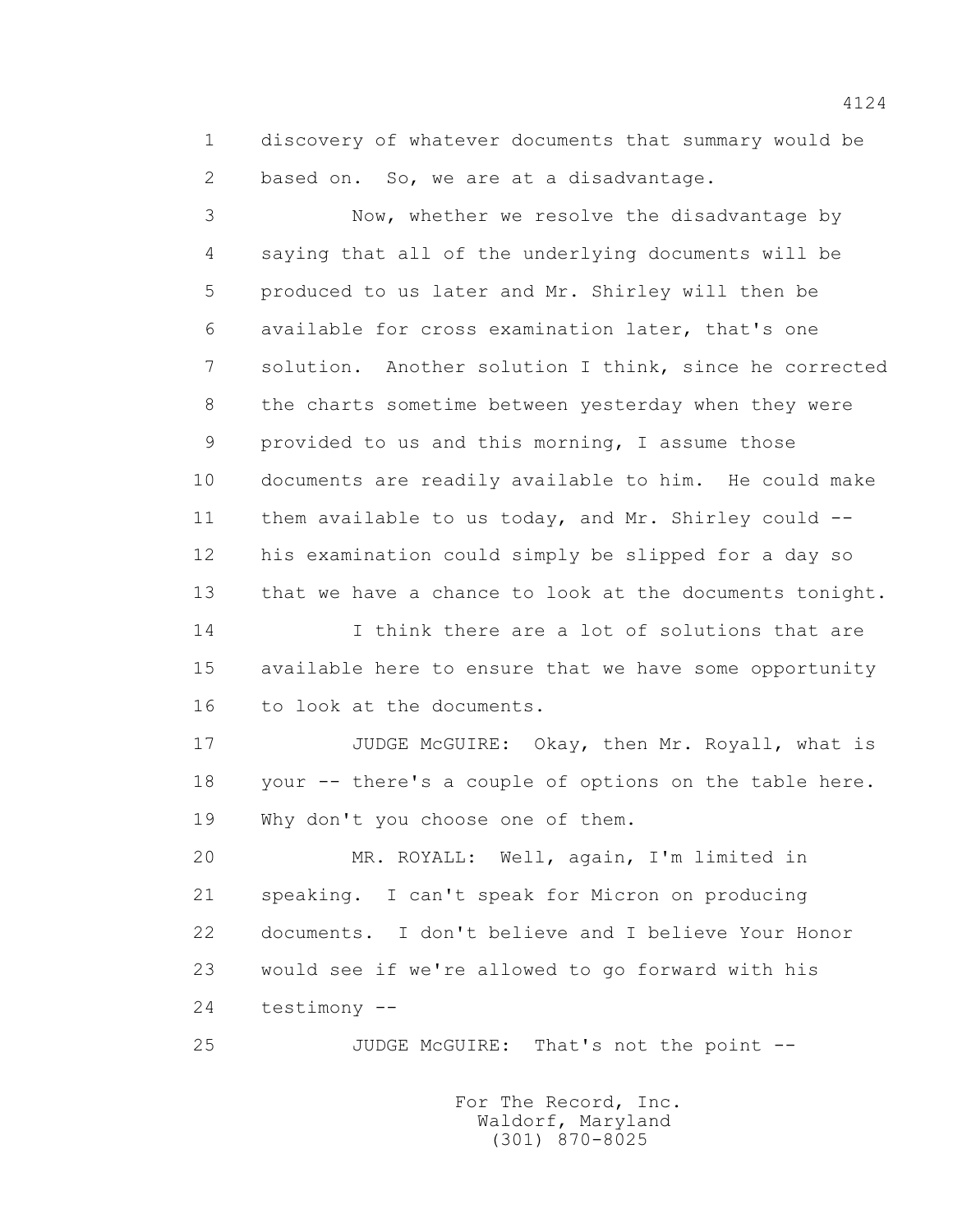1 discovery of whatever documents that summary would be 2 based on. So, we are at a disadvantage.

 3 Now, whether we resolve the disadvantage by 4 saying that all of the underlying documents will be 5 produced to us later and Mr. Shirley will then be 6 available for cross examination later, that's one 7 solution. Another solution I think, since he corrected 8 the charts sometime between yesterday when they were 9 provided to us and this morning, I assume those 10 documents are readily available to him. He could make 11 them available to us today, and Mr. Shirley could -- 12 his examination could simply be slipped for a day so 13 that we have a chance to look at the documents tonight. 14 I think there are a lot of solutions that are

 15 available here to ensure that we have some opportunity 16 to look at the documents.

 17 JUDGE McGUIRE: Okay, then Mr. Royall, what is 18 your -- there's a couple of options on the table here. 19 Why don't you choose one of them.

 20 MR. ROYALL: Well, again, I'm limited in 21 speaking. I can't speak for Micron on producing 22 documents. I don't believe and I believe Your Honor 23 would see if we're allowed to go forward with his 24 testimony --

25 JUDGE McGUIRE: That's not the point --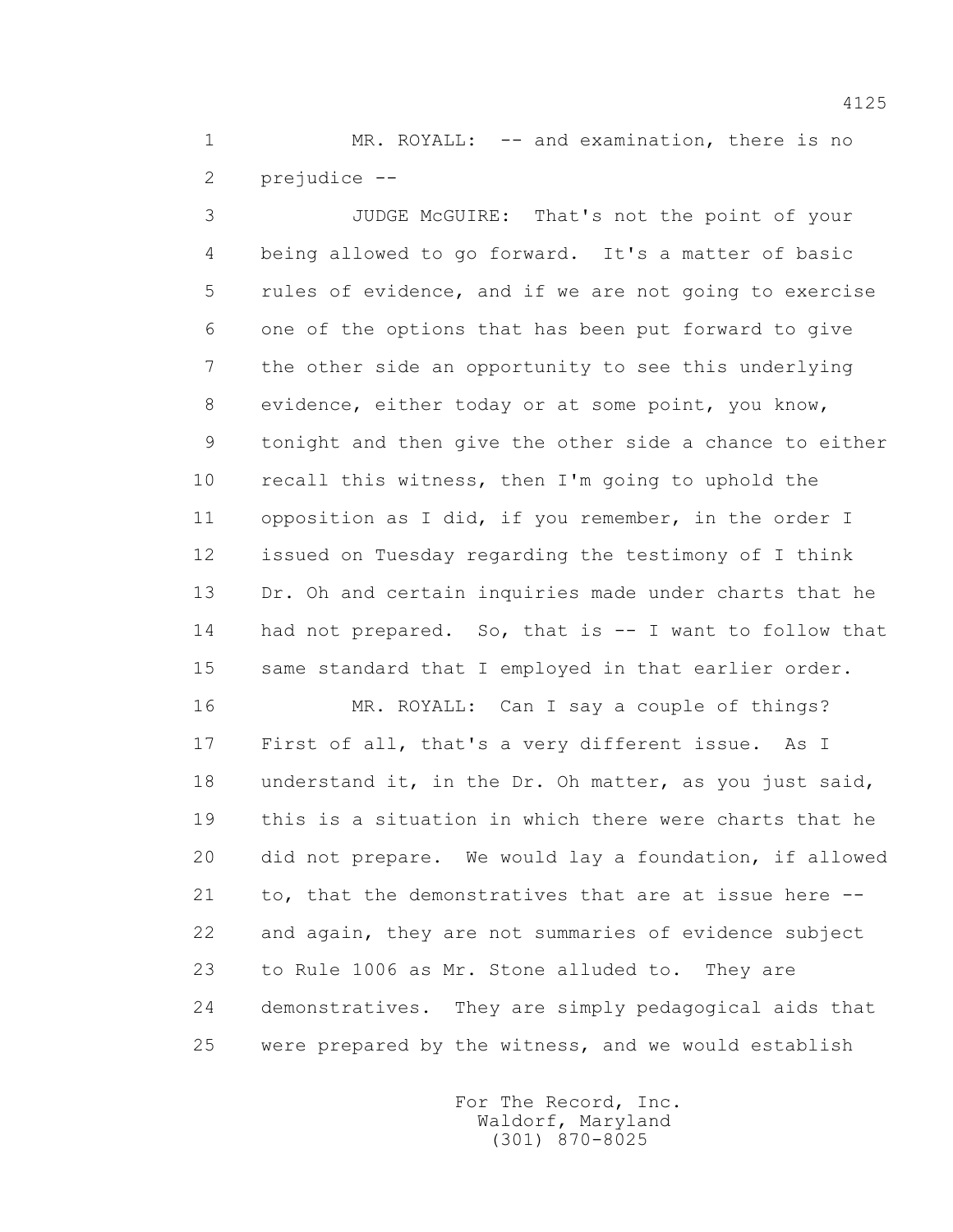1 MR. ROYALL: -- and examination, there is no 2 prejudice --

 3 JUDGE McGUIRE: That's not the point of your 4 being allowed to go forward. It's a matter of basic 5 rules of evidence, and if we are not going to exercise 6 one of the options that has been put forward to give 7 the other side an opportunity to see this underlying 8 evidence, either today or at some point, you know, 9 tonight and then give the other side a chance to either 10 recall this witness, then I'm going to uphold the 11 opposition as I did, if you remember, in the order I 12 issued on Tuesday regarding the testimony of I think 13 Dr. Oh and certain inquiries made under charts that he 14 had not prepared. So, that is -- I want to follow that 15 same standard that I employed in that earlier order.

 16 MR. ROYALL: Can I say a couple of things? 17 First of all, that's a very different issue. As I 18 understand it, in the Dr. Oh matter, as you just said, 19 this is a situation in which there were charts that he 20 did not prepare. We would lay a foundation, if allowed 21 to, that the demonstratives that are at issue here -- 22 and again, they are not summaries of evidence subject 23 to Rule 1006 as Mr. Stone alluded to. They are 24 demonstratives. They are simply pedagogical aids that 25 were prepared by the witness, and we would establish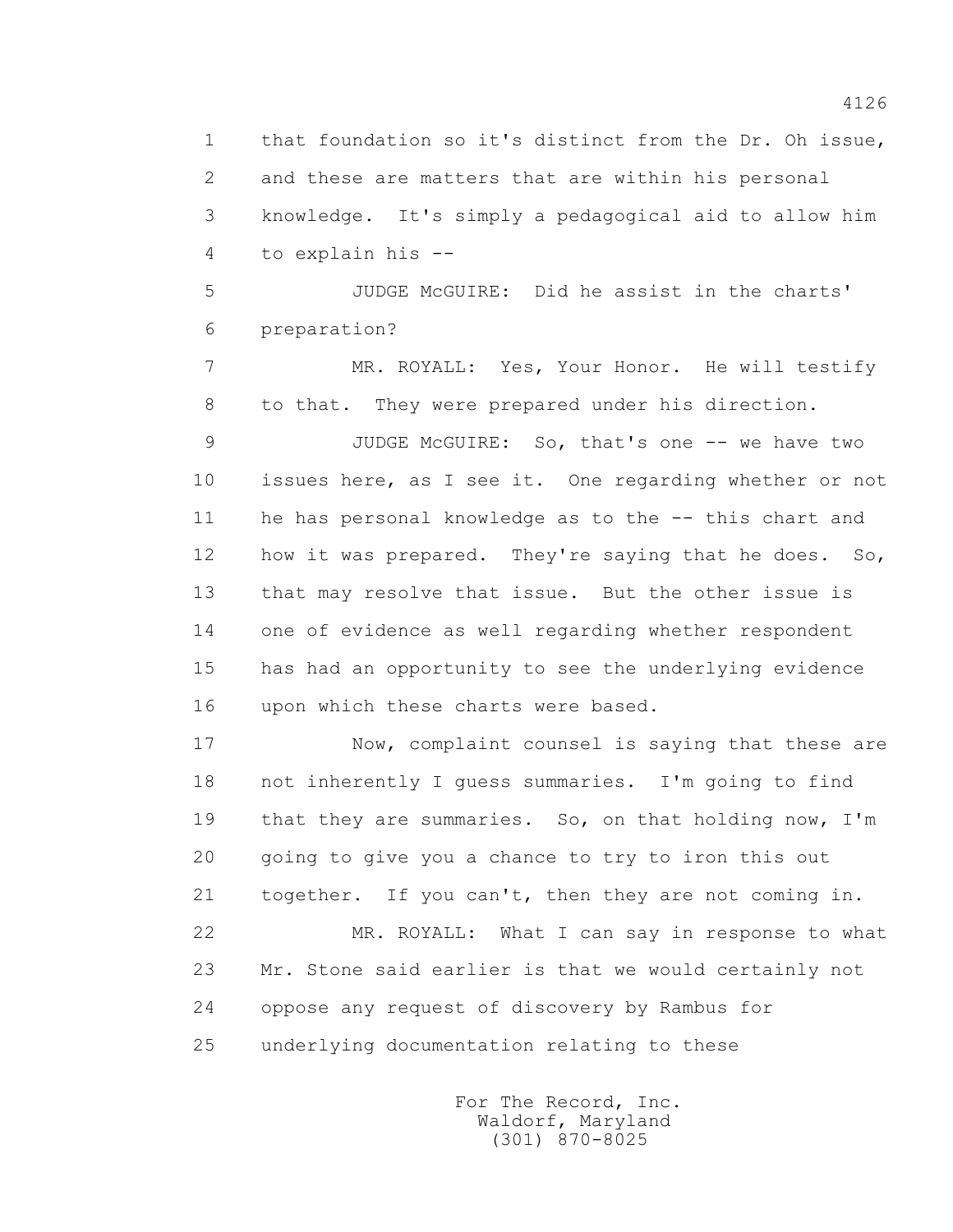1 that foundation so it's distinct from the Dr. Oh issue, 2 and these are matters that are within his personal 3 knowledge. It's simply a pedagogical aid to allow him 4 to explain his --

 5 JUDGE McGUIRE: Did he assist in the charts' 6 preparation?

 7 MR. ROYALL: Yes, Your Honor. He will testify 8 to that. They were prepared under his direction.

 9 JUDGE McGUIRE: So, that's one -- we have two 10 issues here, as I see it. One regarding whether or not 11 he has personal knowledge as to the -- this chart and 12 how it was prepared. They're saying that he does. So, 13 that may resolve that issue. But the other issue is 14 one of evidence as well regarding whether respondent 15 has had an opportunity to see the underlying evidence 16 upon which these charts were based.

 17 Now, complaint counsel is saying that these are 18 not inherently I guess summaries. I'm going to find 19 that they are summaries. So, on that holding now, I'm 20 going to give you a chance to try to iron this out 21 together. If you can't, then they are not coming in. 22 MR. ROYALL: What I can say in response to what 23 Mr. Stone said earlier is that we would certainly not 24 oppose any request of discovery by Rambus for 25 underlying documentation relating to these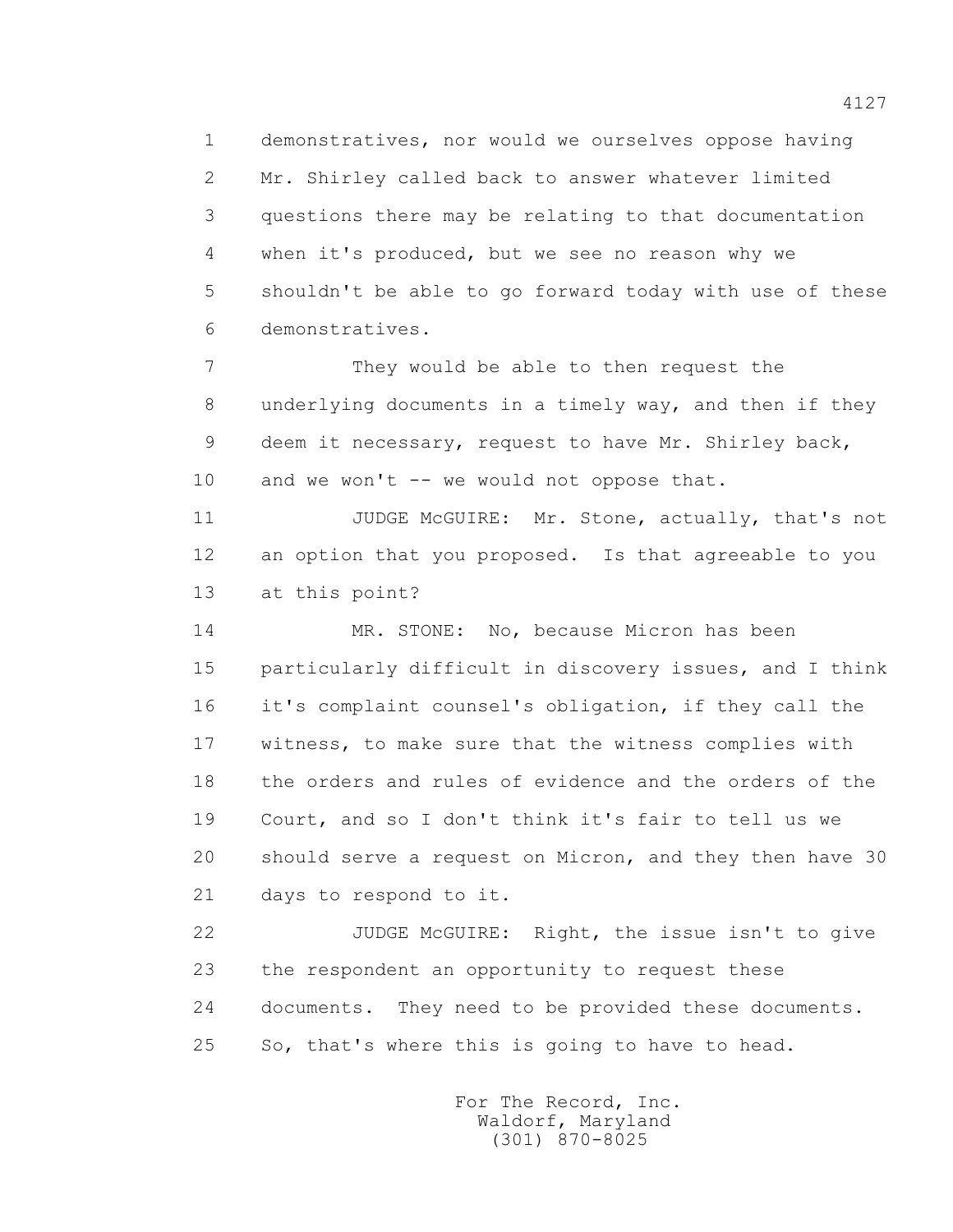1 demonstratives, nor would we ourselves oppose having 2 Mr. Shirley called back to answer whatever limited 3 questions there may be relating to that documentation 4 when it's produced, but we see no reason why we 5 shouldn't be able to go forward today with use of these 6 demonstratives.

 7 They would be able to then request the 8 underlying documents in a timely way, and then if they 9 deem it necessary, request to have Mr. Shirley back, 10 and we won't -- we would not oppose that.

11 JUDGE McGUIRE: Mr. Stone, actually, that's not 12 an option that you proposed. Is that agreeable to you 13 at this point?

 14 MR. STONE: No, because Micron has been 15 particularly difficult in discovery issues, and I think 16 it's complaint counsel's obligation, if they call the 17 witness, to make sure that the witness complies with 18 the orders and rules of evidence and the orders of the 19 Court, and so I don't think it's fair to tell us we 20 should serve a request on Micron, and they then have 30 21 days to respond to it.

 22 JUDGE McGUIRE: Right, the issue isn't to give 23 the respondent an opportunity to request these 24 documents. They need to be provided these documents. 25 So, that's where this is going to have to head.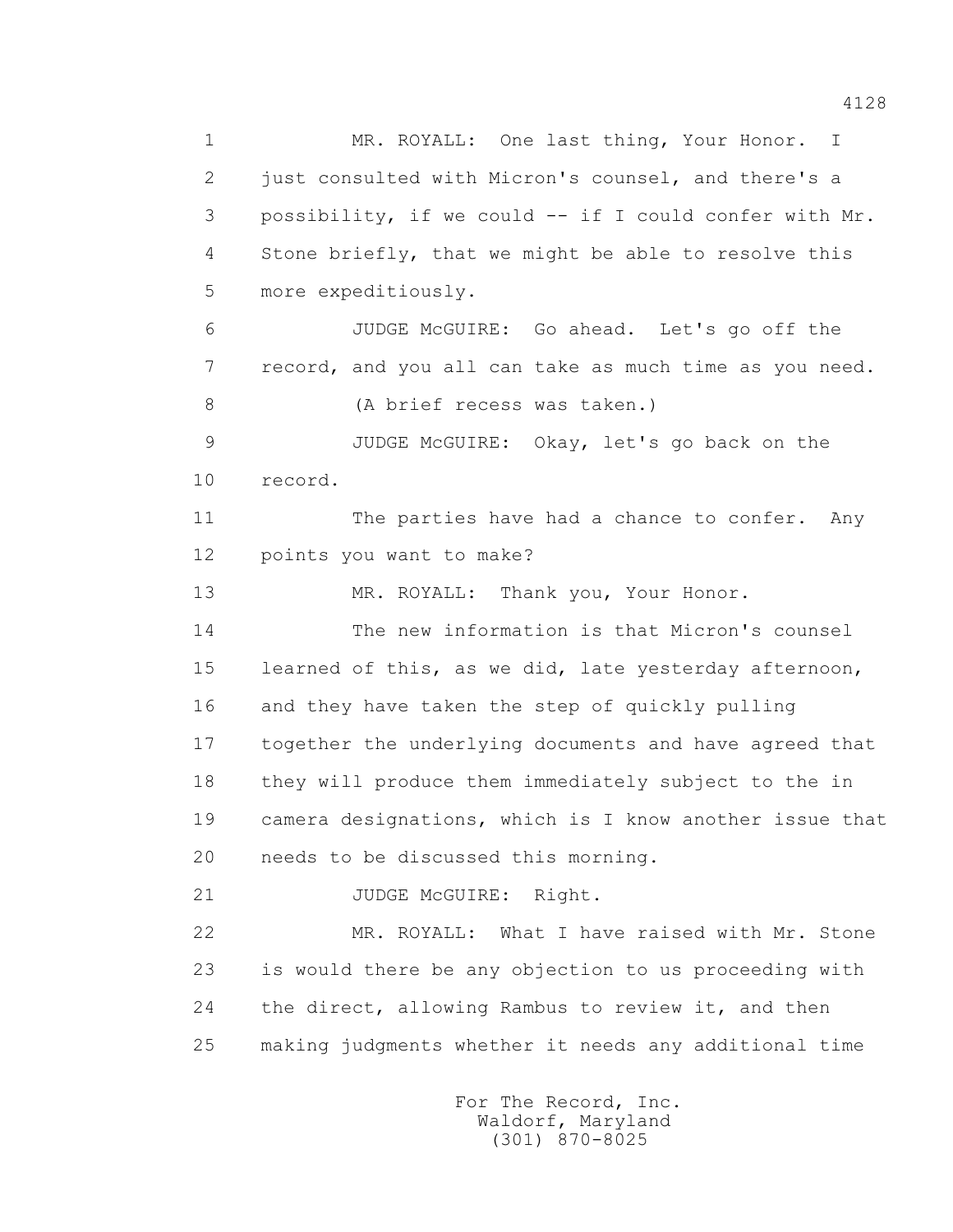4128

 1 MR. ROYALL: One last thing, Your Honor. I 2 just consulted with Micron's counsel, and there's a 3 possibility, if we could -- if I could confer with Mr. 4 Stone briefly, that we might be able to resolve this 5 more expeditiously. 6 JUDGE McGUIRE: Go ahead. Let's go off the 7 record, and you all can take as much time as you need. 8 (A brief recess was taken.) 9 JUDGE McGUIRE: Okay, let's go back on the 10 record. 11 The parties have had a chance to confer. Any 12 points you want to make? 13 MR. ROYALL: Thank you, Your Honor. 14 The new information is that Micron's counsel 15 learned of this, as we did, late yesterday afternoon, 16 and they have taken the step of quickly pulling 17 together the underlying documents and have agreed that 18 they will produce them immediately subject to the in 19 camera designations, which is I know another issue that 20 needs to be discussed this morning. 21 JUDGE McGUIRE: Right. 22 MR. ROYALL: What I have raised with Mr. Stone 23 is would there be any objection to us proceeding with 24 the direct, allowing Rambus to review it, and then 25 making judgments whether it needs any additional time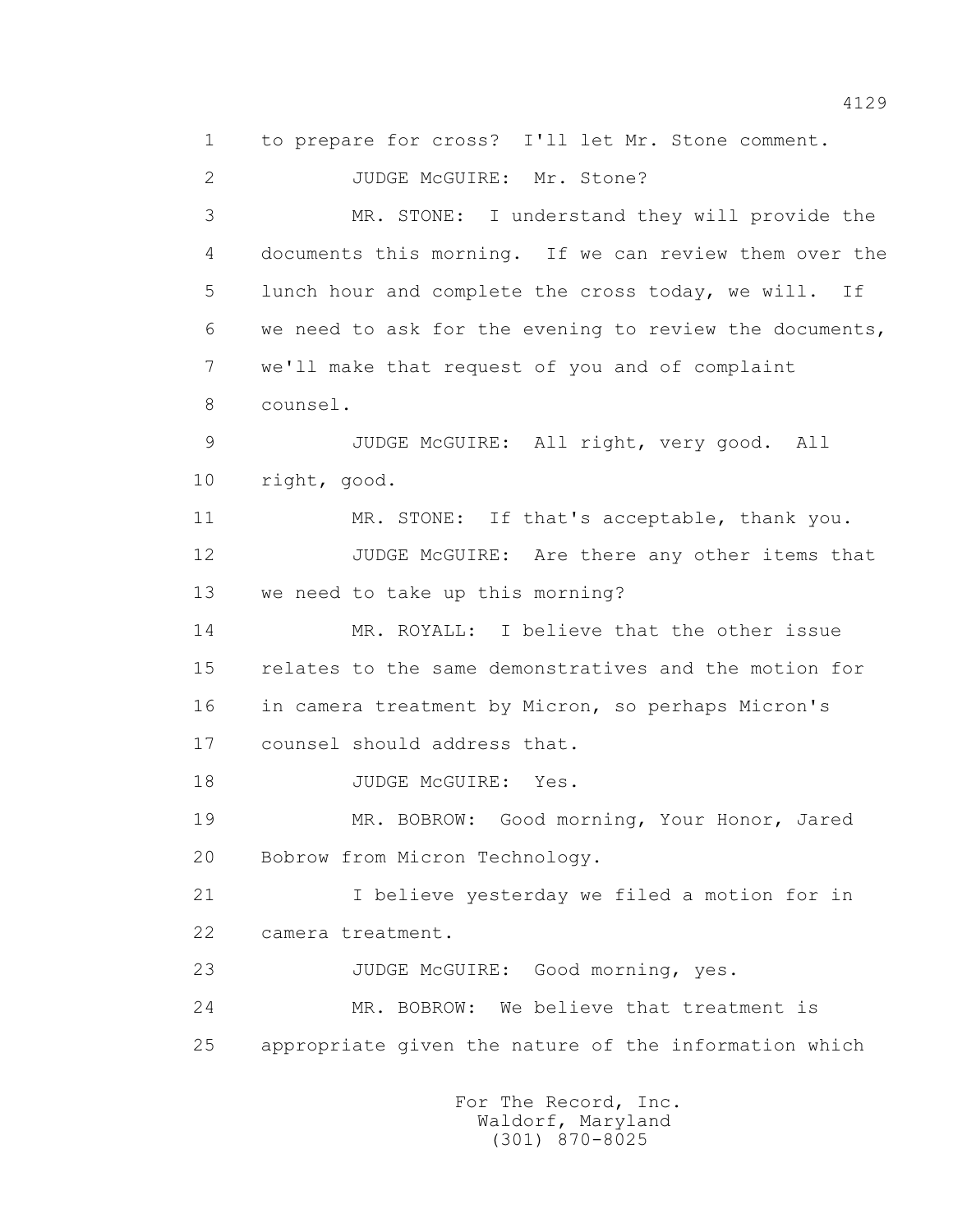1 to prepare for cross? I'll let Mr. Stone comment. 2 JUDGE McGUIRE: Mr. Stone? 3 MR. STONE: I understand they will provide the 4 documents this morning. If we can review them over the 5 lunch hour and complete the cross today, we will. If 6 we need to ask for the evening to review the documents, 7 we'll make that request of you and of complaint 8 counsel. 9 JUDGE McGUIRE: All right, very good. All 10 right, good. 11 MR. STONE: If that's acceptable, thank you. 12 JUDGE McGUIRE: Are there any other items that 13 we need to take up this morning? 14 MR. ROYALL: I believe that the other issue 15 relates to the same demonstratives and the motion for 16 in camera treatment by Micron, so perhaps Micron's 17 counsel should address that. 18 JUDGE McGUIRE: Yes. 19 MR. BOBROW: Good morning, Your Honor, Jared 20 Bobrow from Micron Technology. 21 I believe yesterday we filed a motion for in 22 camera treatment. 23 JUDGE McGUIRE: Good morning, yes. 24 MR. BOBROW: We believe that treatment is 25 appropriate given the nature of the information which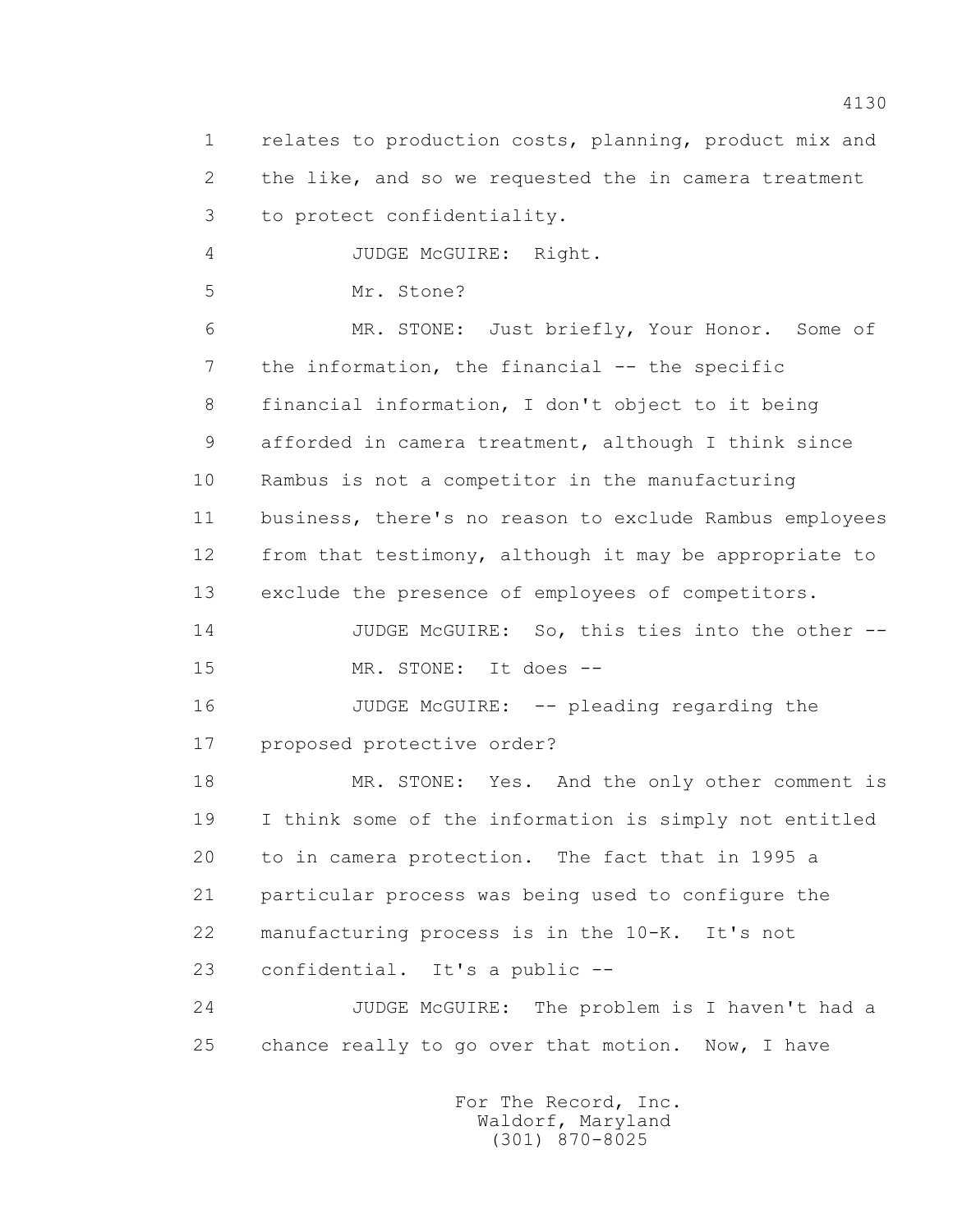1 relates to production costs, planning, product mix and 2 the like, and so we requested the in camera treatment 3 to protect confidentiality.

4 JUDGE McGUIRE: Right.

5 Mr. Stone?

 6 MR. STONE: Just briefly, Your Honor. Some of 7 the information, the financial -- the specific 8 financial information, I don't object to it being 9 afforded in camera treatment, although I think since 10 Rambus is not a competitor in the manufacturing 11 business, there's no reason to exclude Rambus employees 12 from that testimony, although it may be appropriate to 13 exclude the presence of employees of competitors.

 14 JUDGE McGUIRE: So, this ties into the other -- 15 MR. STONE: It does --

 16 JUDGE McGUIRE: -- pleading regarding the 17 proposed protective order?

 18 MR. STONE: Yes. And the only other comment is 19 I think some of the information is simply not entitled 20 to in camera protection. The fact that in 1995 a 21 particular process was being used to configure the 22 manufacturing process is in the 10-K. It's not 23 confidential. It's a public --

 24 JUDGE McGUIRE: The problem is I haven't had a 25 chance really to go over that motion. Now, I have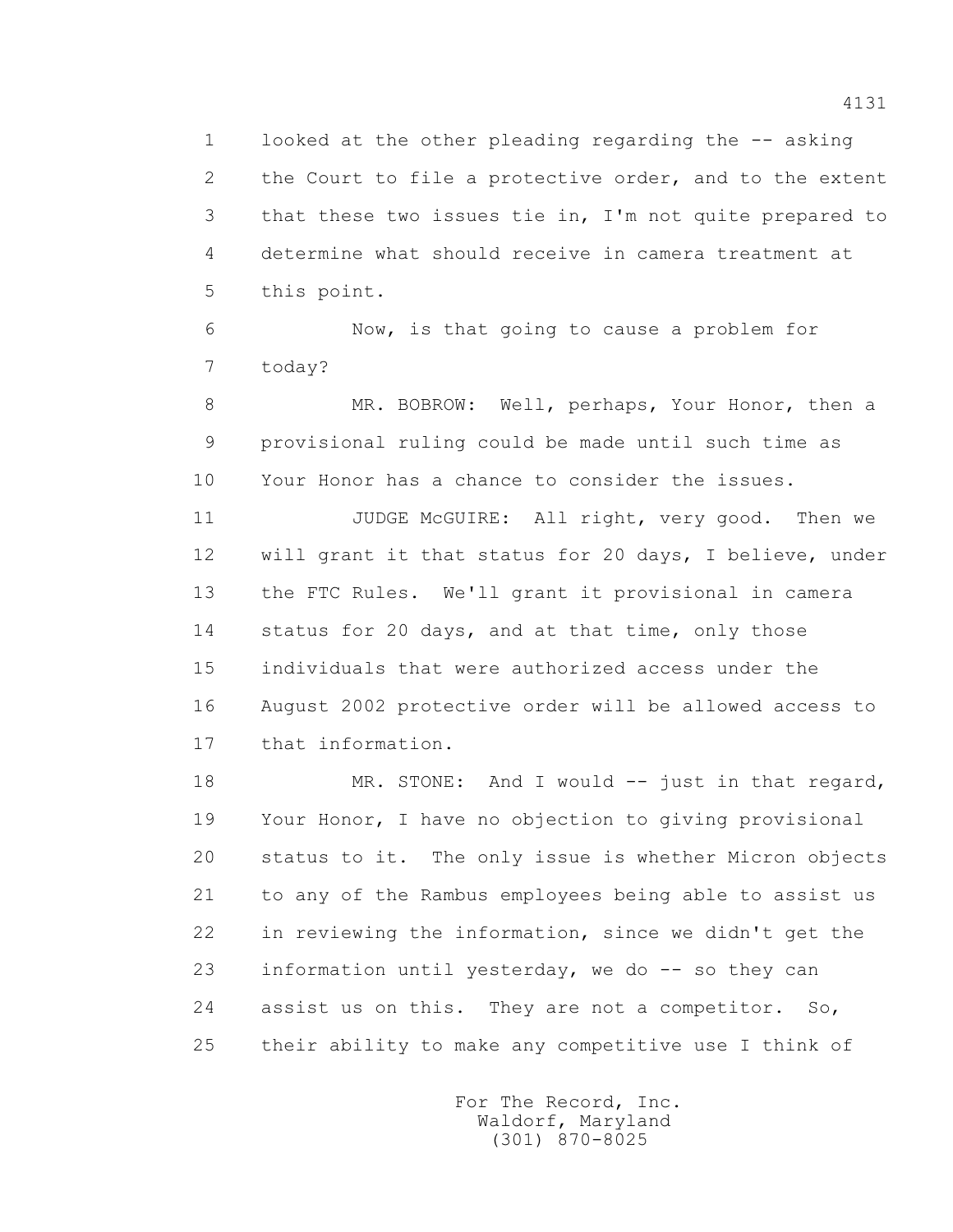1 looked at the other pleading regarding the -- asking 2 the Court to file a protective order, and to the extent 3 that these two issues tie in, I'm not quite prepared to 4 determine what should receive in camera treatment at 5 this point.

 6 Now, is that going to cause a problem for 7 today?

 8 MR. BOBROW: Well, perhaps, Your Honor, then a 9 provisional ruling could be made until such time as 10 Your Honor has a chance to consider the issues.

11 JUDGE McGUIRE: All right, very good. Then we 12 will grant it that status for 20 days, I believe, under 13 the FTC Rules. We'll grant it provisional in camera 14 status for 20 days, and at that time, only those 15 individuals that were authorized access under the 16 August 2002 protective order will be allowed access to 17 that information.

18 MR. STONE: And I would -- just in that regard, 19 Your Honor, I have no objection to giving provisional 20 status to it. The only issue is whether Micron objects 21 to any of the Rambus employees being able to assist us 22 in reviewing the information, since we didn't get the 23 information until yesterday, we do -- so they can 24 assist us on this. They are not a competitor. So, 25 their ability to make any competitive use I think of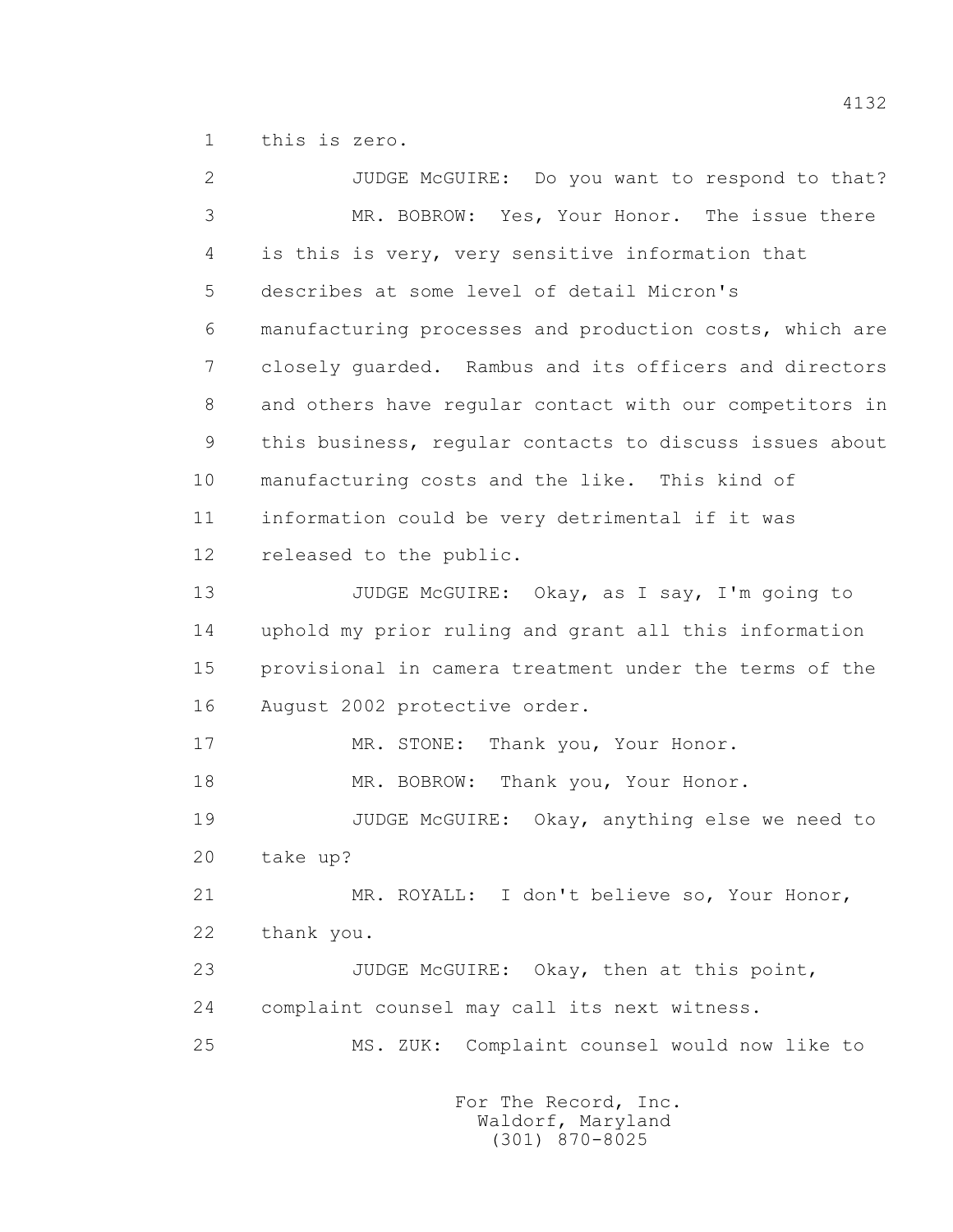1 this is zero.

 2 JUDGE McGUIRE: Do you want to respond to that? 3 MR. BOBROW: Yes, Your Honor. The issue there 4 is this is very, very sensitive information that 5 describes at some level of detail Micron's 6 manufacturing processes and production costs, which are 7 closely guarded. Rambus and its officers and directors 8 and others have regular contact with our competitors in 9 this business, regular contacts to discuss issues about 10 manufacturing costs and the like. This kind of 11 information could be very detrimental if it was 12 released to the public. 13 JUDGE McGUIRE: Okay, as I say, I'm going to 14 uphold my prior ruling and grant all this information 15 provisional in camera treatment under the terms of the 16 August 2002 protective order. 17 MR. STONE: Thank you, Your Honor. 18 MR. BOBROW: Thank you, Your Honor. 19 JUDGE McGUIRE: Okay, anything else we need to 20 take up? 21 MR. ROYALL: I don't believe so, Your Honor, 22 thank you. 23 JUDGE McGUIRE: Okay, then at this point, 24 complaint counsel may call its next witness. 25 MS. ZUK: Complaint counsel would now like to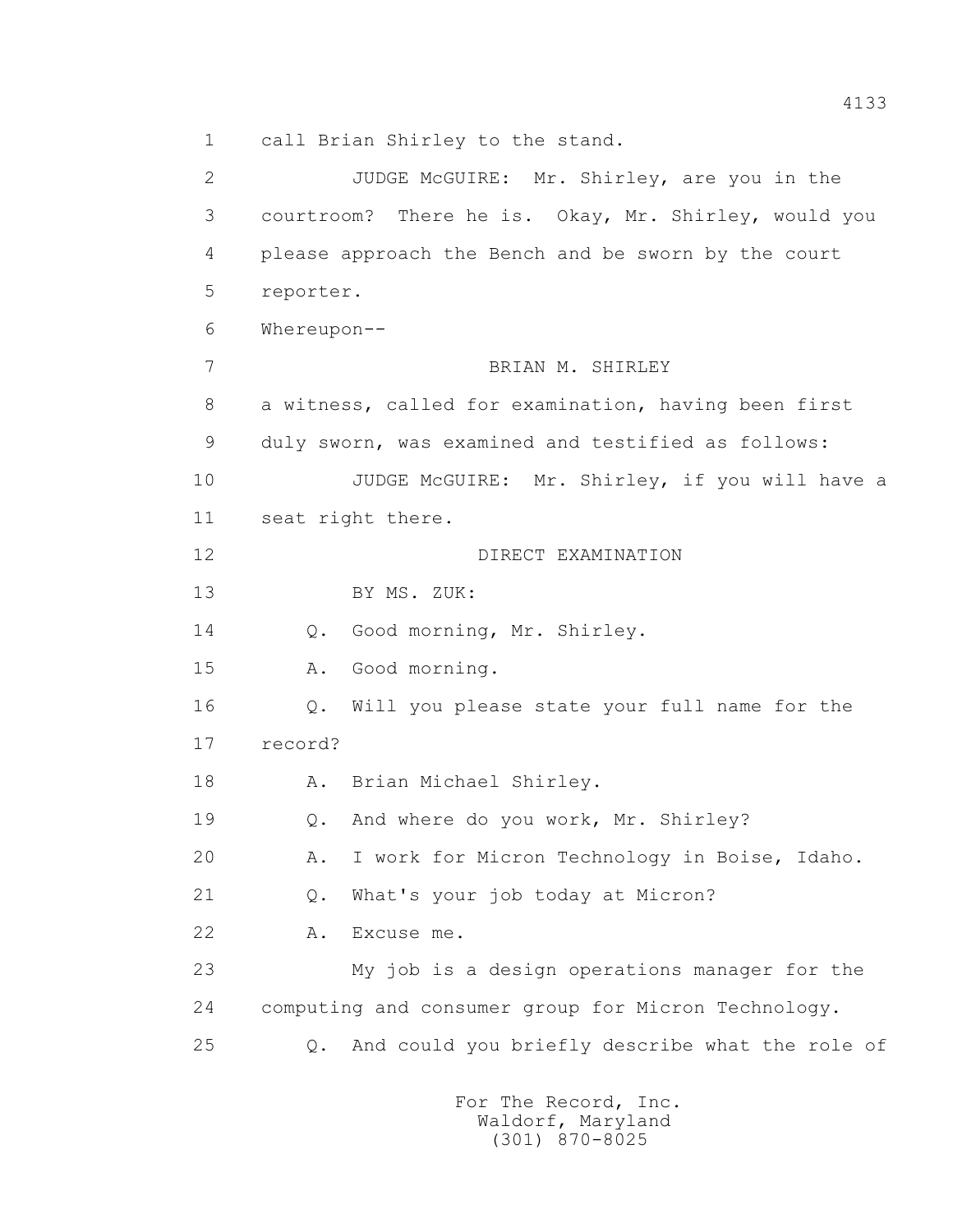1 call Brian Shirley to the stand.

 2 JUDGE McGUIRE: Mr. Shirley, are you in the 3 courtroom? There he is. Okay, Mr. Shirley, would you 4 please approach the Bench and be sworn by the court 5 reporter. 6 Whereupon-- 7 BRIAN M. SHIRLEY 8 a witness, called for examination, having been first 9 duly sworn, was examined and testified as follows: 10 JUDGE McGUIRE: Mr. Shirley, if you will have a 11 seat right there. 12 DIRECT EXAMINATION 13 BY MS. ZUK: 14 Q. Good morning, Mr. Shirley. 15 A. Good morning. 16 Q. Will you please state your full name for the 17 record? 18 A. Brian Michael Shirley. 19 Q. And where do you work, Mr. Shirley? 20 A. I work for Micron Technology in Boise, Idaho. 21 Q. What's your job today at Micron? 22 A. Excuse me. 23 My job is a design operations manager for the 24 computing and consumer group for Micron Technology. 25 Q. And could you briefly describe what the role of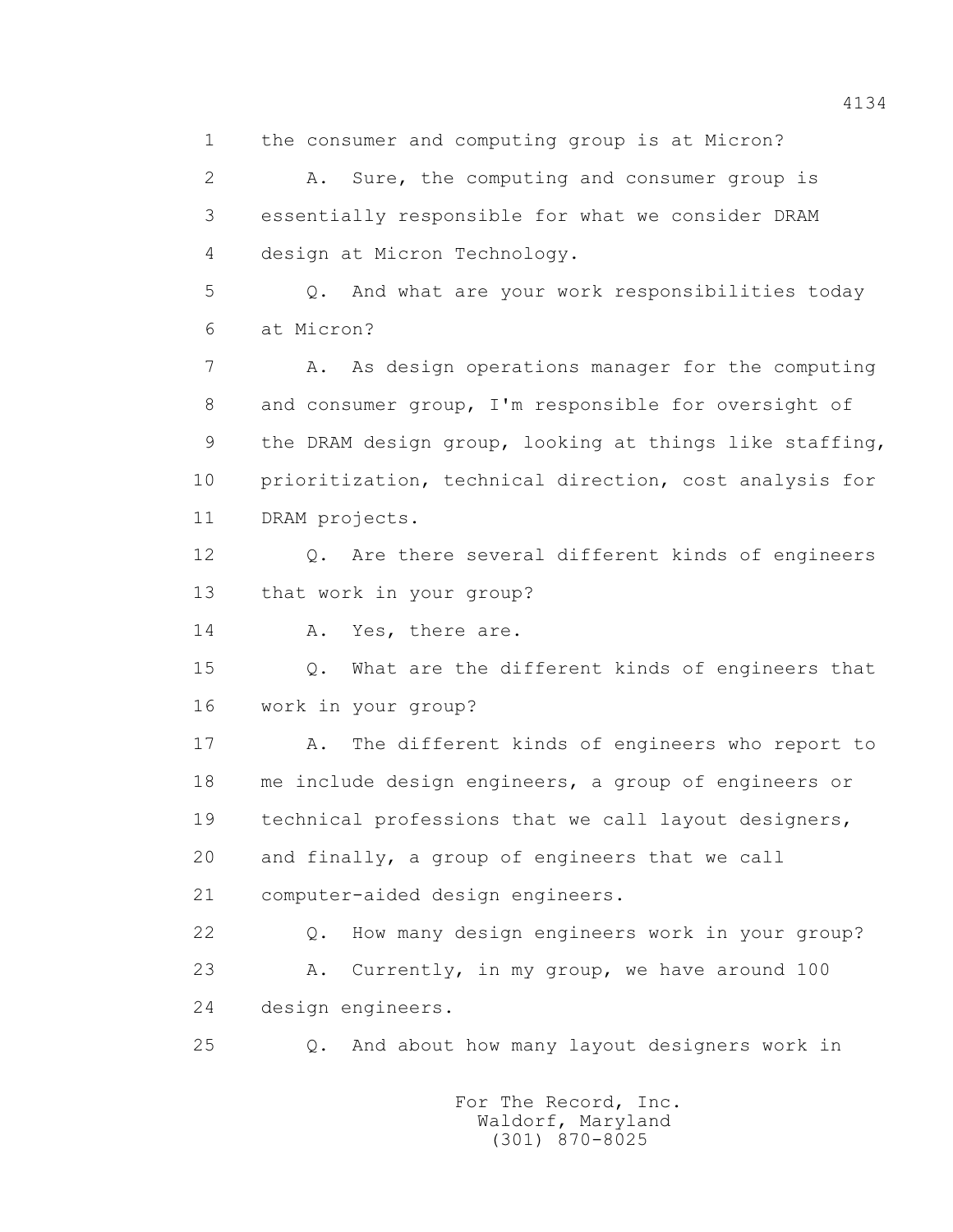1 the consumer and computing group is at Micron?

 2 A. Sure, the computing and consumer group is 3 essentially responsible for what we consider DRAM 4 design at Micron Technology.

 5 Q. And what are your work responsibilities today 6 at Micron?

 7 A. As design operations manager for the computing 8 and consumer group, I'm responsible for oversight of 9 the DRAM design group, looking at things like staffing, 10 prioritization, technical direction, cost analysis for 11 DRAM projects.

 12 Q. Are there several different kinds of engineers 13 that work in your group?

14 A. Yes, there are.

 15 Q. What are the different kinds of engineers that 16 work in your group?

 17 A. The different kinds of engineers who report to 18 me include design engineers, a group of engineers or 19 technical professions that we call layout designers, 20 and finally, a group of engineers that we call 21 computer-aided design engineers.

 22 Q. How many design engineers work in your group? 23 A. Currently, in my group, we have around 100 24 design engineers.

25 Q. And about how many layout designers work in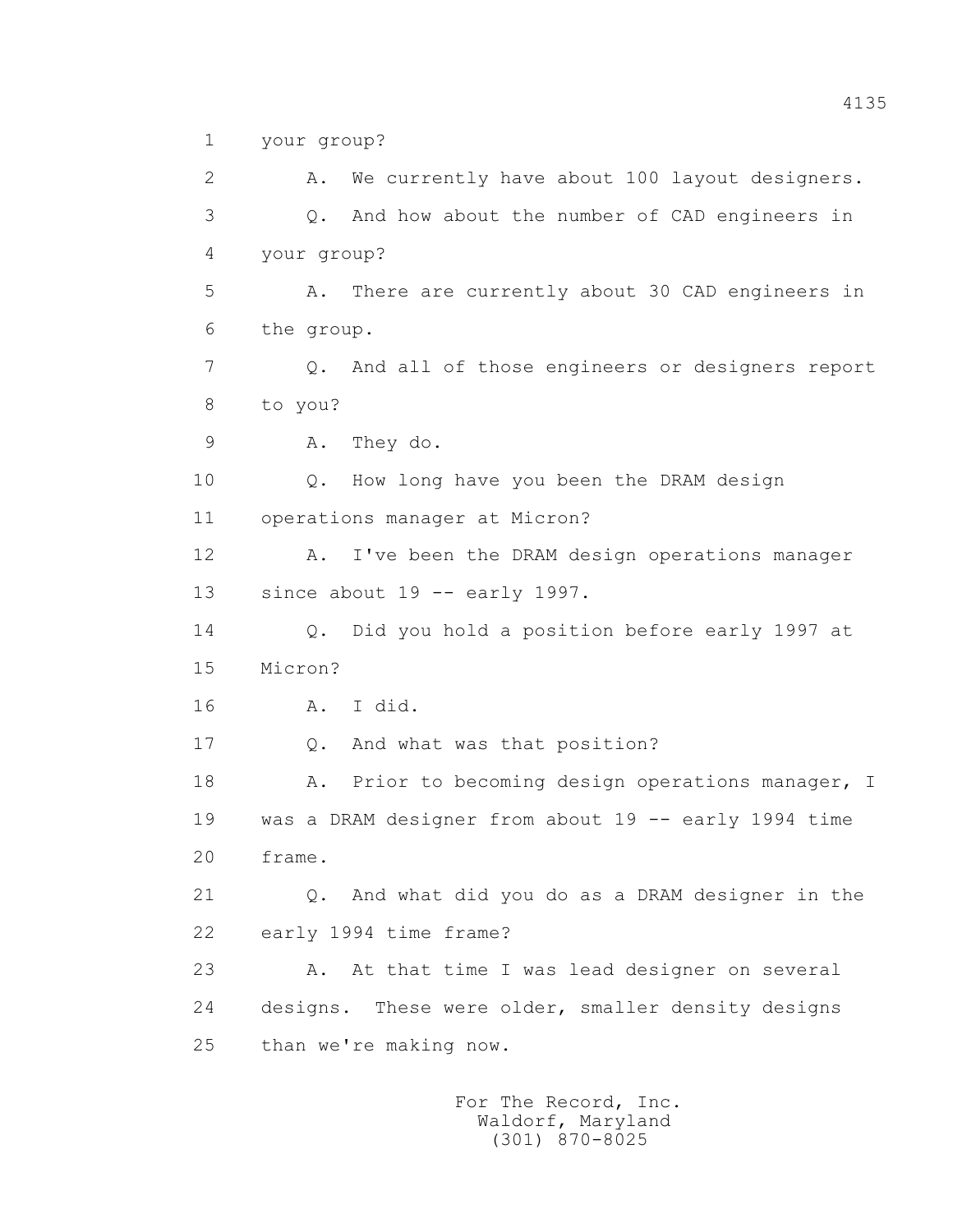1 your group?

 2 A. We currently have about 100 layout designers. 3 Q. And how about the number of CAD engineers in 4 your group? 5 A. There are currently about 30 CAD engineers in 6 the group. 7 Q. And all of those engineers or designers report 8 to you? 9 A. They do. 10 Q. How long have you been the DRAM design 11 operations manager at Micron? 12 A. I've been the DRAM design operations manager 13 since about 19 -- early 1997. 14 Q. Did you hold a position before early 1997 at 15 Micron? 16 A. I did. 17 Q. And what was that position? 18 A. Prior to becoming design operations manager, I 19 was a DRAM designer from about 19 -- early 1994 time 20 frame. 21 Q. And what did you do as a DRAM designer in the 22 early 1994 time frame? 23 A. At that time I was lead designer on several 24 designs. These were older, smaller density designs 25 than we're making now.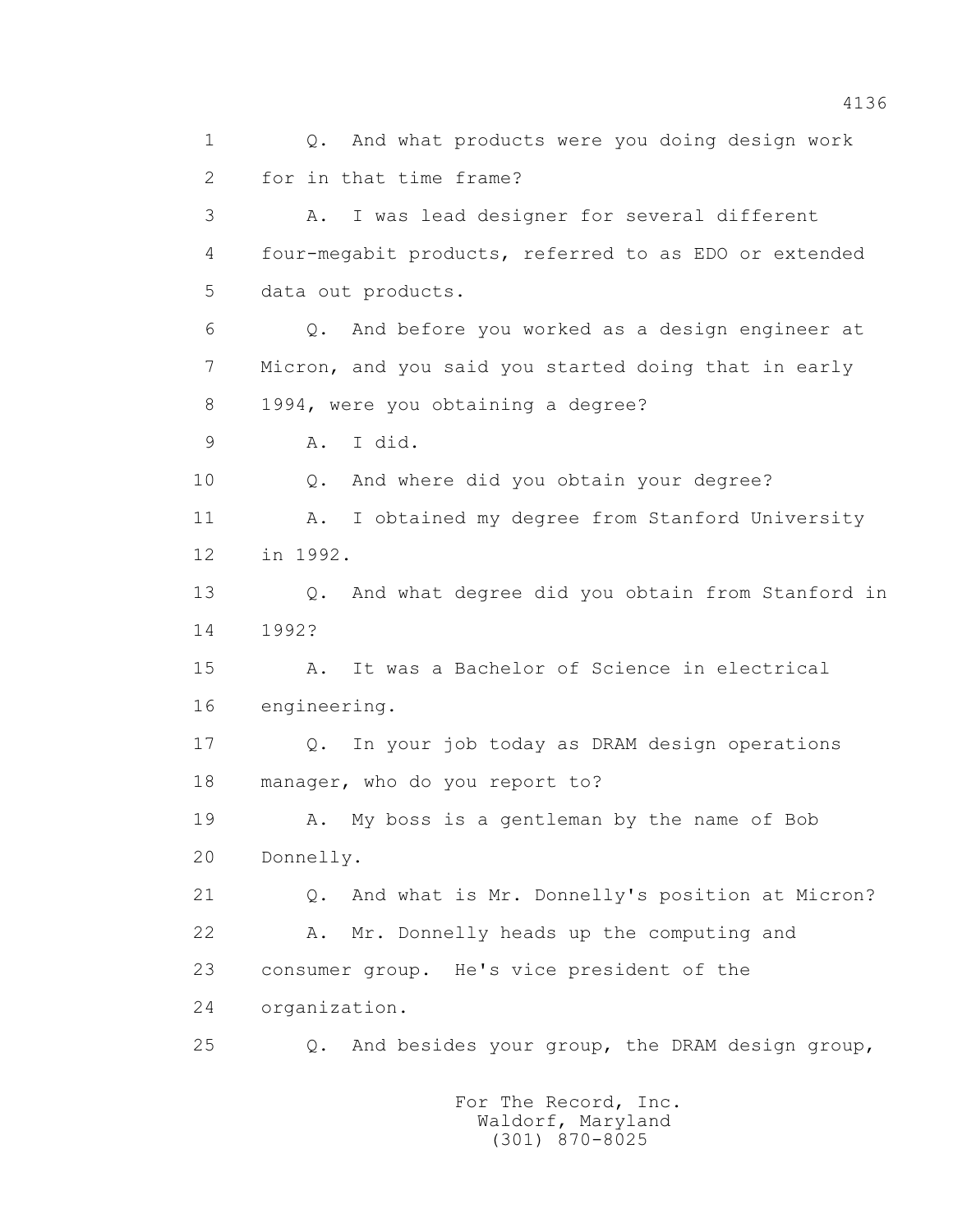1 Q. And what products were you doing design work 2 for in that time frame? 3 A. I was lead designer for several different 4 four-megabit products, referred to as EDO or extended 5 data out products. 6 Q. And before you worked as a design engineer at 7 Micron, and you said you started doing that in early 8 1994, were you obtaining a degree? 9 A. I did. 10 Q. And where did you obtain your degree? 11 A. I obtained my degree from Stanford University 12 in 1992. 13 Q. And what degree did you obtain from Stanford in 14 1992? 15 A. It was a Bachelor of Science in electrical 16 engineering. 17 Q. In your job today as DRAM design operations 18 manager, who do you report to? 19 A. My boss is a gentleman by the name of Bob 20 Donnelly. 21 Q. And what is Mr. Donnelly's position at Micron? 22 A. Mr. Donnelly heads up the computing and 23 consumer group. He's vice president of the 24 organization. 25 Q. And besides your group, the DRAM design group,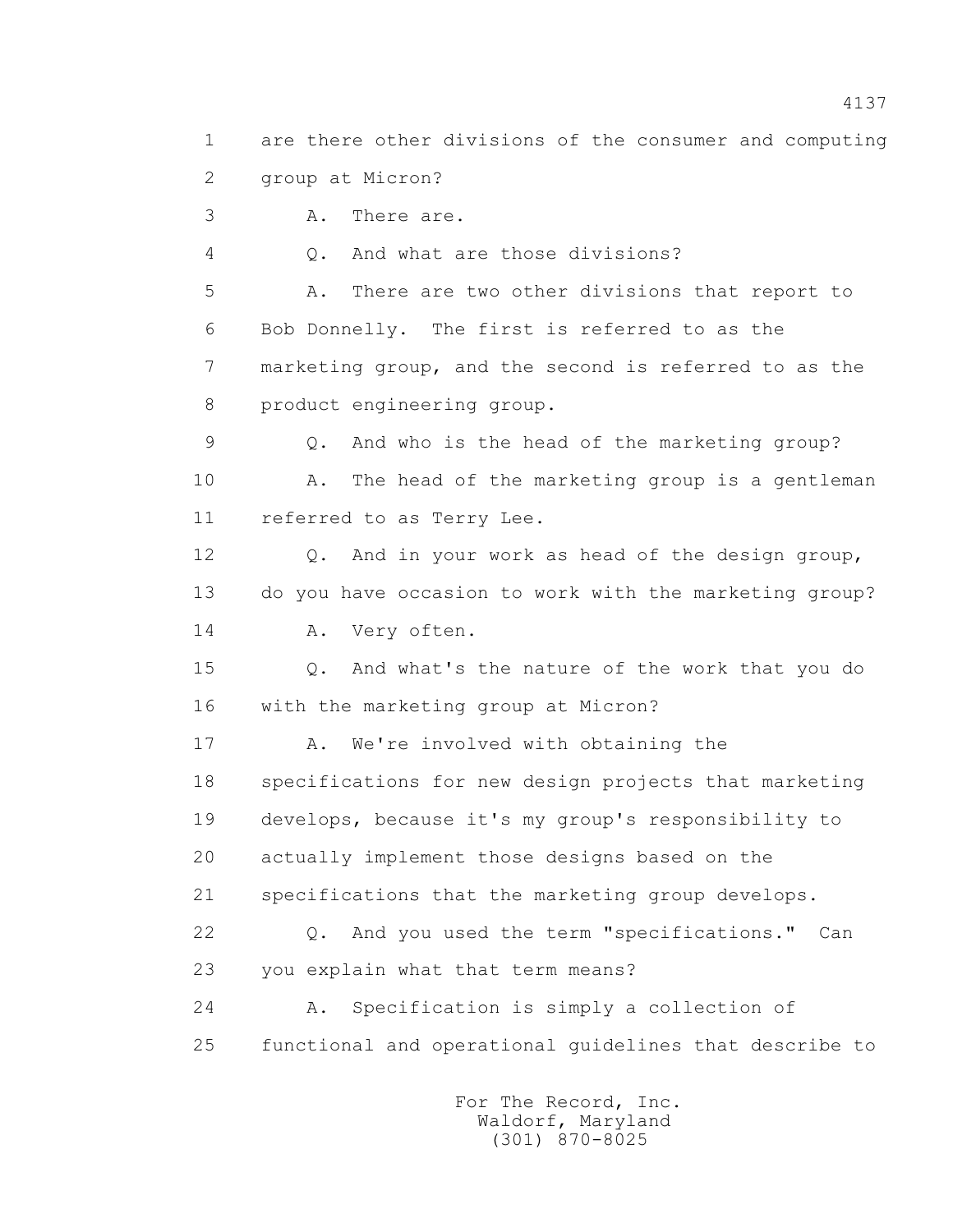1 are there other divisions of the consumer and computing 2 group at Micron? 3 A. There are. 4 Q. And what are those divisions?

 5 A. There are two other divisions that report to 6 Bob Donnelly. The first is referred to as the 7 marketing group, and the second is referred to as the 8 product engineering group.

 9 Q. And who is the head of the marketing group? 10 A. The head of the marketing group is a gentleman 11 referred to as Terry Lee.

 12 Q. And in your work as head of the design group, 13 do you have occasion to work with the marketing group? 14 A. Very often.

 15 Q. And what's the nature of the work that you do 16 with the marketing group at Micron?

17 A. We're involved with obtaining the 18 specifications for new design projects that marketing 19 develops, because it's my group's responsibility to 20 actually implement those designs based on the 21 specifications that the marketing group develops. 22 Q. And you used the term "specifications." Can

23 you explain what that term means?

 24 A. Specification is simply a collection of 25 functional and operational guidelines that describe to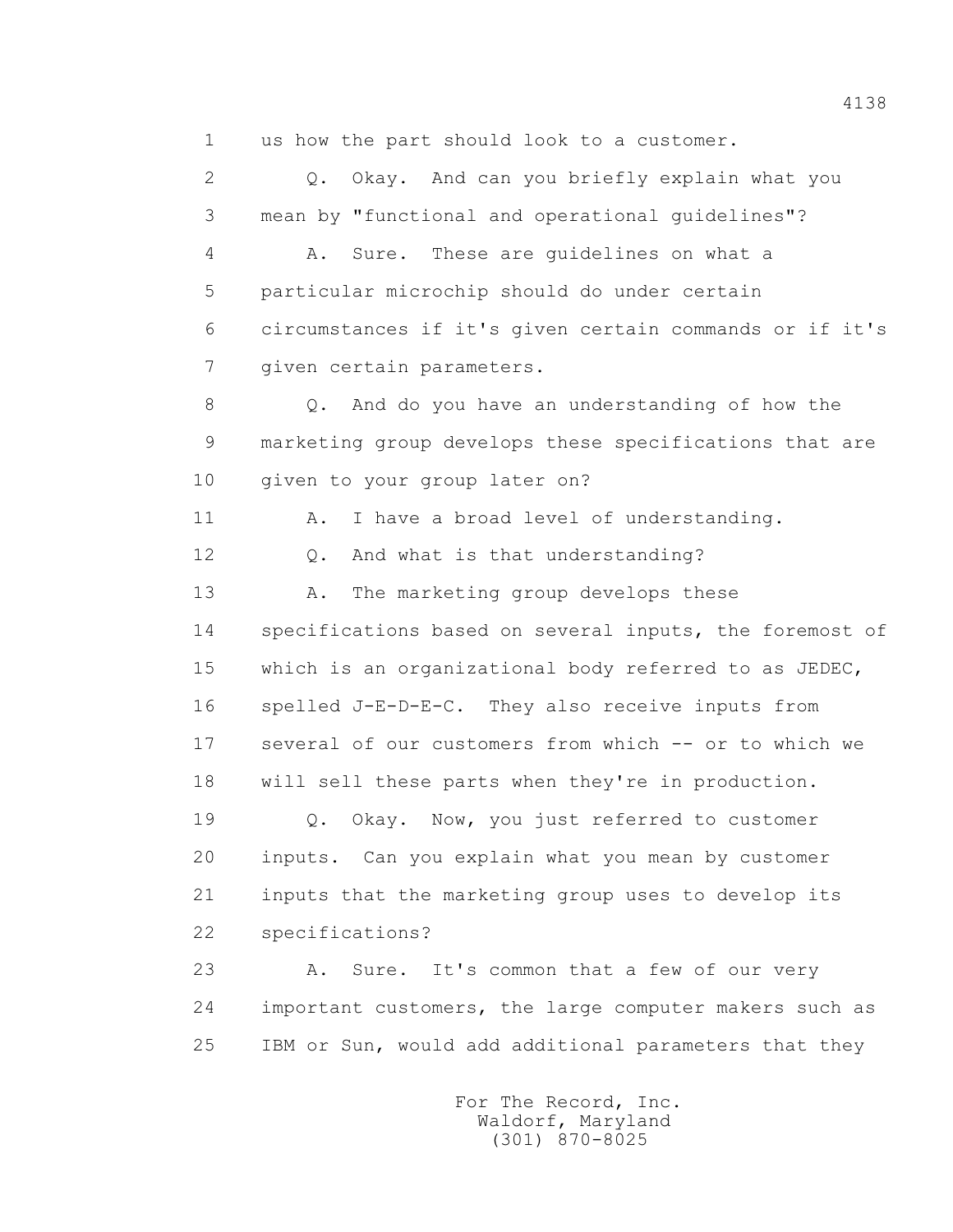1 us how the part should look to a customer.

 2 Q. Okay. And can you briefly explain what you 3 mean by "functional and operational guidelines"?

 4 A. Sure. These are guidelines on what a 5 particular microchip should do under certain 6 circumstances if it's given certain commands or if it's 7 given certain parameters.

 8 Q. And do you have an understanding of how the 9 marketing group develops these specifications that are 10 given to your group later on?

11 A. I have a broad level of understanding.

12 Q. And what is that understanding?

 13 A. The marketing group develops these 14 specifications based on several inputs, the foremost of 15 which is an organizational body referred to as JEDEC, 16 spelled J-E-D-E-C. They also receive inputs from 17 several of our customers from which -- or to which we 18 will sell these parts when they're in production.

 19 Q. Okay. Now, you just referred to customer 20 inputs. Can you explain what you mean by customer 21 inputs that the marketing group uses to develop its 22 specifications?

 23 A. Sure. It's common that a few of our very 24 important customers, the large computer makers such as 25 IBM or Sun, would add additional parameters that they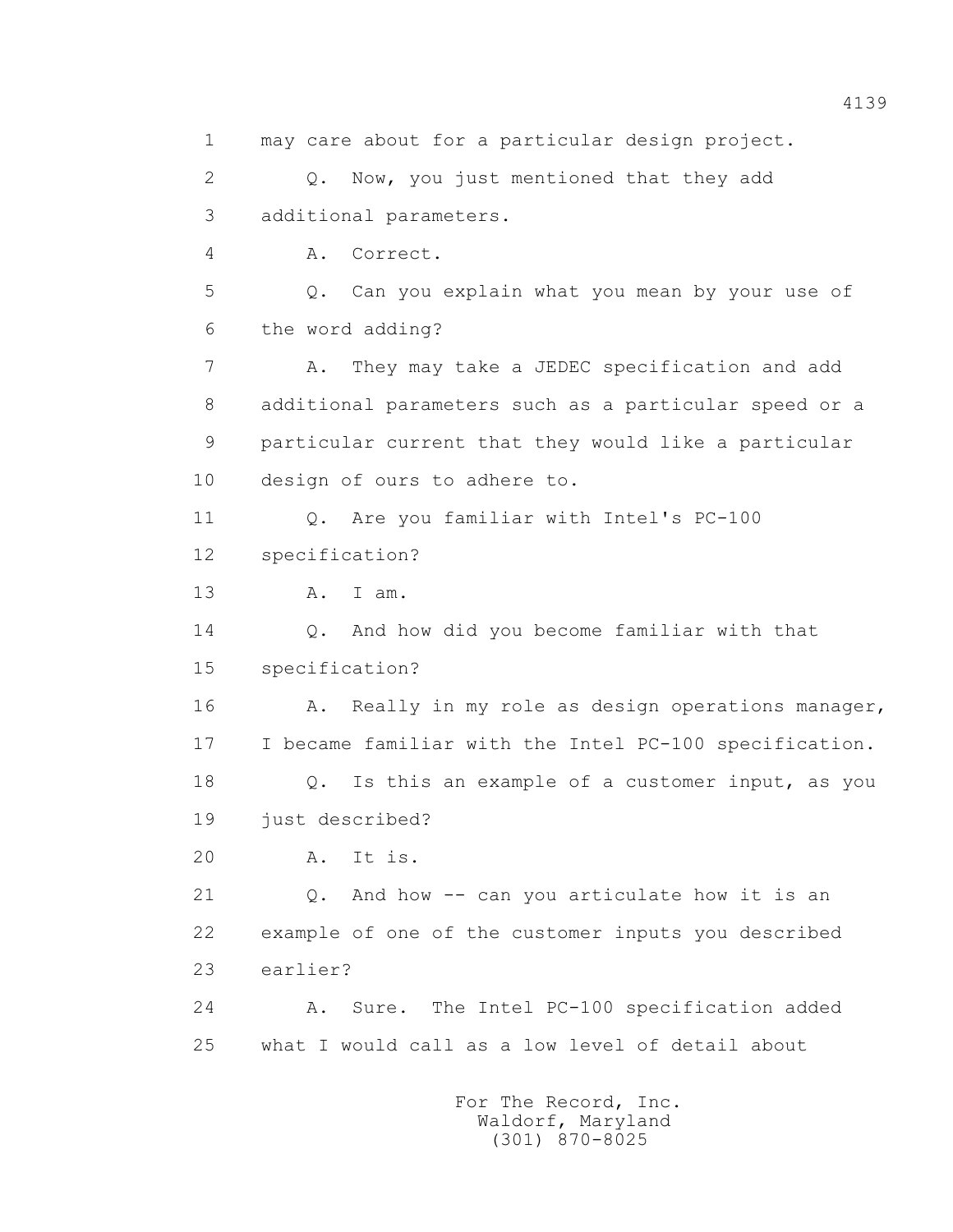1 may care about for a particular design project. 2 Q. Now, you just mentioned that they add 3 additional parameters. 4 A. Correct. 5 Q. Can you explain what you mean by your use of 6 the word adding? 7 A. They may take a JEDEC specification and add 8 additional parameters such as a particular speed or a 9 particular current that they would like a particular 10 design of ours to adhere to. 11 Q. Are you familiar with Intel's PC-100 12 specification? 13 A. I am. 14 Q. And how did you become familiar with that 15 specification? 16 A. Really in my role as design operations manager, 17 I became familiar with the Intel PC-100 specification. 18 Q. Is this an example of a customer input, as you 19 just described? 20 A. It is. 21 Q. And how -- can you articulate how it is an 22 example of one of the customer inputs you described 23 earlier? 24 A. Sure. The Intel PC-100 specification added 25 what I would call as a low level of detail about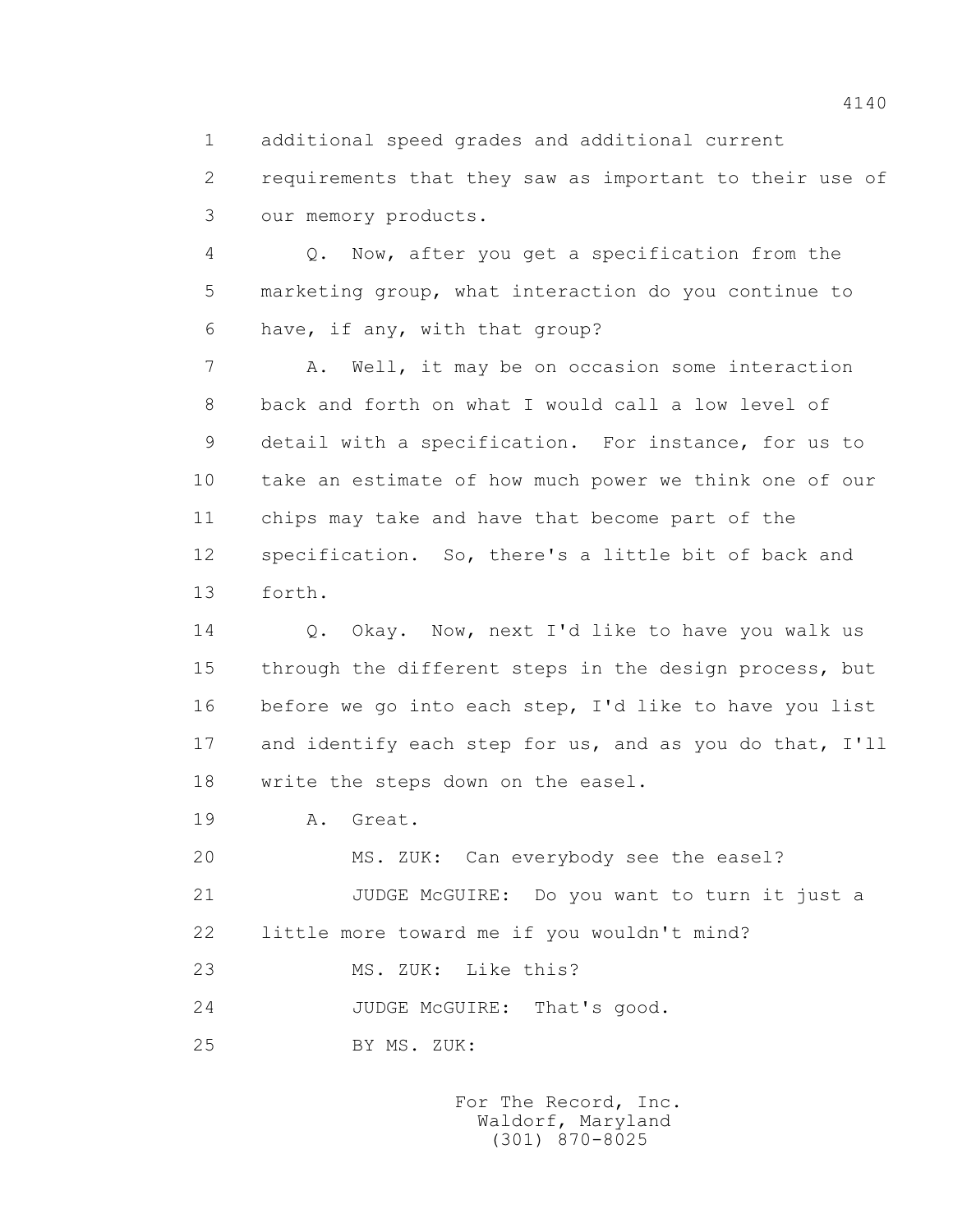1 additional speed grades and additional current

 2 requirements that they saw as important to their use of 3 our memory products.

 4 Q. Now, after you get a specification from the 5 marketing group, what interaction do you continue to 6 have, if any, with that group?

 7 A. Well, it may be on occasion some interaction 8 back and forth on what I would call a low level of 9 detail with a specification. For instance, for us to 10 take an estimate of how much power we think one of our 11 chips may take and have that become part of the 12 specification. So, there's a little bit of back and 13 forth.

 14 Q. Okay. Now, next I'd like to have you walk us 15 through the different steps in the design process, but 16 before we go into each step, I'd like to have you list 17 and identify each step for us, and as you do that, I'll 18 write the steps down on the easel.

19 A. Great.

 20 MS. ZUK: Can everybody see the easel? 21 JUDGE McGUIRE: Do you want to turn it just a 22 little more toward me if you wouldn't mind? 23 MS. ZUK: Like this?

24 JUDGE McGUIRE: That's good.

25 BY MS. ZUK: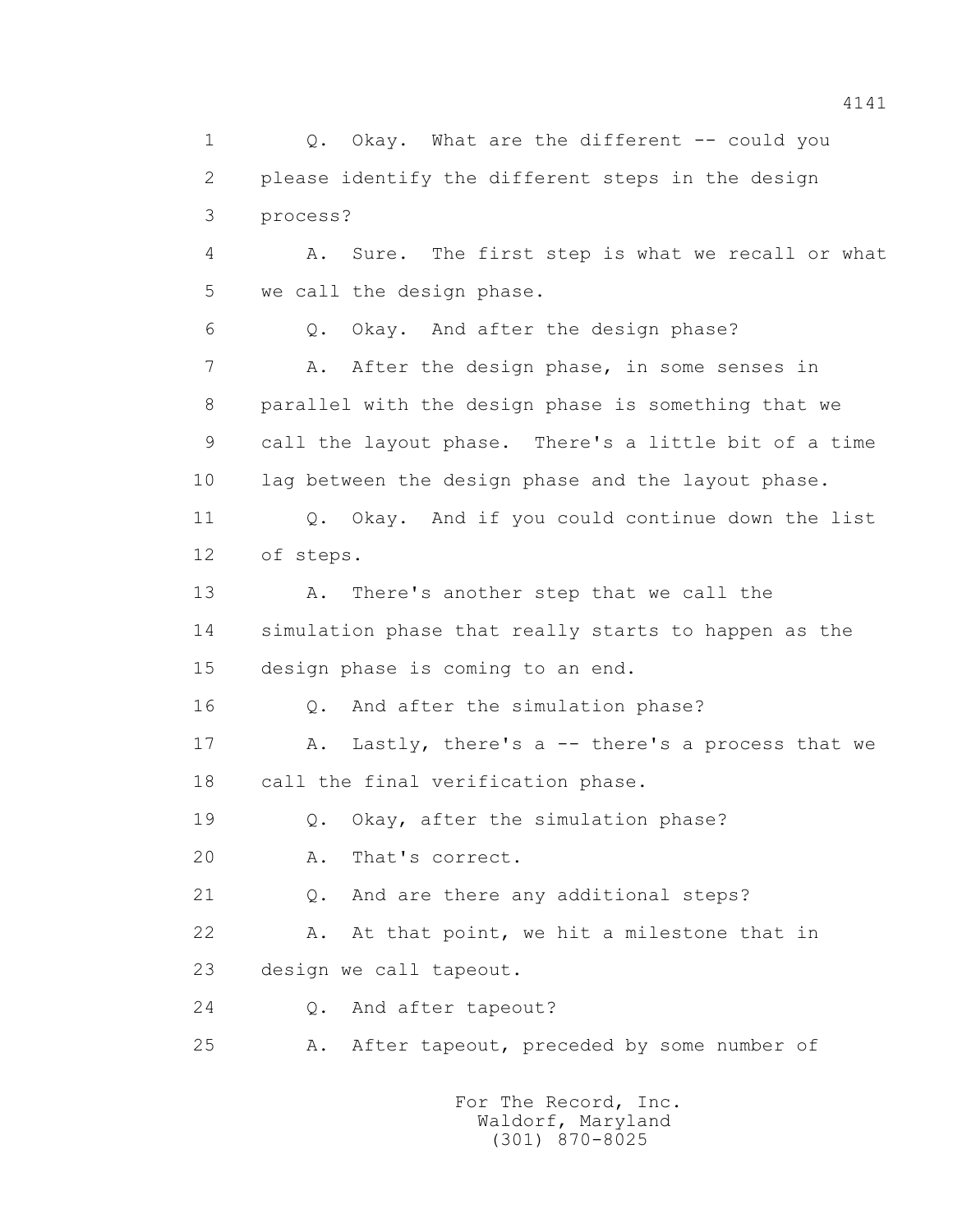1 0. Okay. What are the different -- could you 2 please identify the different steps in the design 3 process? 4 A. Sure. The first step is what we recall or what 5 we call the design phase. 6 Q. Okay. And after the design phase? 7 A. After the design phase, in some senses in 8 parallel with the design phase is something that we 9 call the layout phase. There's a little bit of a time 10 lag between the design phase and the layout phase. 11 Q. Okay. And if you could continue down the list 12 of steps. 13 A. There's another step that we call the 14 simulation phase that really starts to happen as the 15 design phase is coming to an end. 16 Q. And after the simulation phase? 17 A. Lastly, there's a -- there's a process that we 18 call the final verification phase. 19 Q. Okay, after the simulation phase? 20 A. That's correct. 21 Q. And are there any additional steps? 22 A. At that point, we hit a milestone that in 23 design we call tapeout. 24 Q. And after tapeout? 25 A. After tapeout, preceded by some number of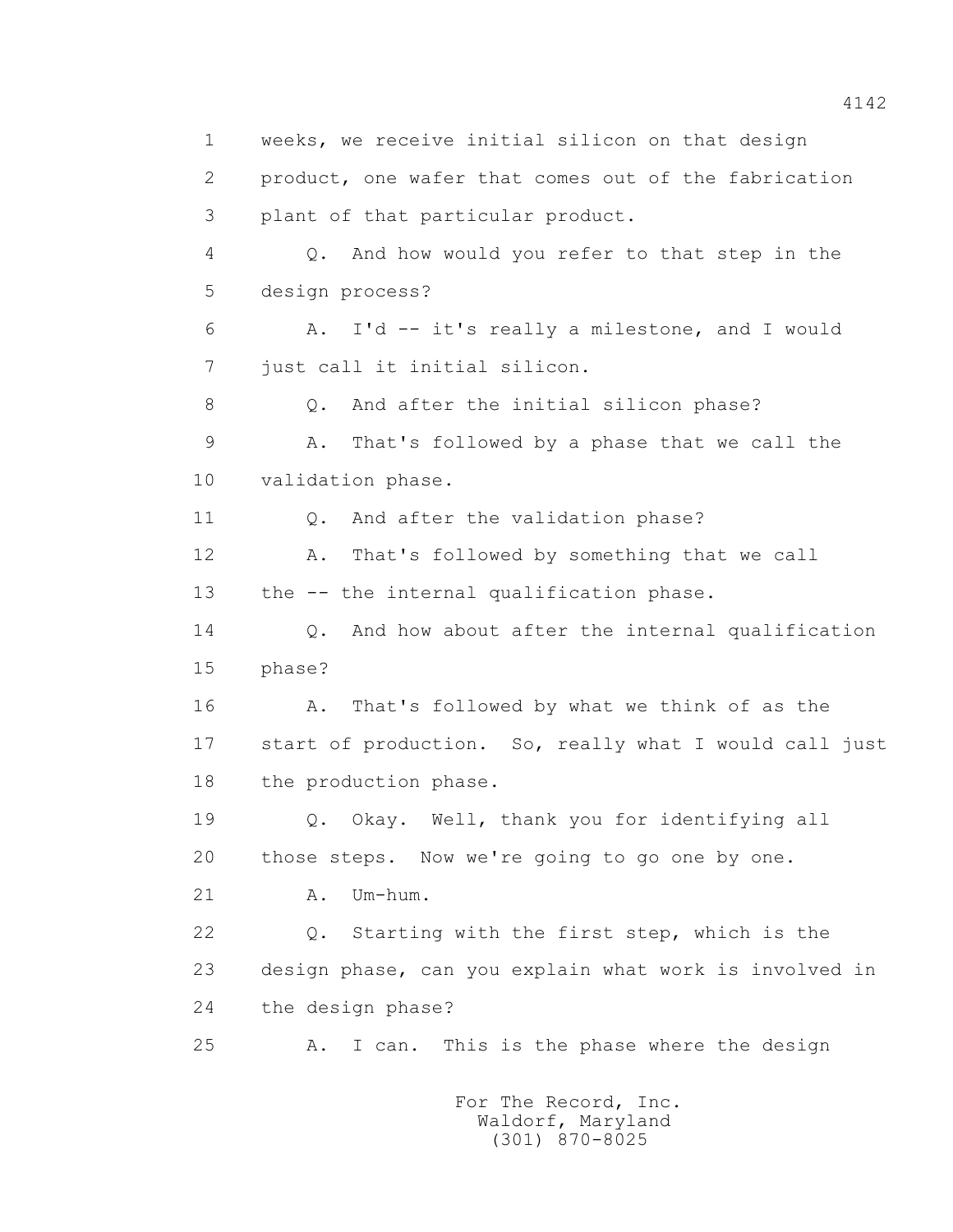1 weeks, we receive initial silicon on that design 2 product, one wafer that comes out of the fabrication 3 plant of that particular product. 4 Q. And how would you refer to that step in the 5 design process? 6 A. I'd -- it's really a milestone, and I would 7 just call it initial silicon. 8 Q. And after the initial silicon phase? 9 A. That's followed by a phase that we call the 10 validation phase. 11 0. And after the validation phase? 12 A. That's followed by something that we call 13 the -- the internal qualification phase. 14 Q. And how about after the internal qualification 15 phase? 16 A. That's followed by what we think of as the 17 start of production. So, really what I would call just 18 the production phase. 19 Q. Okay. Well, thank you for identifying all 20 those steps. Now we're going to go one by one. 21 A. Um-hum. 22 Q. Starting with the first step, which is the 23 design phase, can you explain what work is involved in 24 the design phase? 25 A. I can. This is the phase where the design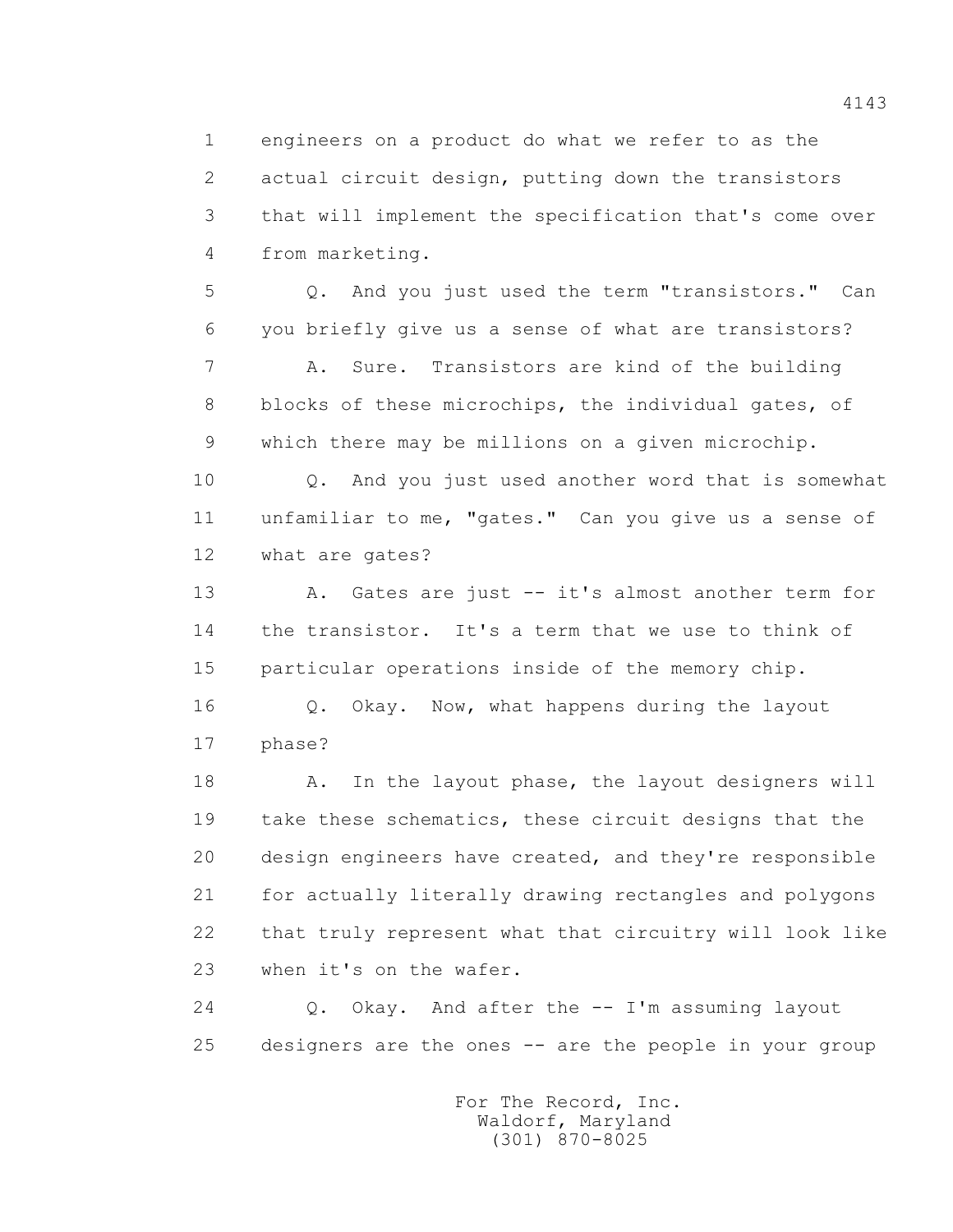1 engineers on a product do what we refer to as the 2 actual circuit design, putting down the transistors 3 that will implement the specification that's come over 4 from marketing.

 5 Q. And you just used the term "transistors." Can 6 you briefly give us a sense of what are transistors?

 7 A. Sure. Transistors are kind of the building 8 blocks of these microchips, the individual gates, of 9 which there may be millions on a given microchip.

 10 Q. And you just used another word that is somewhat 11 unfamiliar to me, "gates." Can you give us a sense of 12 what are gates?

 13 A. Gates are just -- it's almost another term for 14 the transistor. It's a term that we use to think of 15 particular operations inside of the memory chip.

16 0. Okay. Now, what happens during the layout 17 phase?

18 A. In the layout phase, the layout designers will 19 take these schematics, these circuit designs that the 20 design engineers have created, and they're responsible 21 for actually literally drawing rectangles and polygons 22 that truly represent what that circuitry will look like 23 when it's on the wafer.

 24 Q. Okay. And after the -- I'm assuming layout 25 designers are the ones -- are the people in your group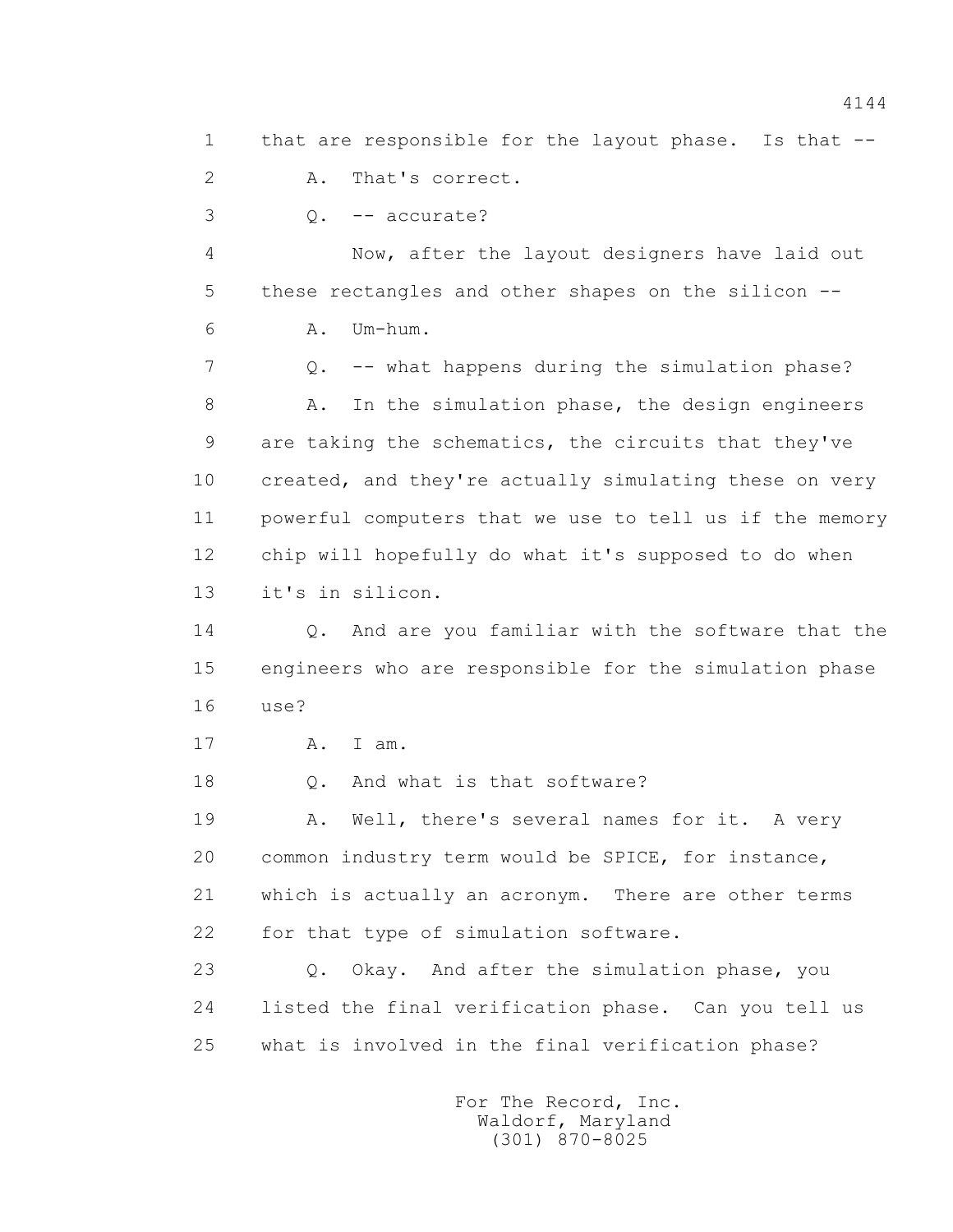1 that are responsible for the layout phase. Is that -- 2 A. That's correct.  $3 \qquad \qquad 0. \qquad -- \text{ accurate?}$  4 Now, after the layout designers have laid out 5 these rectangles and other shapes on the silicon -- 6 A. Um-hum. 7 Q. -- what happens during the simulation phase? 8 A. In the simulation phase, the design engineers 9 are taking the schematics, the circuits that they've 10 created, and they're actually simulating these on very 11 powerful computers that we use to tell us if the memory 12 chip will hopefully do what it's supposed to do when 13 it's in silicon. 14 Q. And are you familiar with the software that the 15 engineers who are responsible for the simulation phase 16 use? 17 A. I am. 18 0. And what is that software? 19 A. Well, there's several names for it. A very 20 common industry term would be SPICE, for instance, 21 which is actually an acronym. There are other terms 22 for that type of simulation software. 23 Q. Okay. And after the simulation phase, you 24 listed the final verification phase. Can you tell us 25 what is involved in the final verification phase?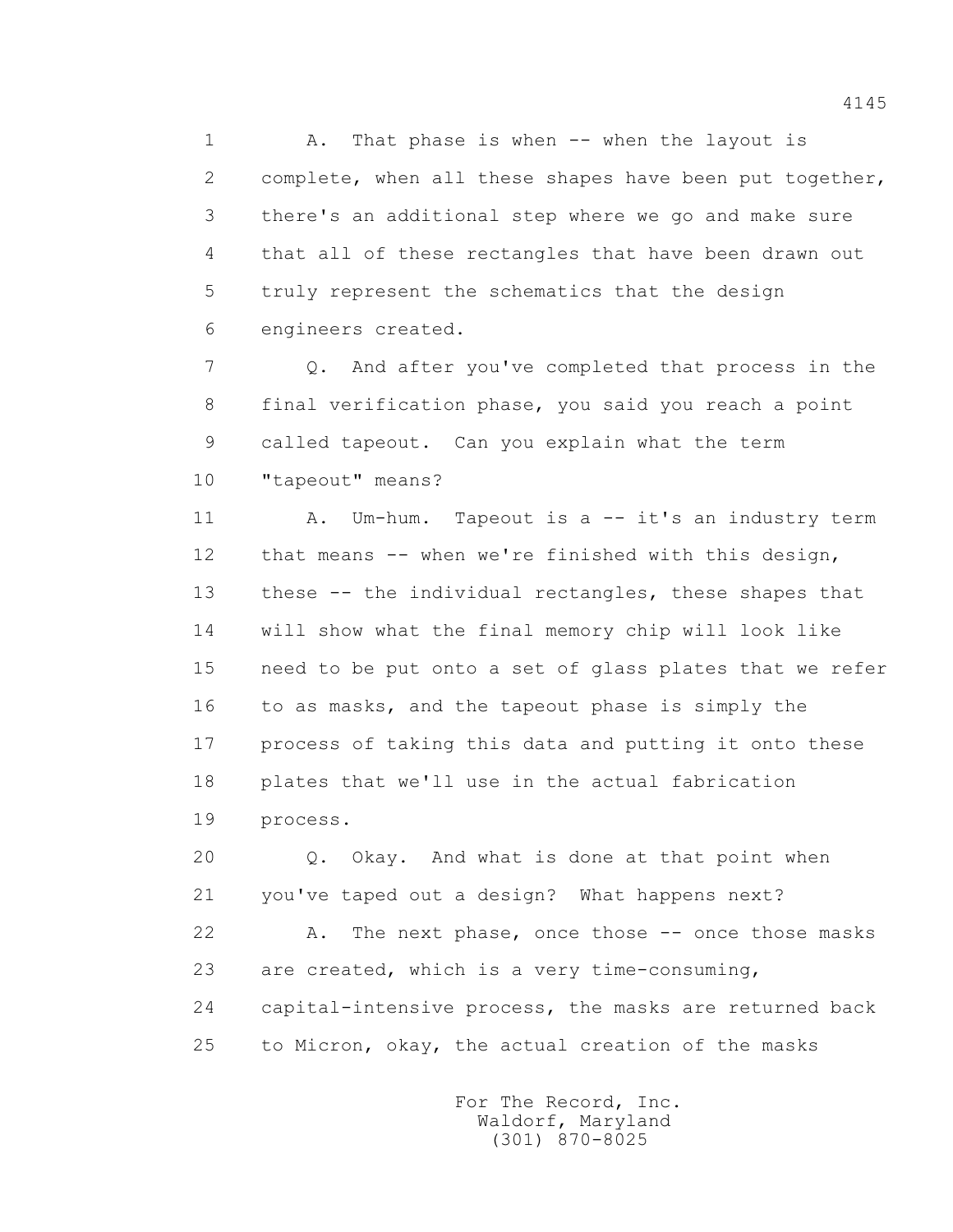1 A. That phase is when -- when the layout is 2 complete, when all these shapes have been put together, 3 there's an additional step where we go and make sure 4 that all of these rectangles that have been drawn out 5 truly represent the schematics that the design 6 engineers created.

 7 Q. And after you've completed that process in the 8 final verification phase, you said you reach a point 9 called tapeout. Can you explain what the term 10 "tapeout" means?

 11 A. Um-hum. Tapeout is a -- it's an industry term 12 that means -- when we're finished with this design, 13 these -- the individual rectangles, these shapes that 14 will show what the final memory chip will look like 15 need to be put onto a set of glass plates that we refer 16 to as masks, and the tapeout phase is simply the 17 process of taking this data and putting it onto these 18 plates that we'll use in the actual fabrication 19 process.

 20 Q. Okay. And what is done at that point when 21 you've taped out a design? What happens next?

22 A. The next phase, once those -- once those masks 23 are created, which is a very time-consuming, 24 capital-intensive process, the masks are returned back 25 to Micron, okay, the actual creation of the masks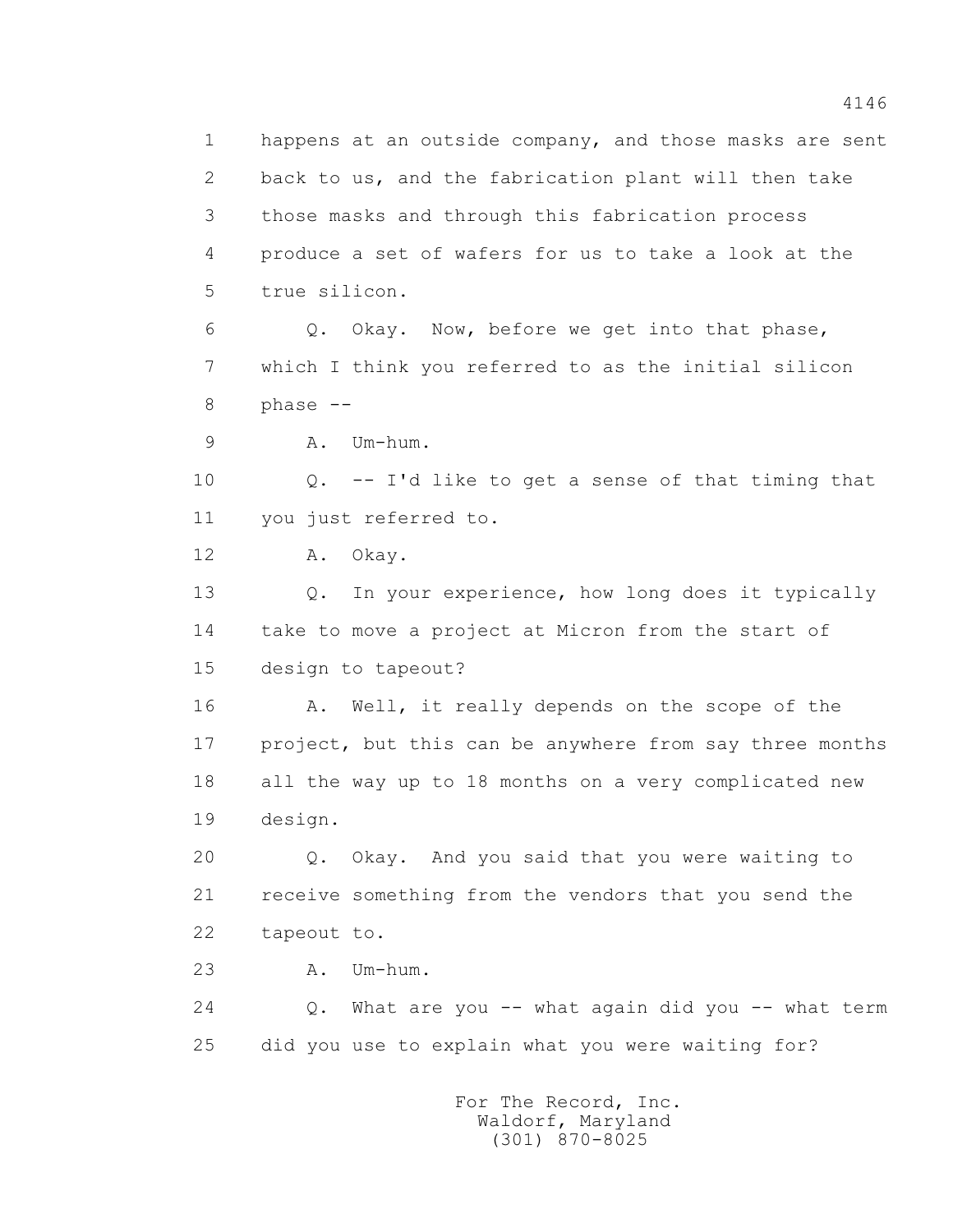1 happens at an outside company, and those masks are sent 2 back to us, and the fabrication plant will then take 3 those masks and through this fabrication process 4 produce a set of wafers for us to take a look at the 5 true silicon. 6 Q. Okay. Now, before we get into that phase, 7 which I think you referred to as the initial silicon 8 phase -- 9 A. Um-hum. 10 Q. -- I'd like to get a sense of that timing that 11 you just referred to. 12 A. Okay. 13 Q. In your experience, how long does it typically 14 take to move a project at Micron from the start of 15 design to tapeout? 16 A. Well, it really depends on the scope of the 17 project, but this can be anywhere from say three months 18 all the way up to 18 months on a very complicated new 19 design. 20 Q. Okay. And you said that you were waiting to 21 receive something from the vendors that you send the 22 tapeout to. 23 A. Um-hum. 24 Q. What are you -- what again did you -- what term 25 did you use to explain what you were waiting for?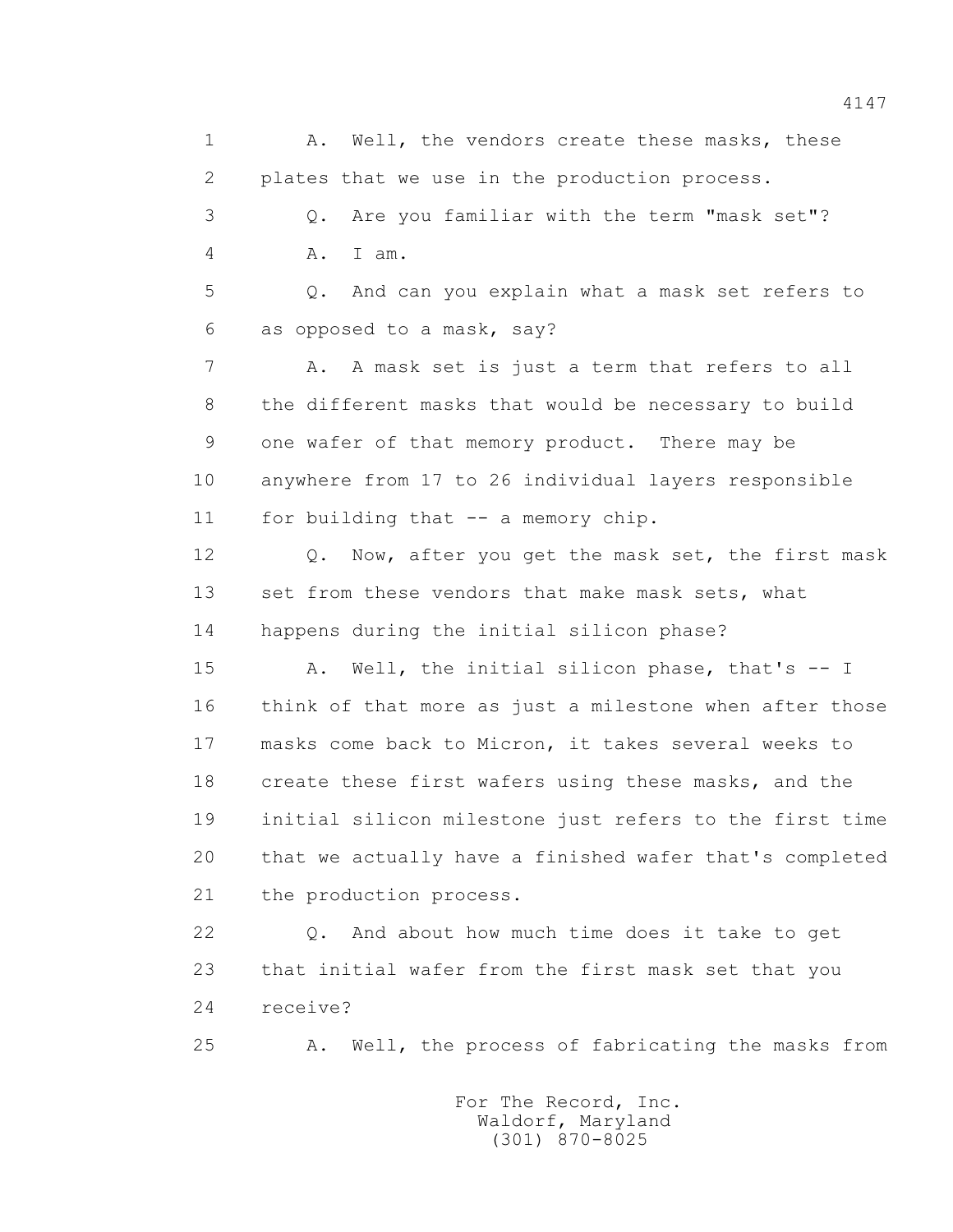1 A. Well, the vendors create these masks, these 2 plates that we use in the production process. 3 Q. Are you familiar with the term "mask set"? 4 A. I am. 5 Q. And can you explain what a mask set refers to 6 as opposed to a mask, say? 7 A. A mask set is just a term that refers to all 8 the different masks that would be necessary to build 9 one wafer of that memory product. There may be 10 anywhere from 17 to 26 individual layers responsible 11 for building that -- a memory chip. 12 Q. Now, after you get the mask set, the first mask 13 set from these vendors that make mask sets, what 14 happens during the initial silicon phase? 15 A. Well, the initial silicon phase, that's -- I 16 think of that more as just a milestone when after those 17 masks come back to Micron, it takes several weeks to 18 create these first wafers using these masks, and the 19 initial silicon milestone just refers to the first time 20 that we actually have a finished wafer that's completed 21 the production process. 22 Q. And about how much time does it take to get 23 that initial wafer from the first mask set that you 24 receive? 25 A. Well, the process of fabricating the masks from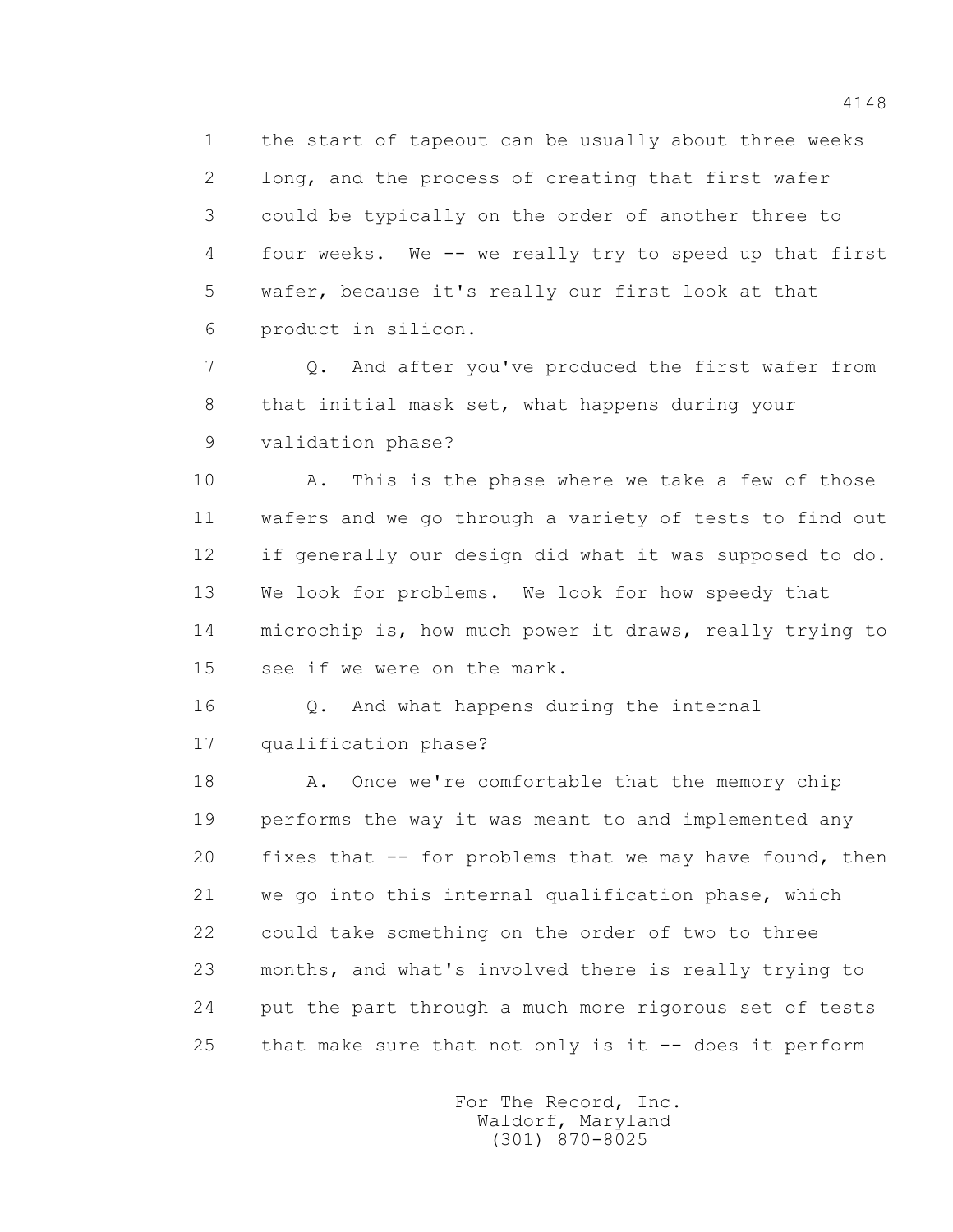1 the start of tapeout can be usually about three weeks 2 long, and the process of creating that first wafer 3 could be typically on the order of another three to 4 four weeks. We -- we really try to speed up that first 5 wafer, because it's really our first look at that 6 product in silicon.

 7 Q. And after you've produced the first wafer from 8 that initial mask set, what happens during your 9 validation phase?

 10 A. This is the phase where we take a few of those 11 wafers and we go through a variety of tests to find out 12 if generally our design did what it was supposed to do. 13 We look for problems. We look for how speedy that 14 microchip is, how much power it draws, really trying to 15 see if we were on the mark.

 16 Q. And what happens during the internal 17 qualification phase?

18 A. Once we're comfortable that the memory chip 19 performs the way it was meant to and implemented any 20 fixes that -- for problems that we may have found, then 21 we go into this internal qualification phase, which 22 could take something on the order of two to three 23 months, and what's involved there is really trying to 24 put the part through a much more rigorous set of tests 25 that make sure that not only is it -- does it perform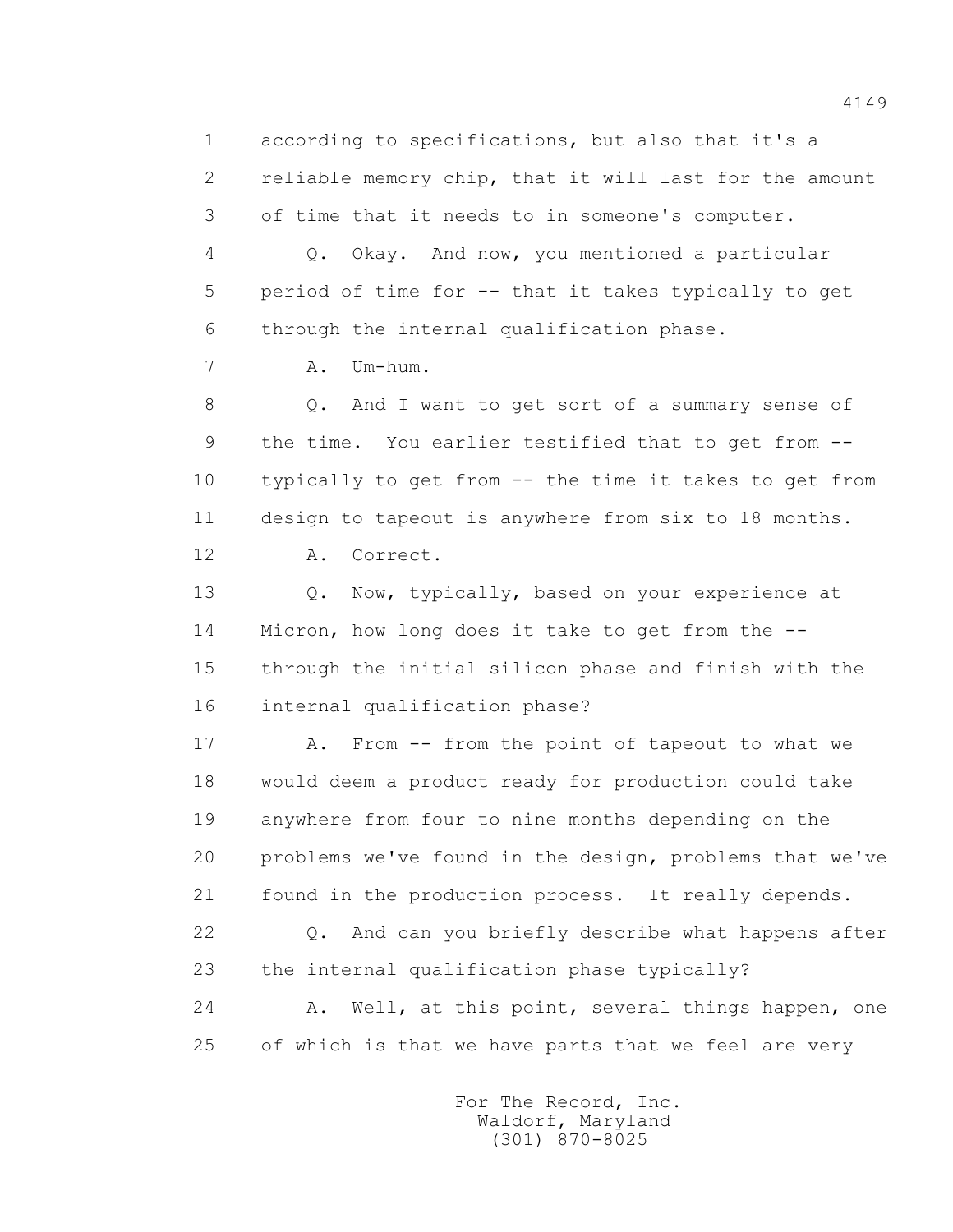1 according to specifications, but also that it's a 2 reliable memory chip, that it will last for the amount 3 of time that it needs to in someone's computer. 4 Q. Okay. And now, you mentioned a particular 5 period of time for -- that it takes typically to get 6 through the internal qualification phase. 7 A. Um-hum. 8 Q. And I want to get sort of a summary sense of 9 the time. You earlier testified that to get from -- 10 typically to get from -- the time it takes to get from 11 design to tapeout is anywhere from six to 18 months. 12 A. Correct. 13 0. Now, typically, based on your experience at 14 Micron, how long does it take to get from the -- 15 through the initial silicon phase and finish with the 16 internal qualification phase? 17 A. From -- from the point of tapeout to what we 18 would deem a product ready for production could take 19 anywhere from four to nine months depending on the 20 problems we've found in the design, problems that we've 21 found in the production process. It really depends. 22 Q. And can you briefly describe what happens after 23 the internal qualification phase typically? 24 A. Well, at this point, several things happen, one 25 of which is that we have parts that we feel are very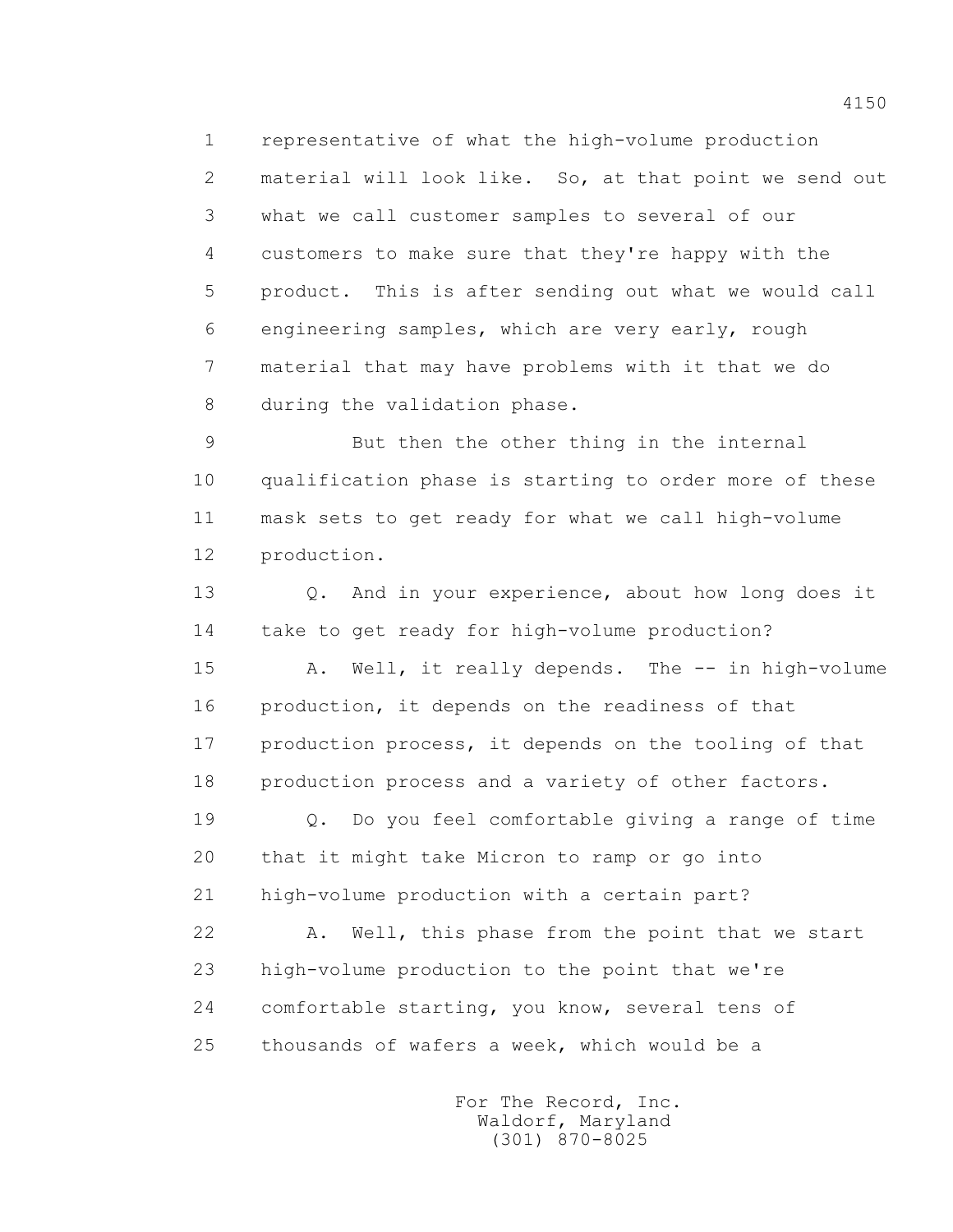1 representative of what the high-volume production 2 material will look like. So, at that point we send out 3 what we call customer samples to several of our 4 customers to make sure that they're happy with the 5 product. This is after sending out what we would call 6 engineering samples, which are very early, rough 7 material that may have problems with it that we do 8 during the validation phase.

 9 But then the other thing in the internal 10 qualification phase is starting to order more of these 11 mask sets to get ready for what we call high-volume 12 production.

 13 Q. And in your experience, about how long does it 14 take to get ready for high-volume production?

 15 A. Well, it really depends. The -- in high-volume 16 production, it depends on the readiness of that 17 production process, it depends on the tooling of that 18 production process and a variety of other factors.

 19 Q. Do you feel comfortable giving a range of time 20 that it might take Micron to ramp or go into 21 high-volume production with a certain part?

 22 A. Well, this phase from the point that we start 23 high-volume production to the point that we're 24 comfortable starting, you know, several tens of 25 thousands of wafers a week, which would be a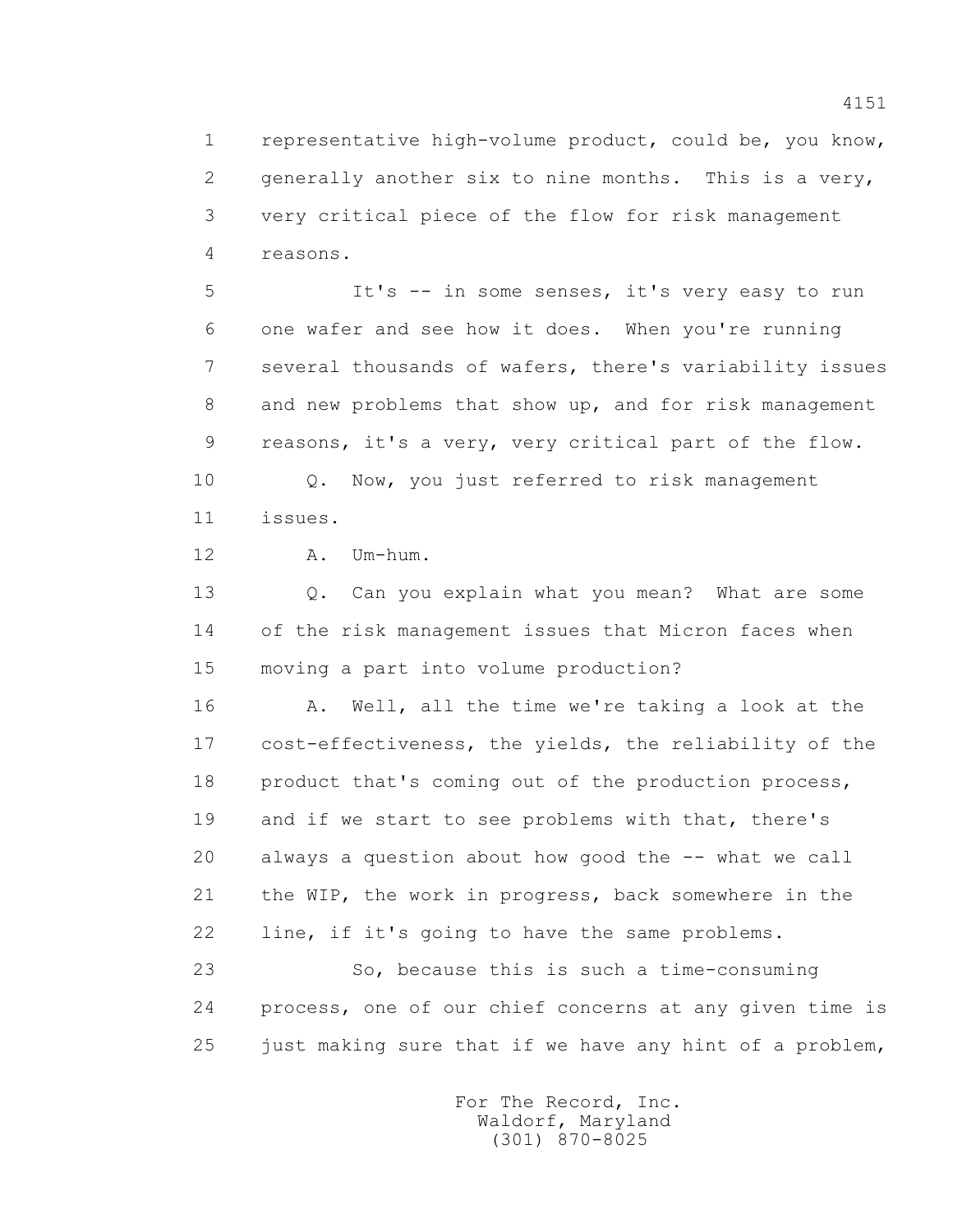1 representative high-volume product, could be, you know, 2 generally another six to nine months. This is a very, 3 very critical piece of the flow for risk management 4 reasons.

 5 It's -- in some senses, it's very easy to run 6 one wafer and see how it does. When you're running 7 several thousands of wafers, there's variability issues 8 and new problems that show up, and for risk management 9 reasons, it's a very, very critical part of the flow.

 10 Q. Now, you just referred to risk management 11 issues.

12 A. Um-hum.

 13 Q. Can you explain what you mean? What are some 14 of the risk management issues that Micron faces when 15 moving a part into volume production?

 16 A. Well, all the time we're taking a look at the 17 cost-effectiveness, the yields, the reliability of the 18 product that's coming out of the production process, 19 and if we start to see problems with that, there's 20 always a question about how good the -- what we call 21 the WIP, the work in progress, back somewhere in the 22 line, if it's going to have the same problems.

 23 So, because this is such a time-consuming 24 process, one of our chief concerns at any given time is 25 just making sure that if we have any hint of a problem,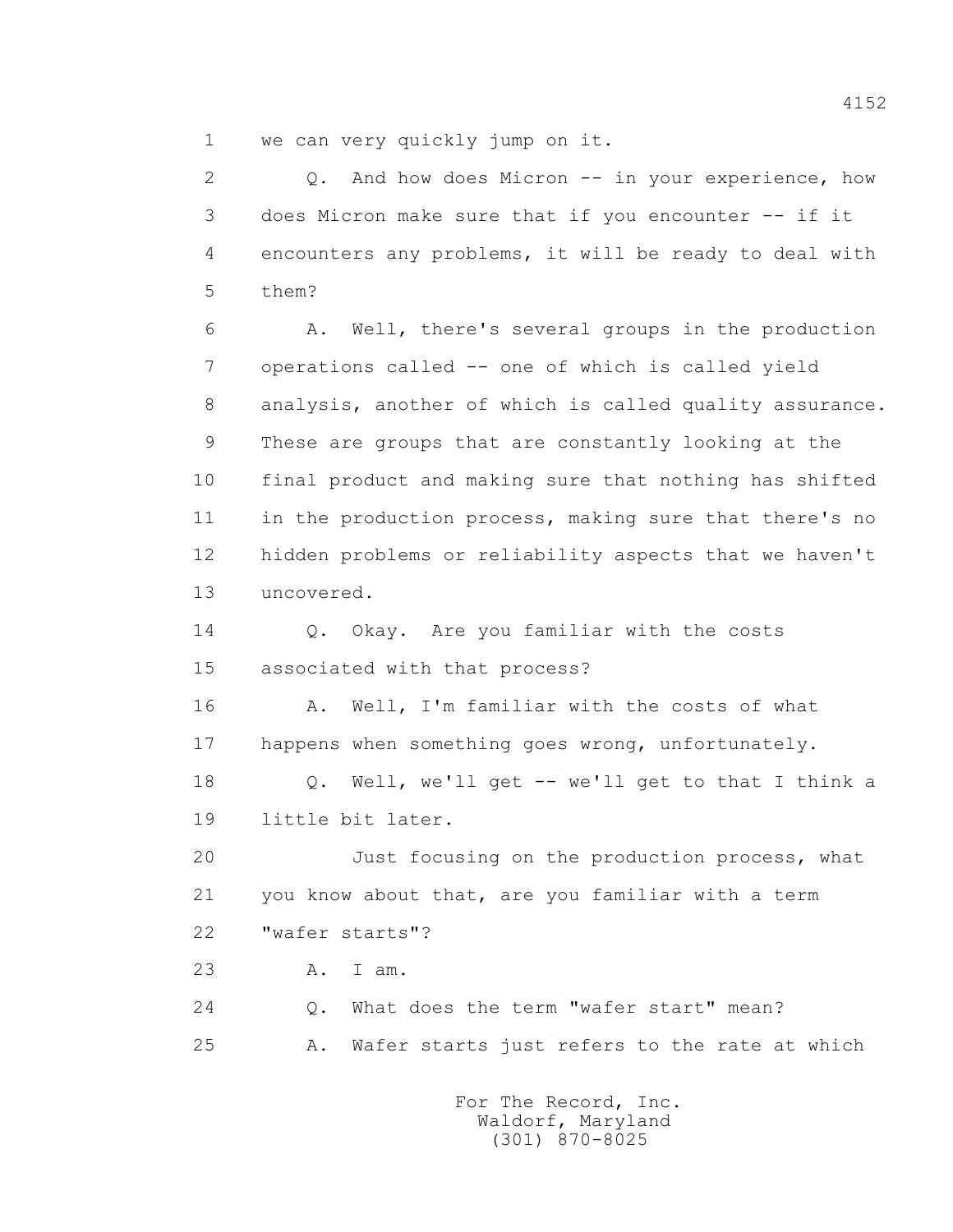1 we can very quickly jump on it.

 2 Q. And how does Micron -- in your experience, how 3 does Micron make sure that if you encounter -- if it 4 encounters any problems, it will be ready to deal with 5 them? 6 A. Well, there's several groups in the production 7 operations called -- one of which is called yield 8 analysis, another of which is called quality assurance. 9 These are groups that are constantly looking at the 10 final product and making sure that nothing has shifted 11 in the production process, making sure that there's no 12 hidden problems or reliability aspects that we haven't 13 uncovered. 14 0. Okay. Are you familiar with the costs 15 associated with that process? 16 A. Well, I'm familiar with the costs of what 17 happens when something goes wrong, unfortunately. 18 Q. Well, we'll get -- we'll get to that I think a 19 little bit later. 20 Just focusing on the production process, what 21 you know about that, are you familiar with a term 22 "wafer starts"? 23 A. I am. 24 Q. What does the term "wafer start" mean? 25 A. Wafer starts just refers to the rate at which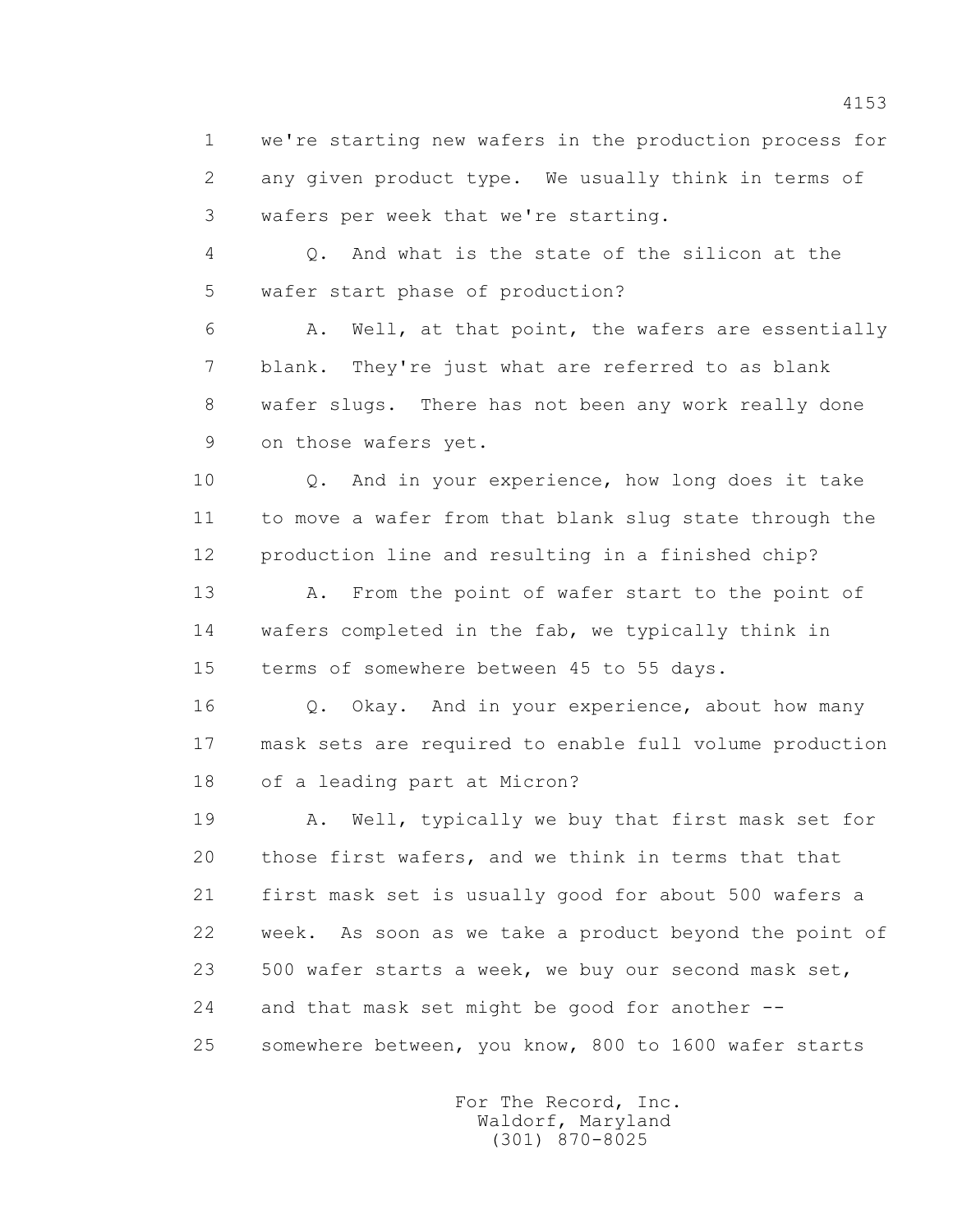1 we're starting new wafers in the production process for 2 any given product type. We usually think in terms of 3 wafers per week that we're starting.

 4 Q. And what is the state of the silicon at the 5 wafer start phase of production?

 6 A. Well, at that point, the wafers are essentially 7 blank. They're just what are referred to as blank 8 wafer slugs. There has not been any work really done 9 on those wafers yet.

 10 Q. And in your experience, how long does it take 11 to move a wafer from that blank slug state through the 12 production line and resulting in a finished chip?

 13 A. From the point of wafer start to the point of 14 wafers completed in the fab, we typically think in 15 terms of somewhere between 45 to 55 days.

16 0. Okay. And in your experience, about how many 17 mask sets are required to enable full volume production 18 of a leading part at Micron?

 19 A. Well, typically we buy that first mask set for 20 those first wafers, and we think in terms that that 21 first mask set is usually good for about 500 wafers a 22 week. As soon as we take a product beyond the point of 23 500 wafer starts a week, we buy our second mask set, 24 and that mask set might be good for another -- 25 somewhere between, you know, 800 to 1600 wafer starts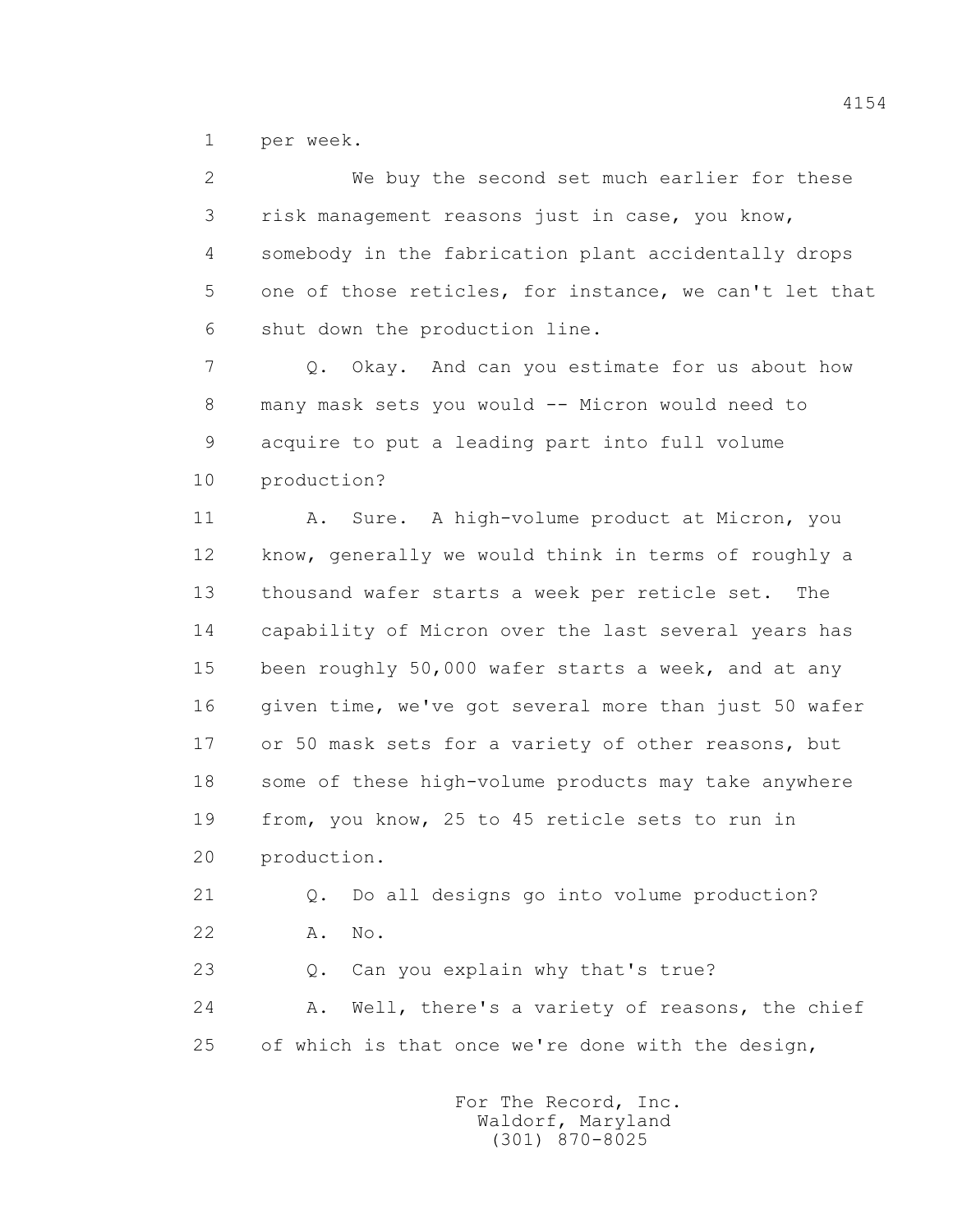1 per week.

| $\mathbf{2}^{\prime}$ | We buy the second set much earlier for these           |
|-----------------------|--------------------------------------------------------|
| 3                     | risk management reasons just in case, you know,        |
| 4                     | somebody in the fabrication plant accidentally drops   |
| 5                     | one of those reticles, for instance, we can't let that |
| 6                     | shut down the production line.                         |
| 7                     | Okay. And can you estimate for us about how<br>$Q$ .   |
| 8                     | many mask sets you would -- Micron would need to       |
| 9                     | acquire to put a leading part into full volume         |
| 10                    | production?                                            |
| 11                    | Sure. A high-volume product at Micron, you<br>Α.       |
| 12                    | know, generally we would think in terms of roughly a   |
| 13                    | thousand wafer starts a week per reticle set.<br>The   |
| 14                    | capability of Micron over the last several years has   |
| 15                    | been roughly 50,000 wafer starts a week, and at any    |
| 16                    | given time, we've got several more than just 50 wafer  |
| 17                    | or 50 mask sets for a variety of other reasons, but    |
| 18                    | some of these high-volume products may take anywhere   |
| 19                    | from, you know, 25 to 45 reticle sets to run in        |
| 20                    | production.                                            |
| 21                    | Do all designs go into volume production?<br>Q.        |
| 22                    | No.<br>Α.                                              |
| 23                    | Can you explain why that's true?<br>Q.                 |
| 24                    | Well, there's a variety of reasons, the chief<br>Α.    |
| 25                    | of which is that once we're done with the design,      |
|                       |                                                        |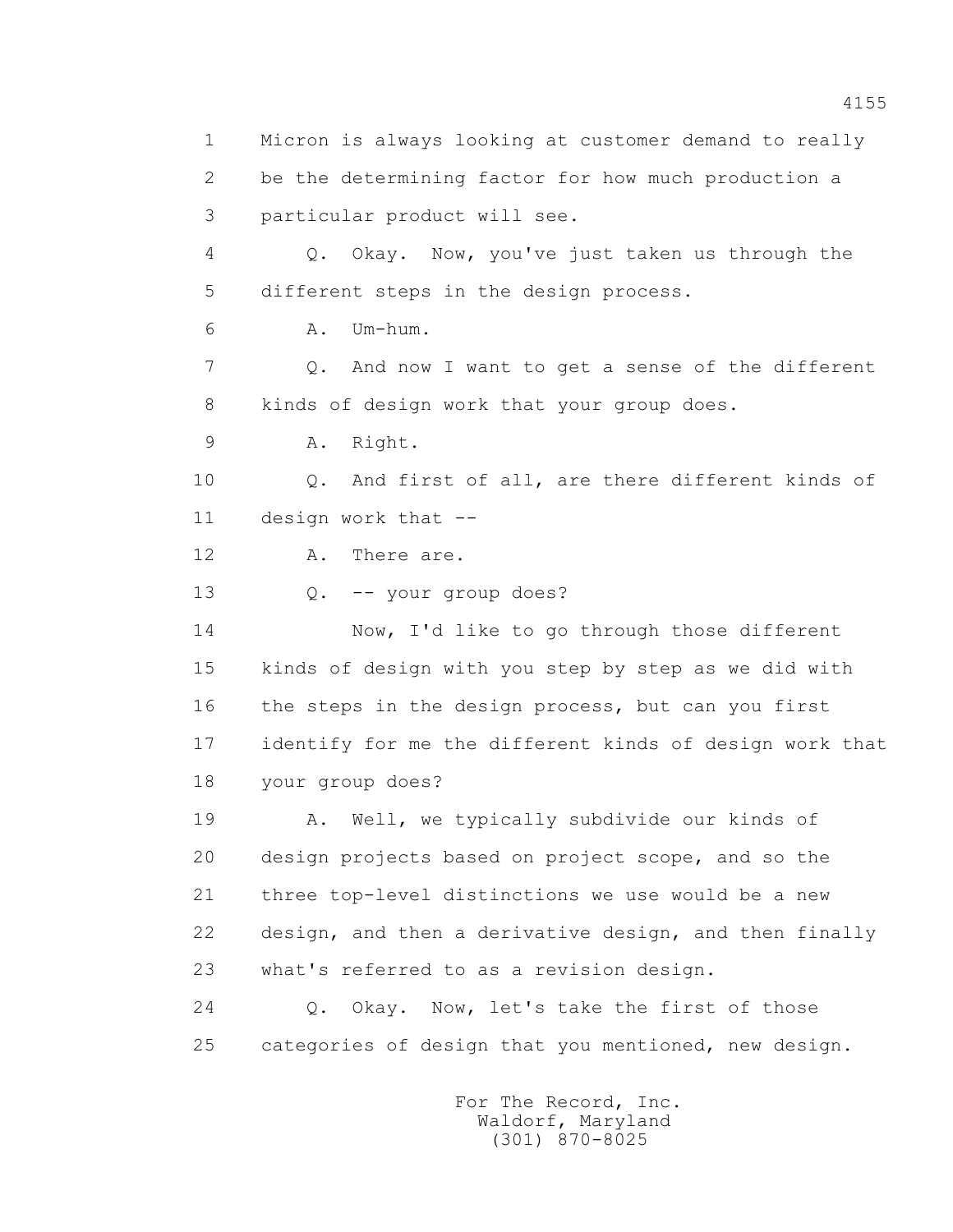1 Micron is always looking at customer demand to really 2 be the determining factor for how much production a 3 particular product will see. 4 Q. Okay. Now, you've just taken us through the 5 different steps in the design process. 6 A. Um-hum. 7 Q. And now I want to get a sense of the different 8 kinds of design work that your group does. 9 A. Right. 10 Q. And first of all, are there different kinds of 11 design work that -- 12 A. There are. 13 Q. -- your group does? 14 Now, I'd like to go through those different 15 kinds of design with you step by step as we did with 16 the steps in the design process, but can you first 17 identify for me the different kinds of design work that 18 your group does? 19 A. Well, we typically subdivide our kinds of 20 design projects based on project scope, and so the 21 three top-level distinctions we use would be a new 22 design, and then a derivative design, and then finally 23 what's referred to as a revision design. 24 Q. Okay. Now, let's take the first of those 25 categories of design that you mentioned, new design.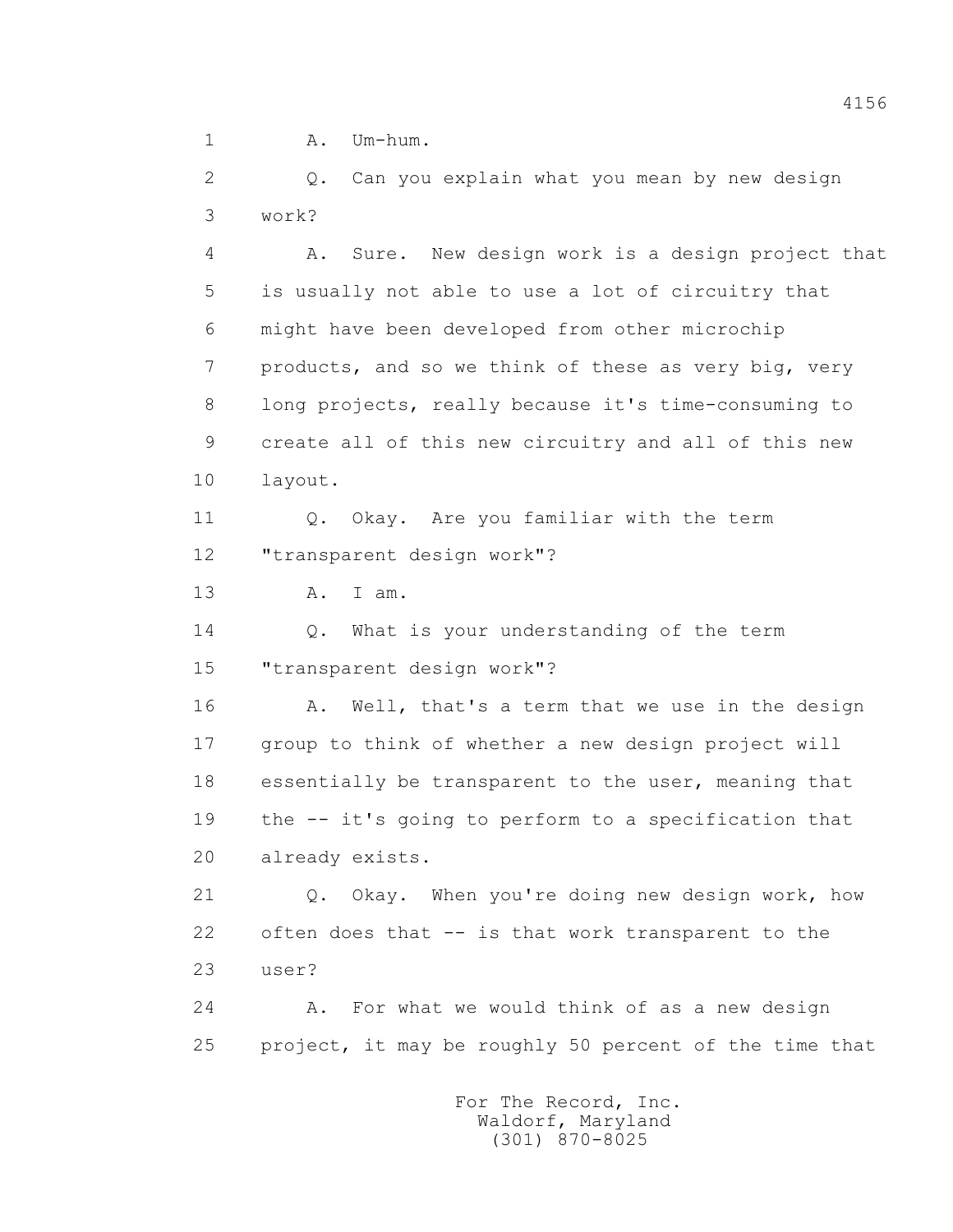1 A. Um-hum.

 2 Q. Can you explain what you mean by new design 3 work?

 4 A. Sure. New design work is a design project that 5 is usually not able to use a lot of circuitry that 6 might have been developed from other microchip 7 products, and so we think of these as very big, very 8 long projects, really because it's time-consuming to 9 create all of this new circuitry and all of this new 10 layout. 11 0. Okay. Are you familiar with the term 12 "transparent design work"? 13 A. I am. 14 Q. What is your understanding of the term 15 "transparent design work"? 16 A. Well, that's a term that we use in the design 17 group to think of whether a new design project will 18 essentially be transparent to the user, meaning that

 19 the -- it's going to perform to a specification that 20 already exists.

 21 Q. Okay. When you're doing new design work, how 22 often does that -- is that work transparent to the 23 user?

 24 A. For what we would think of as a new design 25 project, it may be roughly 50 percent of the time that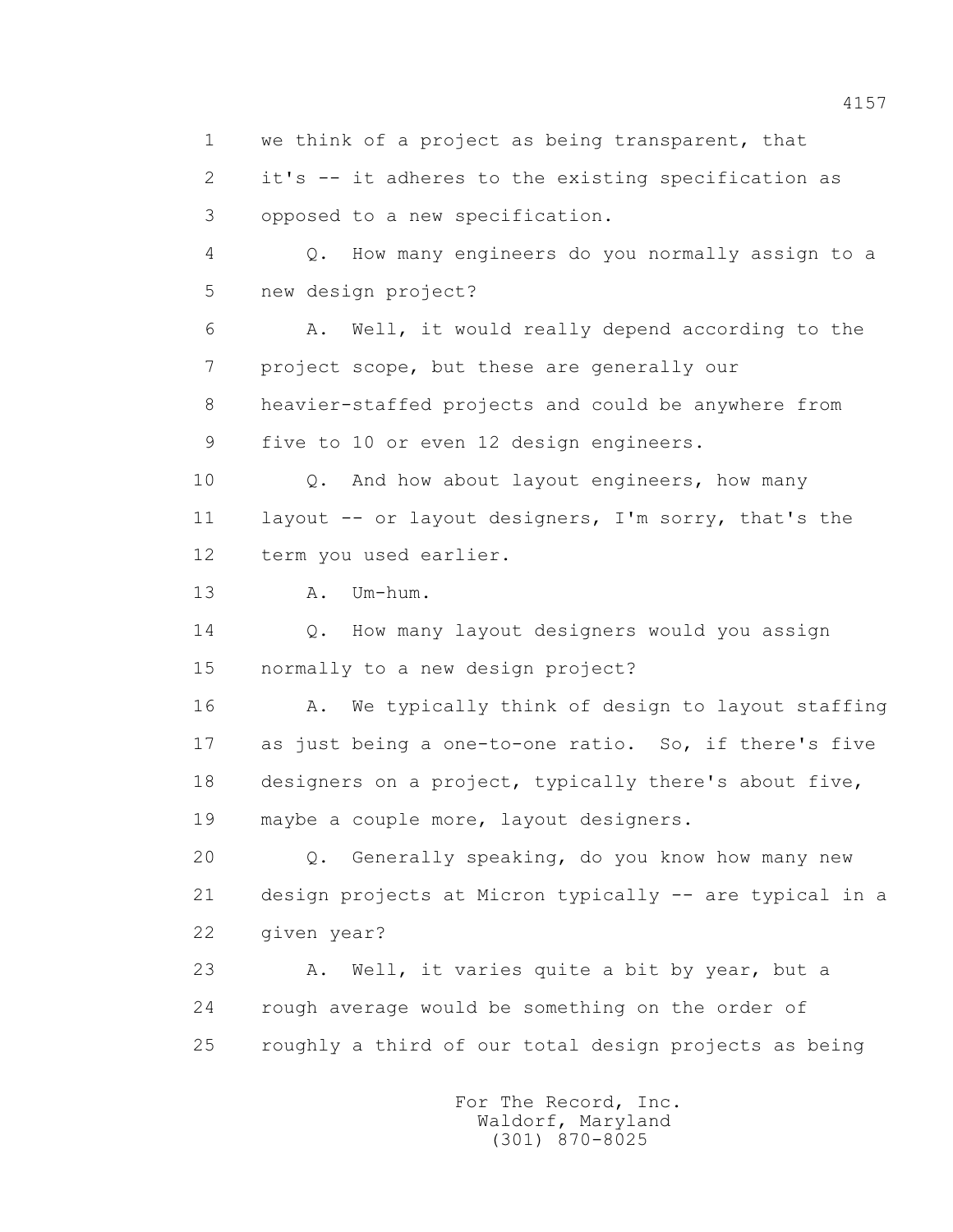1 we think of a project as being transparent, that

 2 it's -- it adheres to the existing specification as 3 opposed to a new specification.

 4 Q. How many engineers do you normally assign to a 5 new design project?

 6 A. Well, it would really depend according to the 7 project scope, but these are generally our 8 heavier-staffed projects and could be anywhere from 9 five to 10 or even 12 design engineers.

 10 Q. And how about layout engineers, how many 11 layout -- or layout designers, I'm sorry, that's the 12 term you used earlier.

13 A. Um-hum.

 14 Q. How many layout designers would you assign 15 normally to a new design project?

16 A. We typically think of design to layout staffing 17 as just being a one-to-one ratio. So, if there's five 18 designers on a project, typically there's about five, 19 maybe a couple more, layout designers.

 20 Q. Generally speaking, do you know how many new 21 design projects at Micron typically -- are typical in a 22 given year?

 23 A. Well, it varies quite a bit by year, but a 24 rough average would be something on the order of 25 roughly a third of our total design projects as being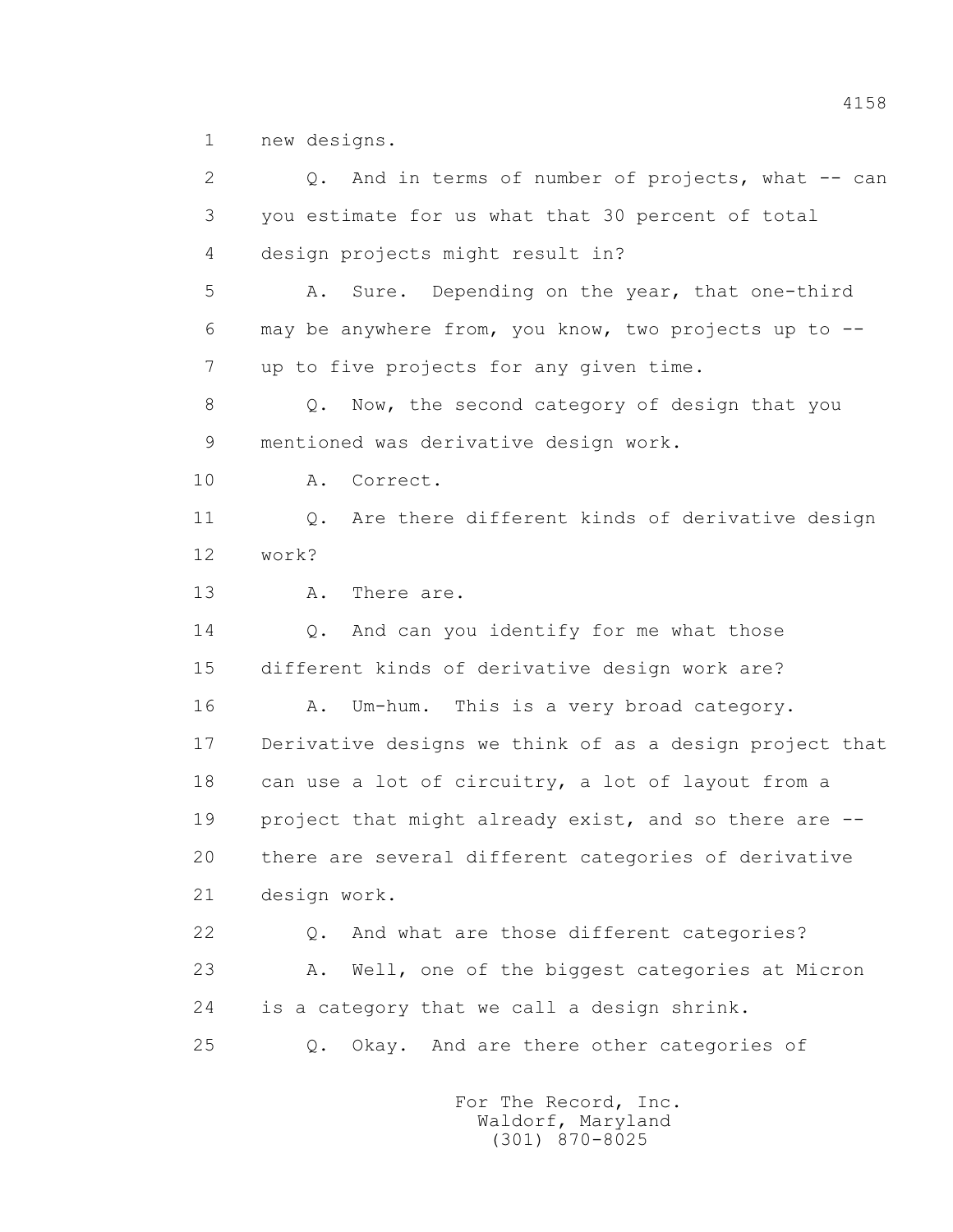1 new designs.

 2 Q. And in terms of number of projects, what -- can 3 you estimate for us what that 30 percent of total 4 design projects might result in? 5 A. Sure. Depending on the year, that one-third 6 may be anywhere from, you know, two projects up to -- 7 up to five projects for any given time. 8 Q. Now, the second category of design that you 9 mentioned was derivative design work. 10 A. Correct. 11 0. Are there different kinds of derivative design 12 work? 13 A. There are. 14 Q. And can you identify for me what those 15 different kinds of derivative design work are? 16 A. Um-hum. This is a very broad category. 17 Derivative designs we think of as a design project that 18 can use a lot of circuitry, a lot of layout from a 19 project that might already exist, and so there are -- 20 there are several different categories of derivative 21 design work. 22 Q. And what are those different categories? 23 A. Well, one of the biggest categories at Micron 24 is a category that we call a design shrink. 25 Q. Okay. And are there other categories of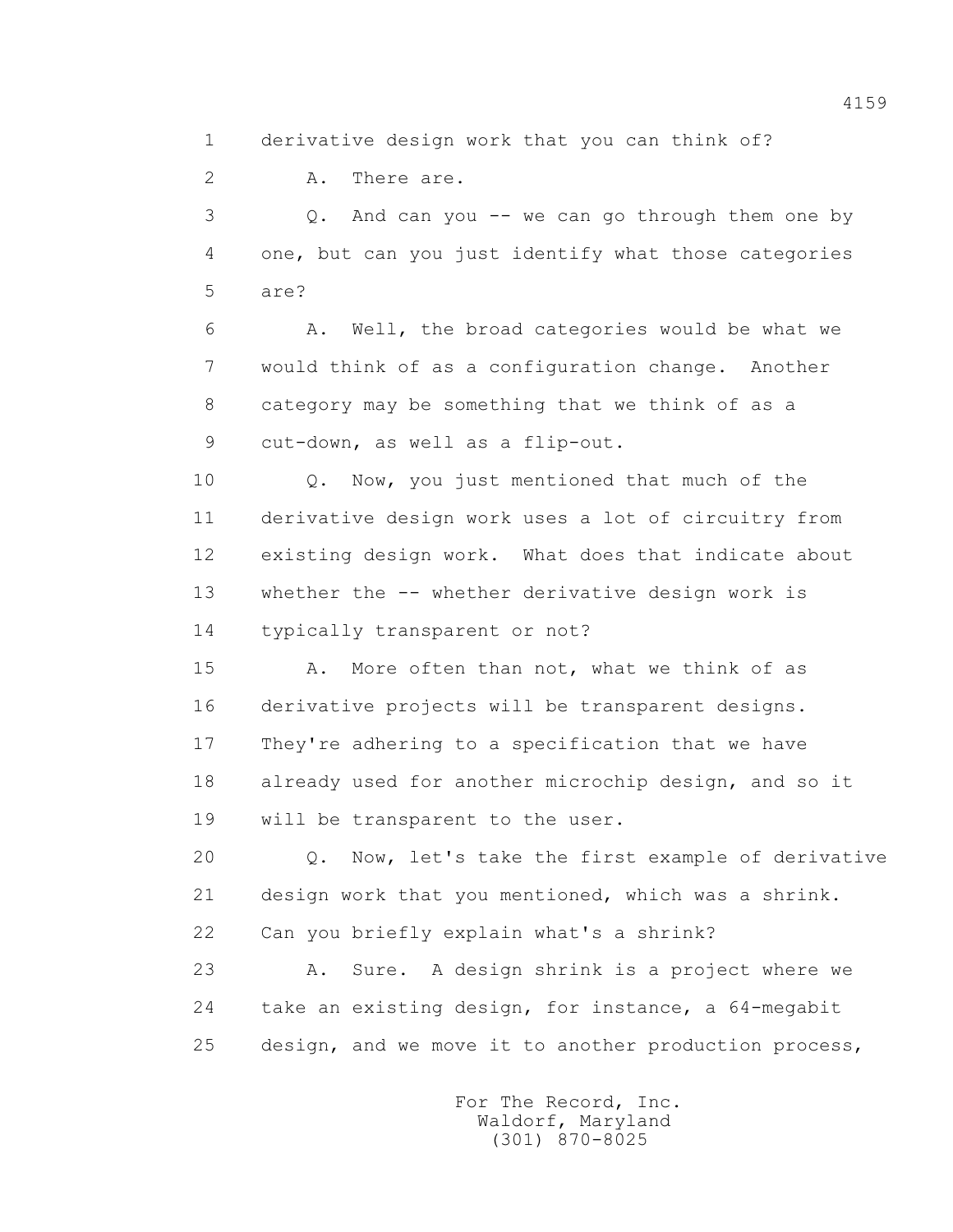1 derivative design work that you can think of?

2 A. There are.

 3 Q. And can you -- we can go through them one by 4 one, but can you just identify what those categories 5 are?

 6 A. Well, the broad categories would be what we 7 would think of as a configuration change. Another 8 category may be something that we think of as a 9 cut-down, as well as a flip-out.

 10 Q. Now, you just mentioned that much of the 11 derivative design work uses a lot of circuitry from 12 existing design work. What does that indicate about 13 whether the -- whether derivative design work is 14 typically transparent or not?

 15 A. More often than not, what we think of as 16 derivative projects will be transparent designs. 17 They're adhering to a specification that we have 18 already used for another microchip design, and so it 19 will be transparent to the user.

 20 Q. Now, let's take the first example of derivative 21 design work that you mentioned, which was a shrink. 22 Can you briefly explain what's a shrink?

 23 A. Sure. A design shrink is a project where we 24 take an existing design, for instance, a 64-megabit 25 design, and we move it to another production process,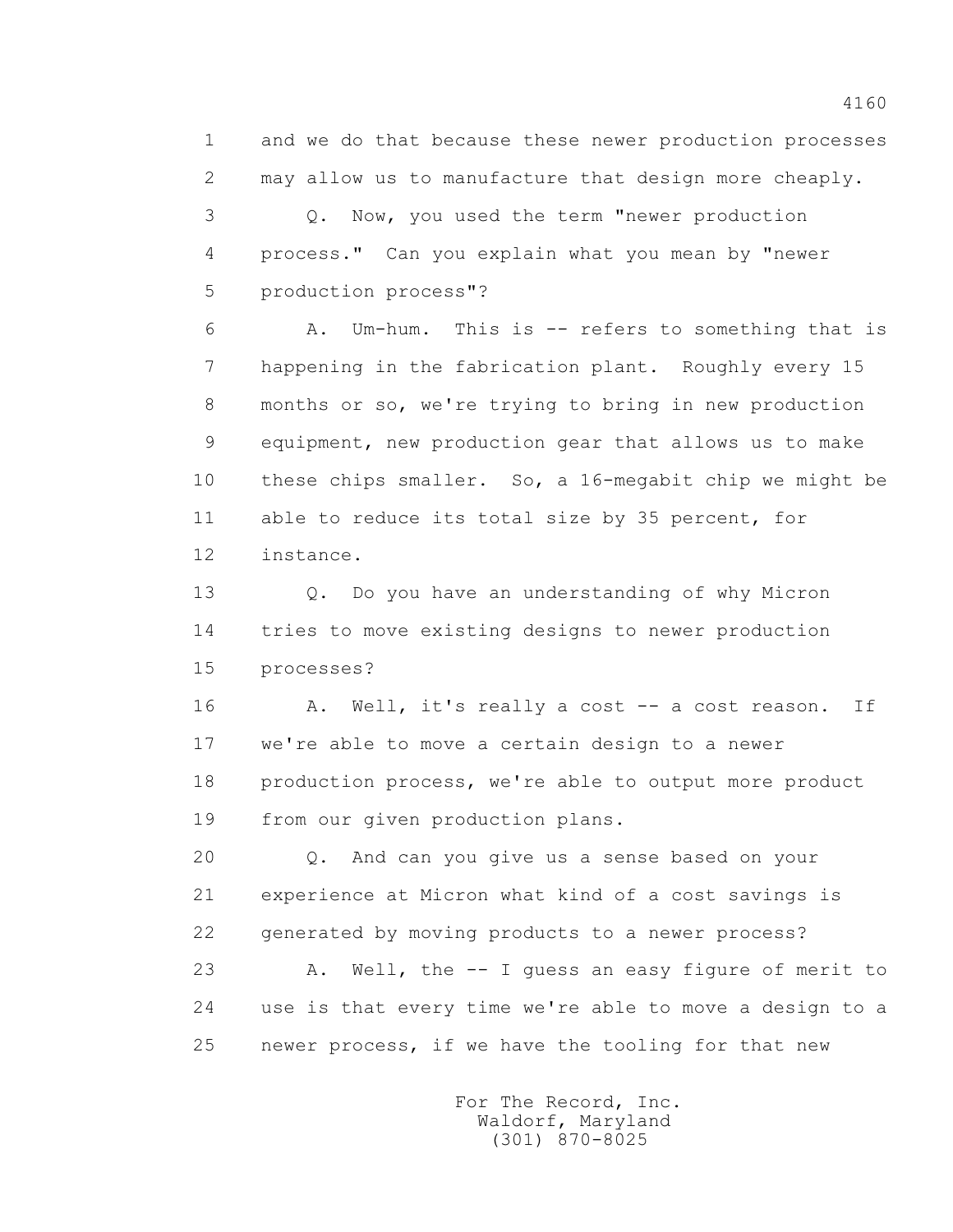1 and we do that because these newer production processes 2 may allow us to manufacture that design more cheaply.

 3 Q. Now, you used the term "newer production 4 process." Can you explain what you mean by "newer 5 production process"?

 6 A. Um-hum. This is -- refers to something that is 7 happening in the fabrication plant. Roughly every 15 8 months or so, we're trying to bring in new production 9 equipment, new production gear that allows us to make 10 these chips smaller. So, a 16-megabit chip we might be 11 able to reduce its total size by 35 percent, for 12 instance.

 13 Q. Do you have an understanding of why Micron 14 tries to move existing designs to newer production 15 processes?

16 A. Well, it's really a cost -- a cost reason. If 17 we're able to move a certain design to a newer 18 production process, we're able to output more product 19 from our given production plans.

 20 Q. And can you give us a sense based on your 21 experience at Micron what kind of a cost savings is 22 generated by moving products to a newer process?

 23 A. Well, the -- I guess an easy figure of merit to 24 use is that every time we're able to move a design to a 25 newer process, if we have the tooling for that new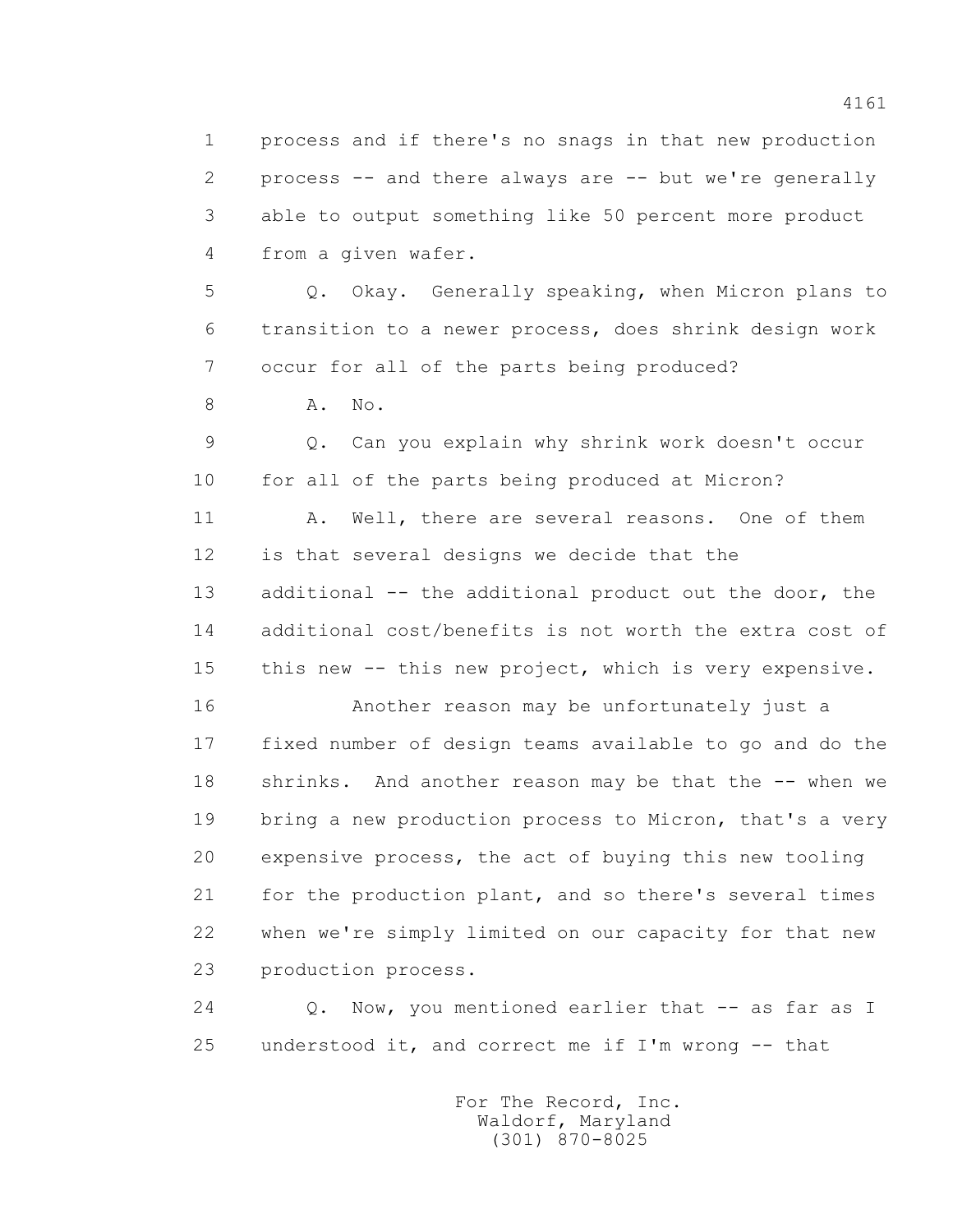1 process and if there's no snags in that new production 2 process -- and there always are -- but we're generally 3 able to output something like 50 percent more product 4 from a given wafer.

 5 Q. Okay. Generally speaking, when Micron plans to 6 transition to a newer process, does shrink design work 7 occur for all of the parts being produced?

8 A. No.

 9 Q. Can you explain why shrink work doesn't occur 10 for all of the parts being produced at Micron?

11 A. Well, there are several reasons. One of them 12 is that several designs we decide that the 13 additional -- the additional product out the door, the 14 additional cost/benefits is not worth the extra cost of 15 this new -- this new project, which is very expensive.

 16 Another reason may be unfortunately just a 17 fixed number of design teams available to go and do the 18 shrinks. And another reason may be that the -- when we 19 bring a new production process to Micron, that's a very 20 expensive process, the act of buying this new tooling 21 for the production plant, and so there's several times 22 when we're simply limited on our capacity for that new 23 production process.

 24 Q. Now, you mentioned earlier that -- as far as I 25 understood it, and correct me if I'm wrong -- that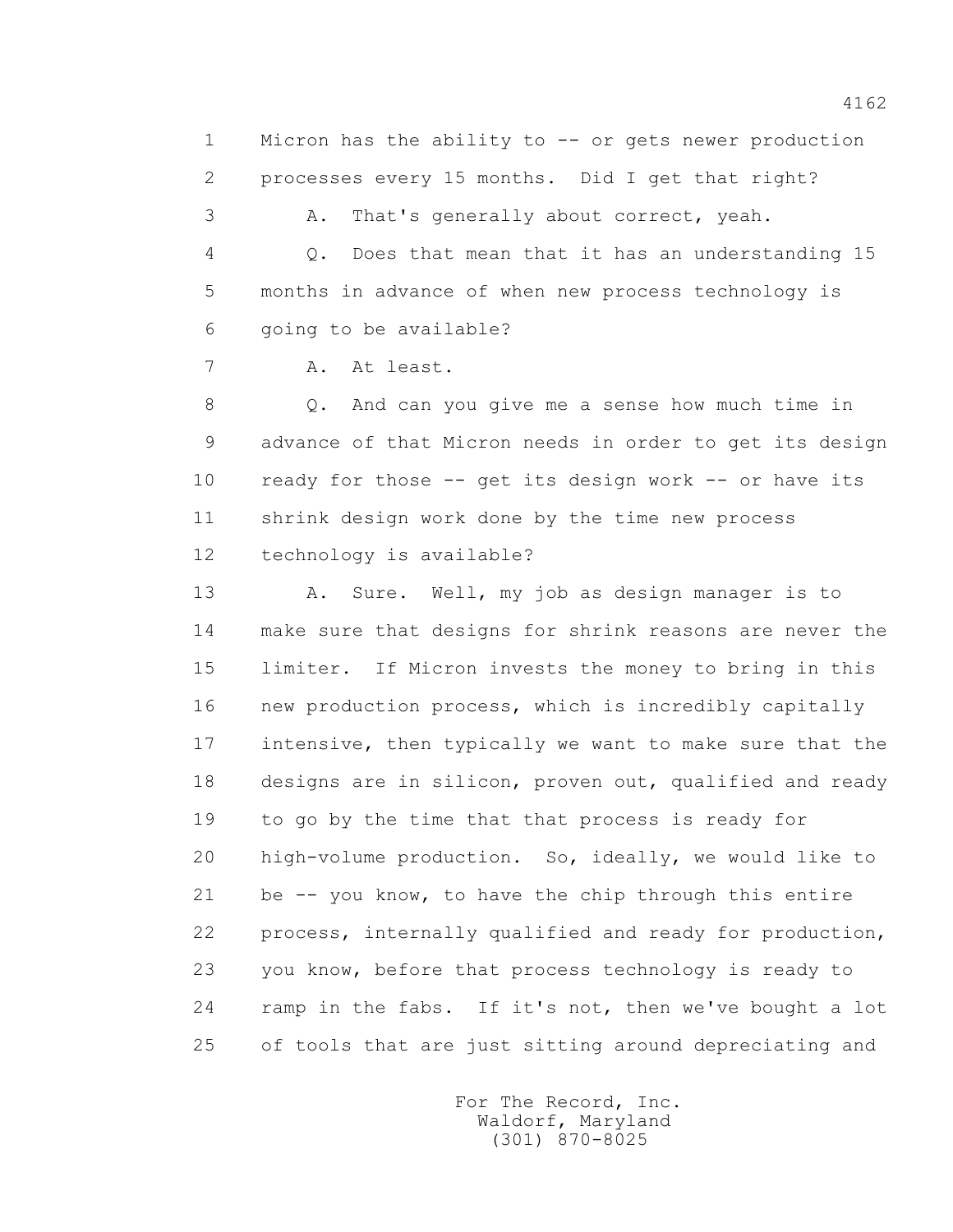1 Micron has the ability to -- or gets newer production 2 processes every 15 months. Did I get that right?

3 A. That's generally about correct, yeah.

 4 Q. Does that mean that it has an understanding 15 5 months in advance of when new process technology is 6 going to be available?

7 A. At least.

 8 Q. And can you give me a sense how much time in 9 advance of that Micron needs in order to get its design 10 ready for those -- get its design work -- or have its 11 shrink design work done by the time new process 12 technology is available?

 13 A. Sure. Well, my job as design manager is to 14 make sure that designs for shrink reasons are never the 15 limiter. If Micron invests the money to bring in this 16 new production process, which is incredibly capitally 17 intensive, then typically we want to make sure that the 18 designs are in silicon, proven out, qualified and ready 19 to go by the time that that process is ready for 20 high-volume production. So, ideally, we would like to 21 be -- you know, to have the chip through this entire 22 process, internally qualified and ready for production, 23 you know, before that process technology is ready to 24 ramp in the fabs. If it's not, then we've bought a lot 25 of tools that are just sitting around depreciating and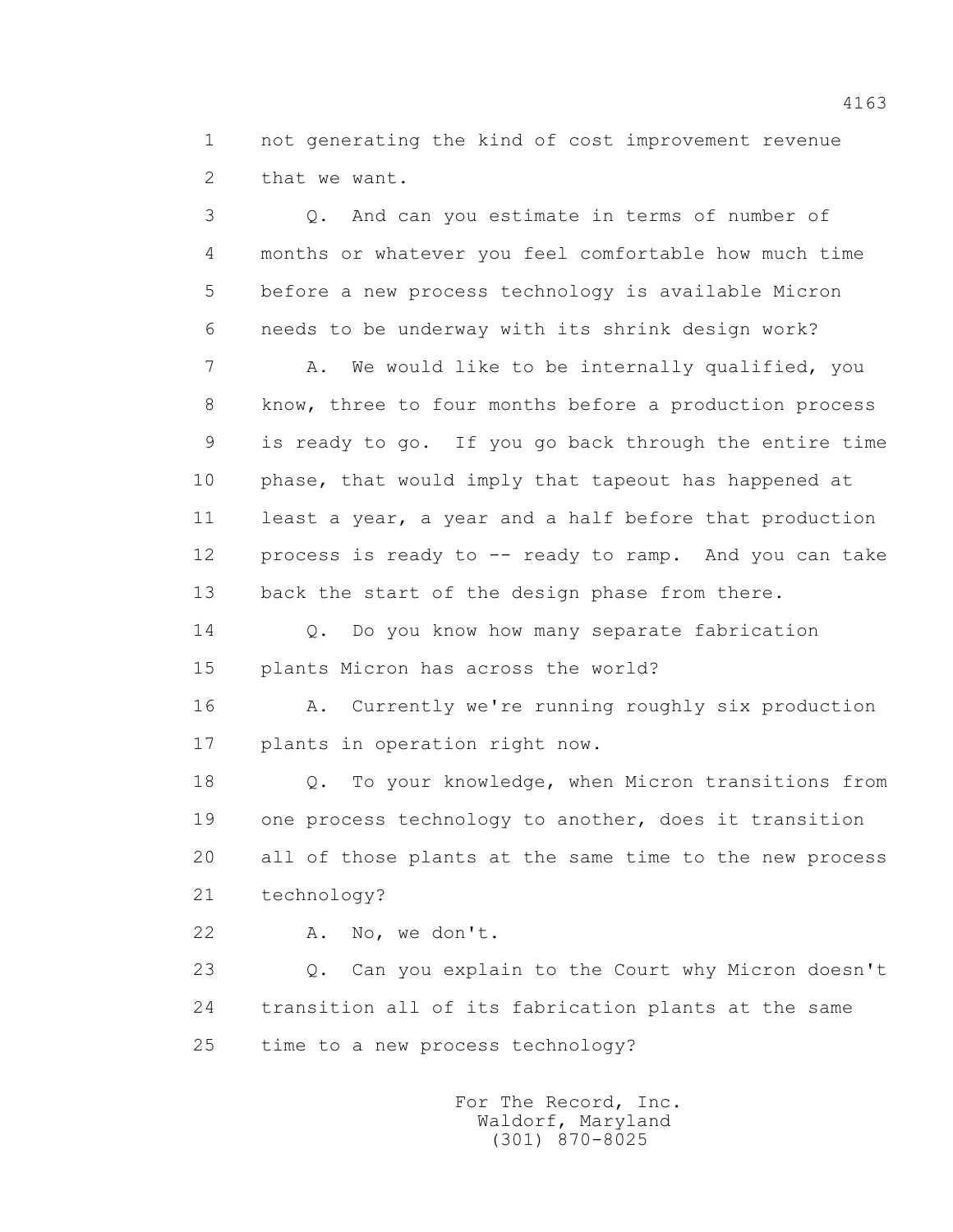1 not generating the kind of cost improvement revenue 2 that we want.

 3 Q. And can you estimate in terms of number of 4 months or whatever you feel comfortable how much time 5 before a new process technology is available Micron 6 needs to be underway with its shrink design work? 7 A. We would like to be internally qualified, you 8 know, three to four months before a production process 9 is ready to go. If you go back through the entire time 10 phase, that would imply that tapeout has happened at 11 least a year, a year and a half before that production 12 process is ready to -- ready to ramp. And you can take 13 back the start of the design phase from there.

 14 Q. Do you know how many separate fabrication 15 plants Micron has across the world?

 16 A. Currently we're running roughly six production 17 plants in operation right now.

 18 Q. To your knowledge, when Micron transitions from 19 one process technology to another, does it transition 20 all of those plants at the same time to the new process 21 technology?

22 A. No, we don't.

 23 Q. Can you explain to the Court why Micron doesn't 24 transition all of its fabrication plants at the same 25 time to a new process technology?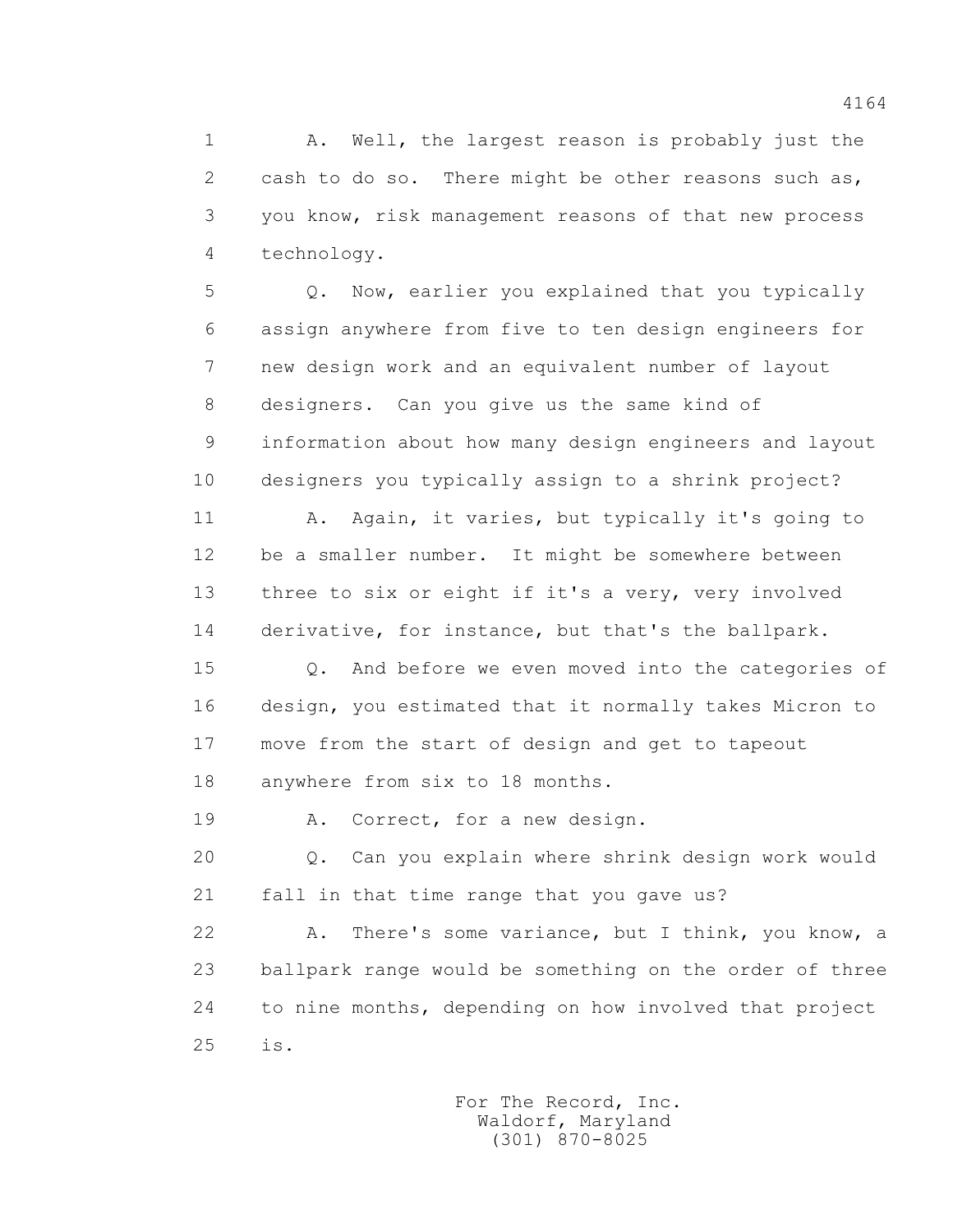1 A. Well, the largest reason is probably just the 2 cash to do so. There might be other reasons such as, 3 you know, risk management reasons of that new process 4 technology.

 5 Q. Now, earlier you explained that you typically 6 assign anywhere from five to ten design engineers for 7 new design work and an equivalent number of layout 8 designers. Can you give us the same kind of 9 information about how many design engineers and layout 10 designers you typically assign to a shrink project?

 11 A. Again, it varies, but typically it's going to 12 be a smaller number. It might be somewhere between 13 three to six or eight if it's a very, very involved 14 derivative, for instance, but that's the ballpark.

 15 Q. And before we even moved into the categories of 16 design, you estimated that it normally takes Micron to 17 move from the start of design and get to tapeout 18 anywhere from six to 18 months.

19 A. Correct, for a new design.

 20 Q. Can you explain where shrink design work would 21 fall in that time range that you gave us?

 22 A. There's some variance, but I think, you know, a 23 ballpark range would be something on the order of three 24 to nine months, depending on how involved that project 25 is.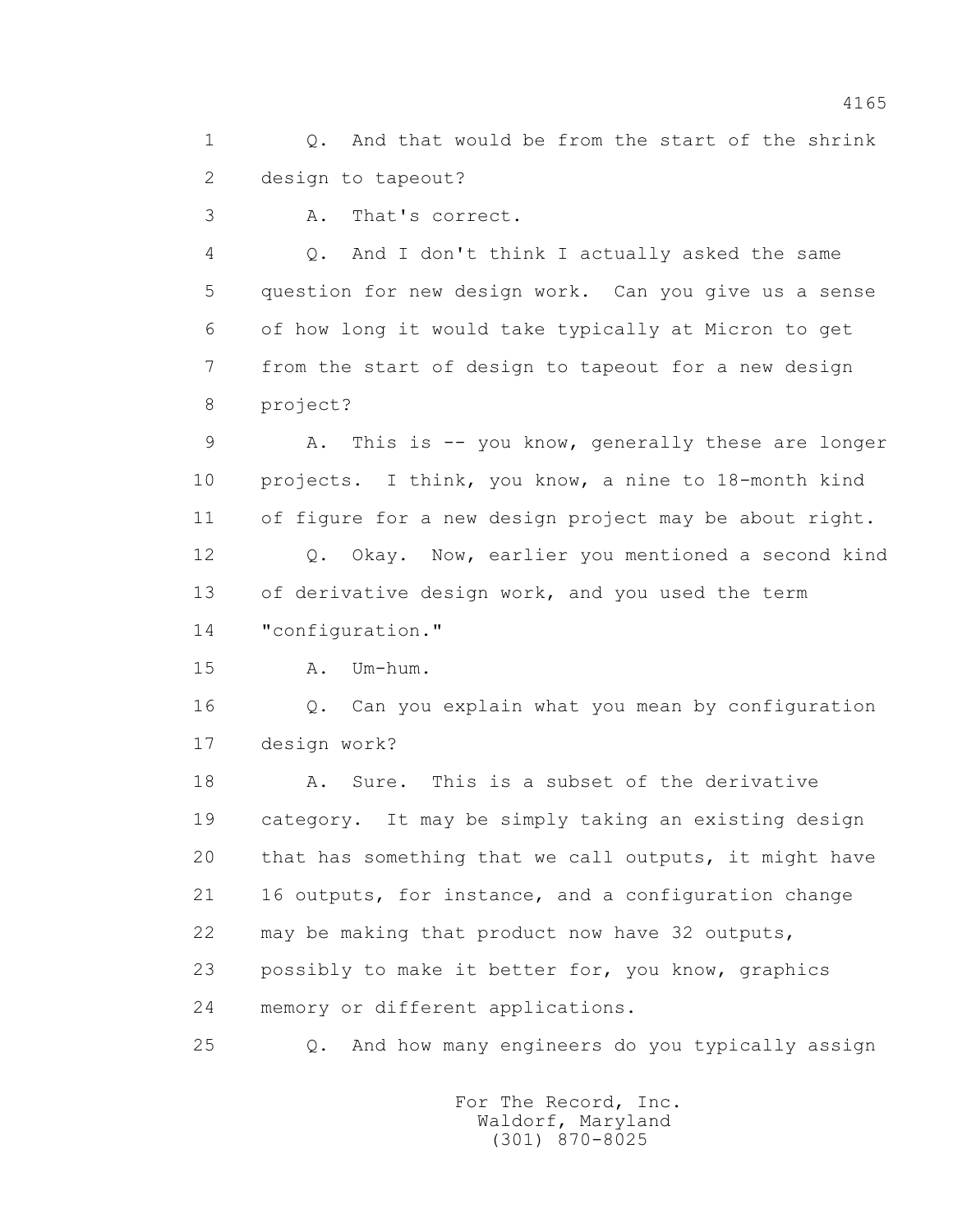1 0. And that would be from the start of the shrink 2 design to tapeout?

3 A. That's correct.

 4 Q. And I don't think I actually asked the same 5 question for new design work. Can you give us a sense 6 of how long it would take typically at Micron to get 7 from the start of design to tapeout for a new design 8 project?

 9 A. This is -- you know, generally these are longer 10 projects. I think, you know, a nine to 18-month kind 11 of figure for a new design project may be about right. 12 Q. Okay. Now, earlier you mentioned a second kind 13 of derivative design work, and you used the term

14 "configuration."

15 A. Um-hum.

 16 Q. Can you explain what you mean by configuration 17 design work?

 18 A. Sure. This is a subset of the derivative 19 category. It may be simply taking an existing design 20 that has something that we call outputs, it might have 21 16 outputs, for instance, and a configuration change 22 may be making that product now have 32 outputs, 23 possibly to make it better for, you know, graphics 24 memory or different applications.

25 Q. And how many engineers do you typically assign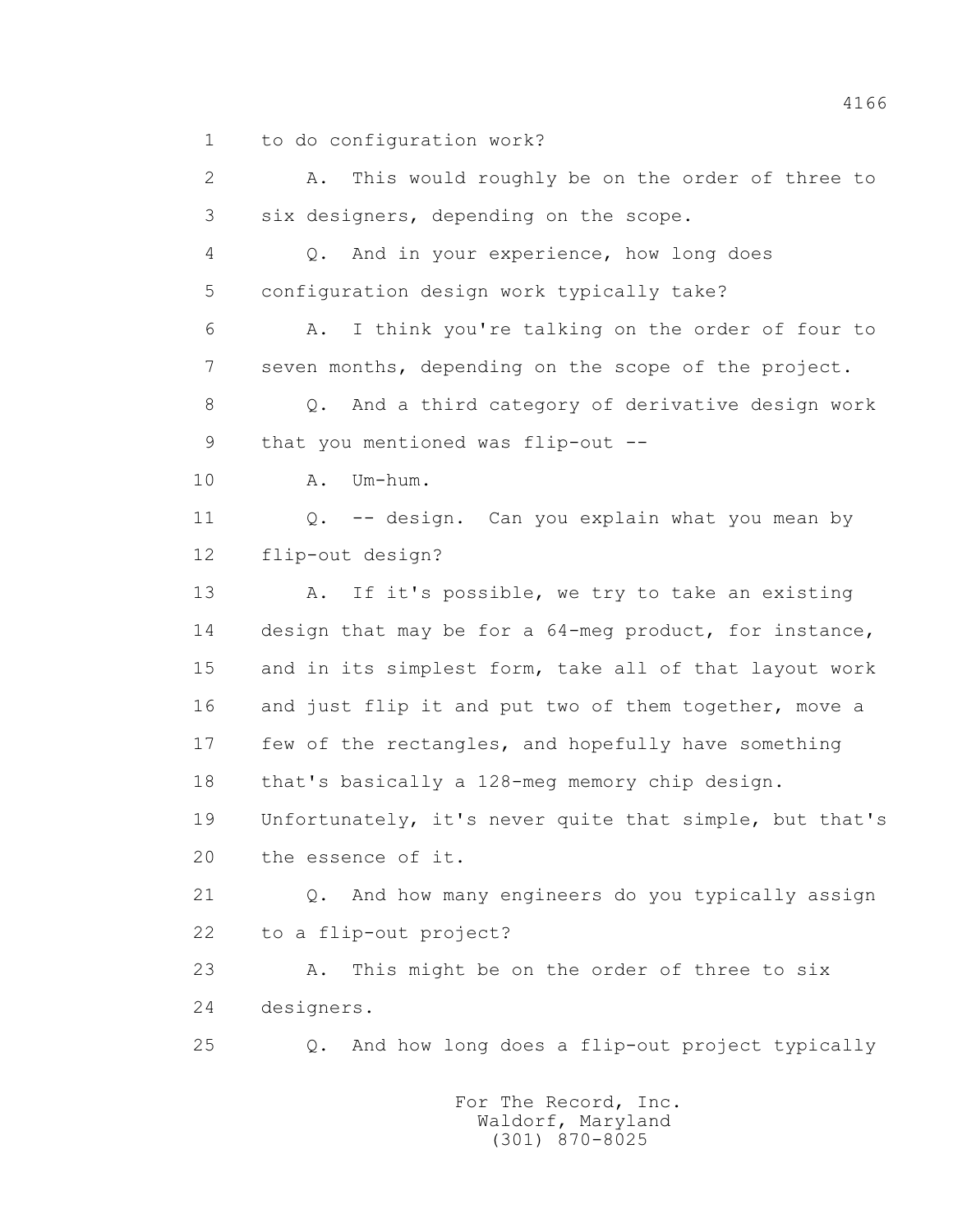1 to do configuration work?

 2 A. This would roughly be on the order of three to 3 six designers, depending on the scope.

 4 Q. And in your experience, how long does 5 configuration design work typically take?

 6 A. I think you're talking on the order of four to 7 seven months, depending on the scope of the project.

 8 Q. And a third category of derivative design work 9 that you mentioned was flip-out --

10 A. Um-hum.

 11 Q. -- design. Can you explain what you mean by 12 flip-out design?

13 A. If it's possible, we try to take an existing 14 design that may be for a 64-meg product, for instance, 15 and in its simplest form, take all of that layout work 16 and just flip it and put two of them together, move a 17 few of the rectangles, and hopefully have something 18 that's basically a 128-meg memory chip design.

 19 Unfortunately, it's never quite that simple, but that's 20 the essence of it.

 21 Q. And how many engineers do you typically assign 22 to a flip-out project?

 23 A. This might be on the order of three to six 24 designers.

25 Q. And how long does a flip-out project typically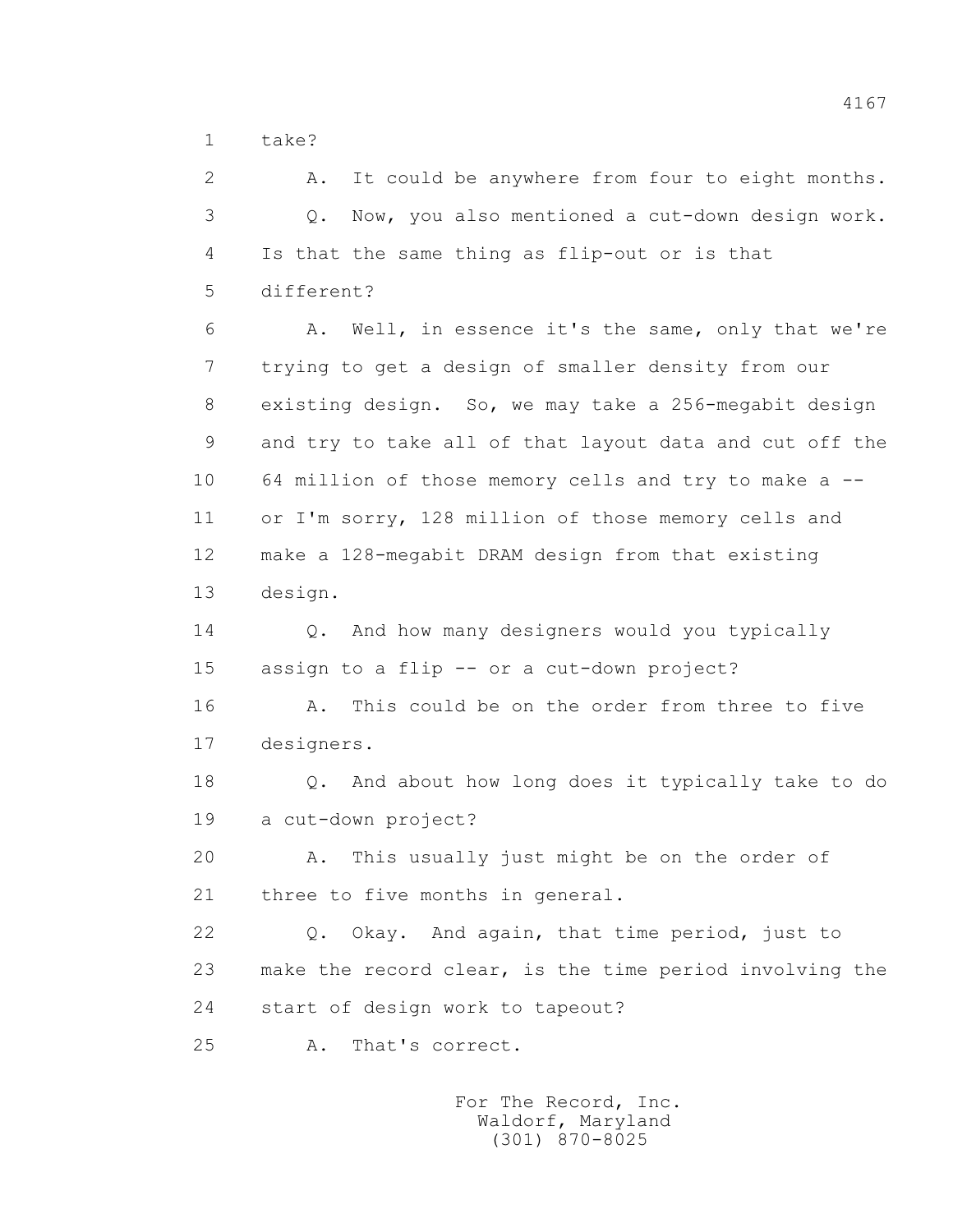$1 + a k P$ 

 2 A. It could be anywhere from four to eight months. 3 Q. Now, you also mentioned a cut-down design work. 4 Is that the same thing as flip-out or is that 5 different? 6 A. Well, in essence it's the same, only that we're 7 trying to get a design of smaller density from our 8 existing design. So, we may take a 256-megabit design 9 and try to take all of that layout data and cut off the 10 64 million of those memory cells and try to make a -- 11 or I'm sorry, 128 million of those memory cells and 12 make a 128-megabit DRAM design from that existing 13 design. 14 Q. And how many designers would you typically 15 assign to a flip -- or a cut-down project? 16 A. This could be on the order from three to five 17 designers. 18 Q. And about how long does it typically take to do 19 a cut-down project? 20 A. This usually just might be on the order of 21 three to five months in general. 22 Q. Okay. And again, that time period, just to 23 make the record clear, is the time period involving the 24 start of design work to tapeout? 25 A. That's correct.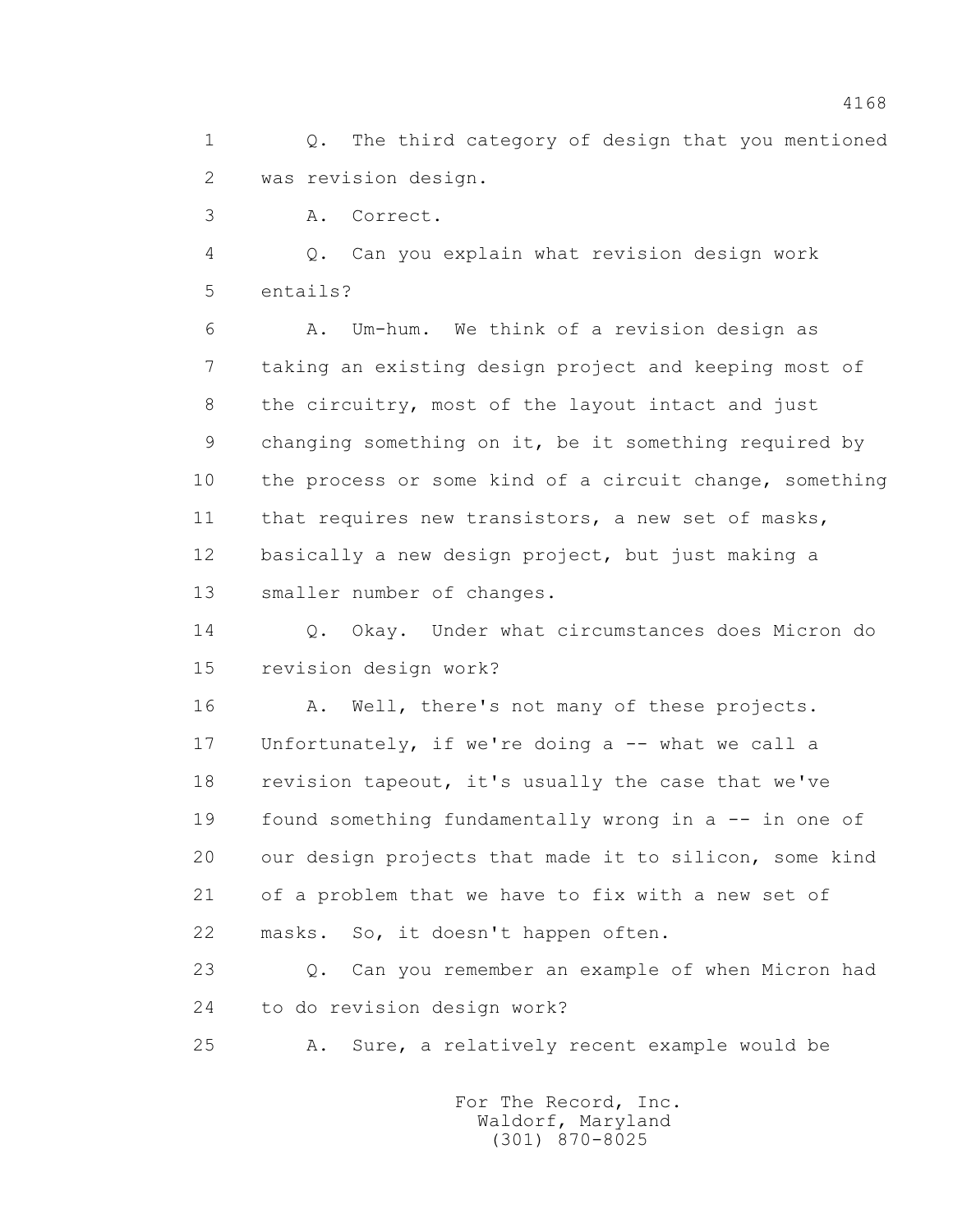1 Q. The third category of design that you mentioned 2 was revision design.

3 A. Correct.

 4 Q. Can you explain what revision design work 5 entails?

 6 A. Um-hum. We think of a revision design as 7 taking an existing design project and keeping most of 8 the circuitry, most of the layout intact and just 9 changing something on it, be it something required by 10 the process or some kind of a circuit change, something 11 that requires new transistors, a new set of masks, 12 basically a new design project, but just making a 13 smaller number of changes.

 14 Q. Okay. Under what circumstances does Micron do 15 revision design work?

 16 A. Well, there's not many of these projects. 17 Unfortunately, if we're doing a -- what we call a 18 revision tapeout, it's usually the case that we've 19 found something fundamentally wrong in a -- in one of 20 our design projects that made it to silicon, some kind 21 of a problem that we have to fix with a new set of 22 masks. So, it doesn't happen often.

 23 Q. Can you remember an example of when Micron had 24 to do revision design work?

25 A. Sure, a relatively recent example would be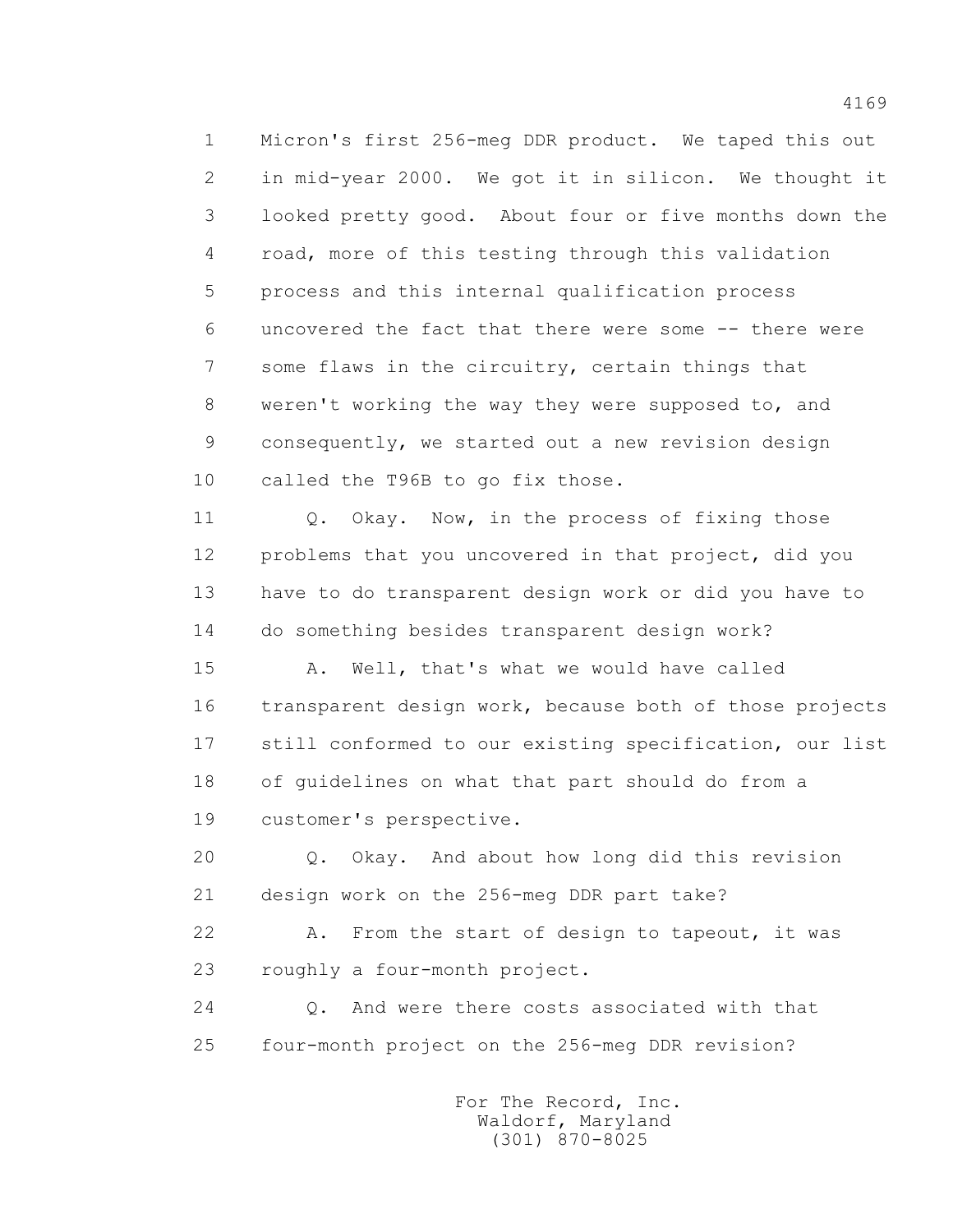1 Micron's first 256-meg DDR product. We taped this out 2 in mid-year 2000. We got it in silicon. We thought it 3 looked pretty good. About four or five months down the 4 road, more of this testing through this validation 5 process and this internal qualification process 6 uncovered the fact that there were some -- there were 7 some flaws in the circuitry, certain things that 8 weren't working the way they were supposed to, and 9 consequently, we started out a new revision design 10 called the T96B to go fix those.

11 0. Okay. Now, in the process of fixing those 12 problems that you uncovered in that project, did you 13 have to do transparent design work or did you have to 14 do something besides transparent design work?

 15 A. Well, that's what we would have called 16 transparent design work, because both of those projects 17 still conformed to our existing specification, our list 18 of guidelines on what that part should do from a 19 customer's perspective.

 20 Q. Okay. And about how long did this revision 21 design work on the 256-meg DDR part take?

22 A. From the start of design to tapeout, it was 23 roughly a four-month project.

 24 Q. And were there costs associated with that 25 four-month project on the 256-meg DDR revision?

> For The Record, Inc. Waldorf, Maryland (301) 870-8025

4169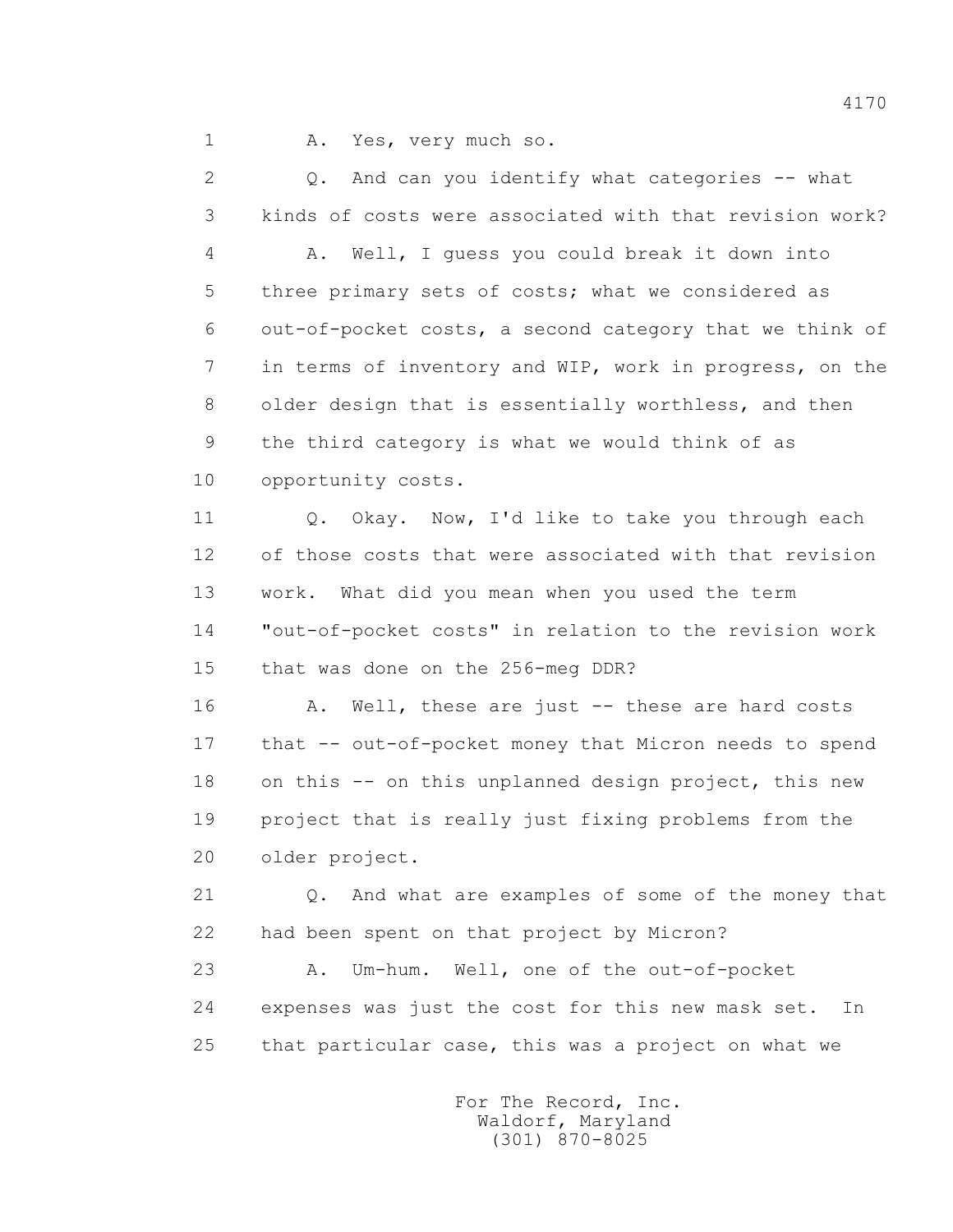1 A. Yes, very much so.

 2 Q. And can you identify what categories -- what 3 kinds of costs were associated with that revision work? 4 A. Well, I guess you could break it down into 5 three primary sets of costs; what we considered as 6 out-of-pocket costs, a second category that we think of 7 in terms of inventory and WIP, work in progress, on the 8 older design that is essentially worthless, and then 9 the third category is what we would think of as 10 opportunity costs. 11 0. Okay. Now, I'd like to take you through each 12 of those costs that were associated with that revision 13 work. What did you mean when you used the term 14 "out-of-pocket costs" in relation to the revision work 15 that was done on the 256-meg DDR? 16 A. Well, these are just -- these are hard costs 17 that -- out-of-pocket money that Micron needs to spend 18 on this -- on this unplanned design project, this new 19 project that is really just fixing problems from the 20 older project. 21 Q. And what are examples of some of the money that 22 had been spent on that project by Micron? 23 A. Um-hum. Well, one of the out-of-pocket 24 expenses was just the cost for this new mask set. In

> For The Record, Inc. Waldorf, Maryland (301) 870-8025

25 that particular case, this was a project on what we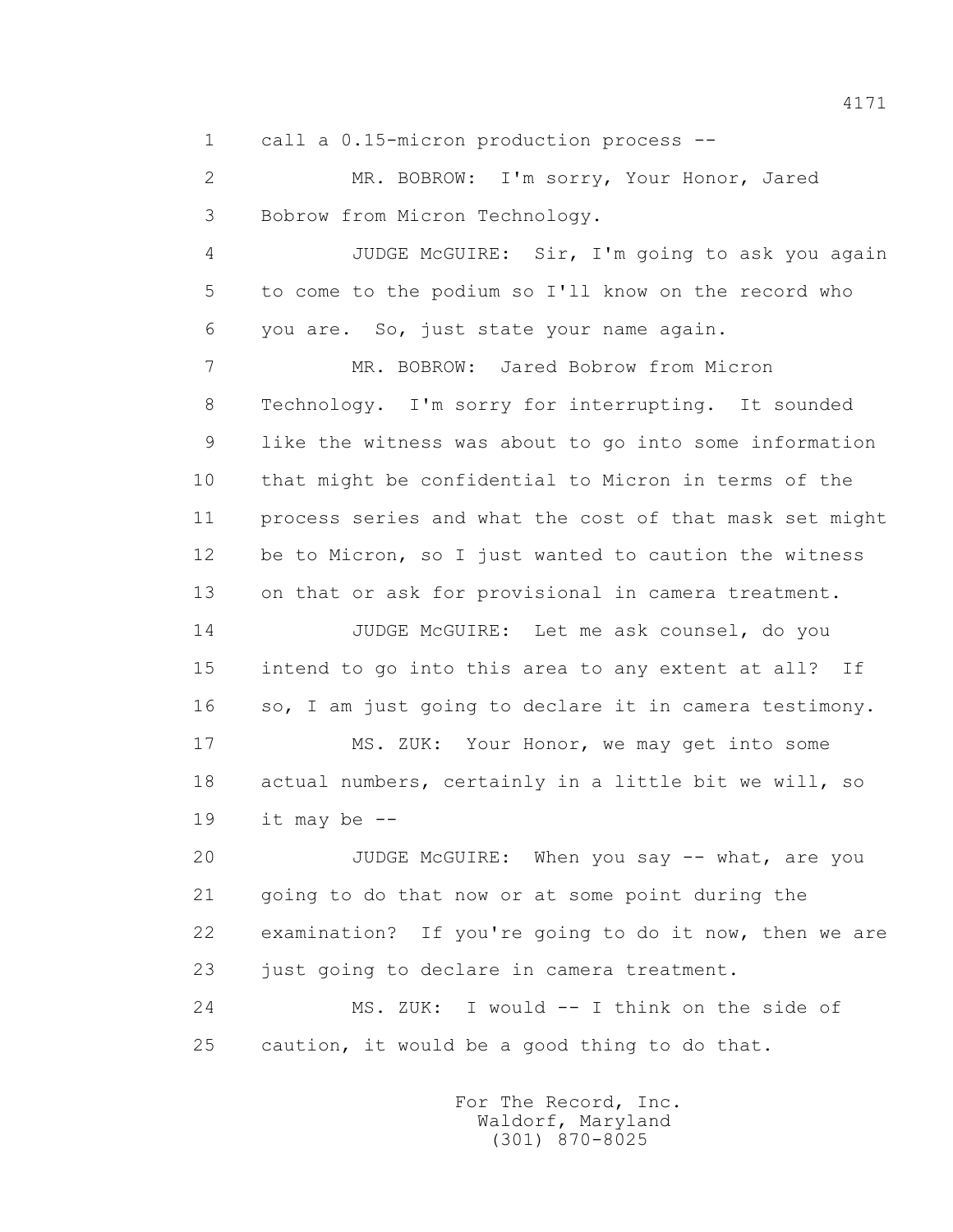1 call a 0.15-micron production process --

 2 MR. BOBROW: I'm sorry, Your Honor, Jared 3 Bobrow from Micron Technology.

 4 JUDGE McGUIRE: Sir, I'm going to ask you again 5 to come to the podium so I'll know on the record who 6 you are. So, just state your name again.

 7 MR. BOBROW: Jared Bobrow from Micron 8 Technology. I'm sorry for interrupting. It sounded 9 like the witness was about to go into some information 10 that might be confidential to Micron in terms of the 11 process series and what the cost of that mask set might 12 be to Micron, so I just wanted to caution the witness 13 on that or ask for provisional in camera treatment.

 14 JUDGE McGUIRE: Let me ask counsel, do you 15 intend to go into this area to any extent at all? If 16 so, I am just going to declare it in camera testimony.

 17 MS. ZUK: Your Honor, we may get into some 18 actual numbers, certainly in a little bit we will, so 19 it may be --

 20 JUDGE McGUIRE: When you say -- what, are you 21 going to do that now or at some point during the 22 examination? If you're going to do it now, then we are 23 just going to declare in camera treatment.

24 MS. ZUK: I would -- I think on the side of 25 caution, it would be a good thing to do that.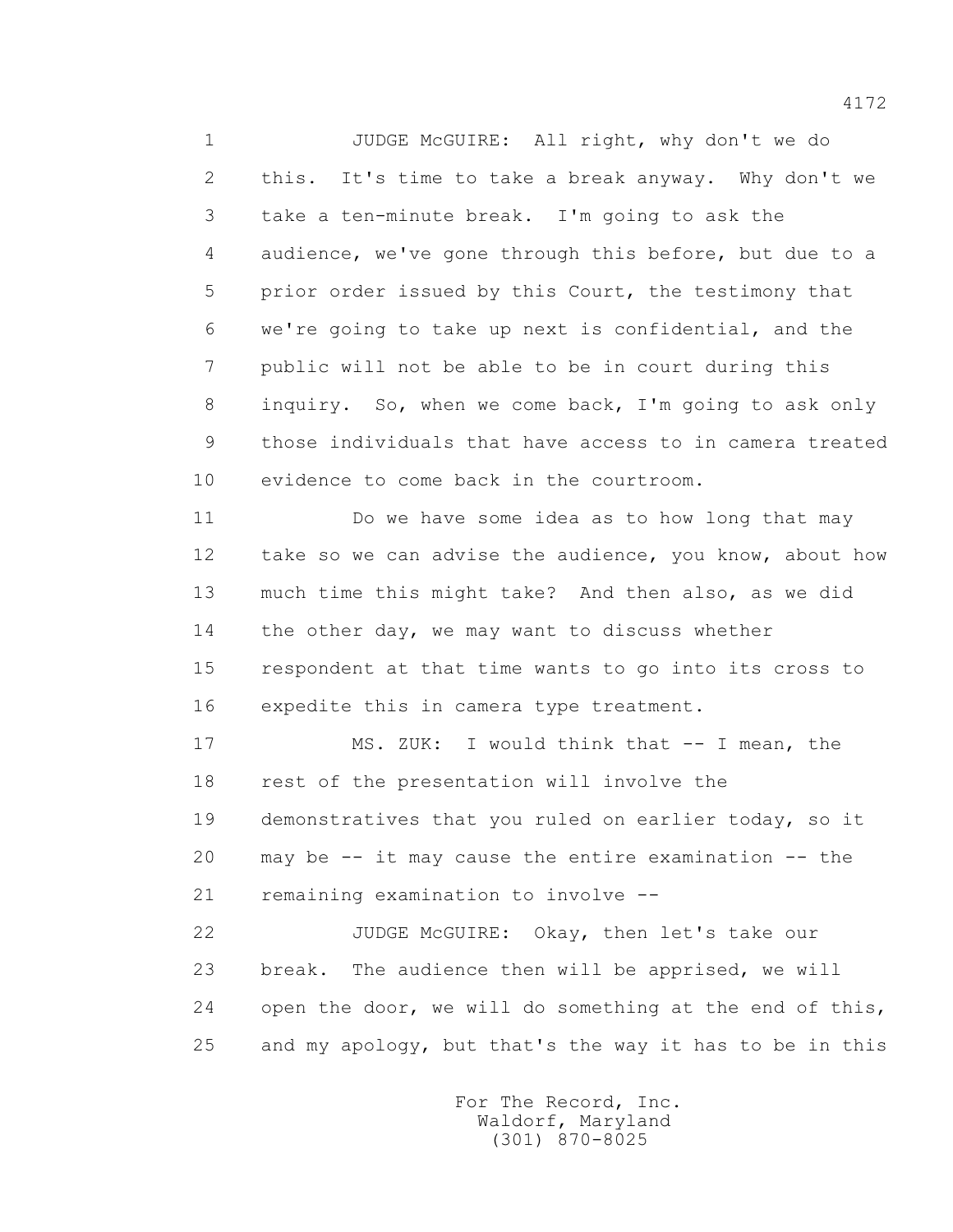1 JUDGE McGUIRE: All right, why don't we do 2 this. It's time to take a break anyway. Why don't we 3 take a ten-minute break. I'm going to ask the 4 audience, we've gone through this before, but due to a 5 prior order issued by this Court, the testimony that 6 we're going to take up next is confidential, and the 7 public will not be able to be in court during this 8 inquiry. So, when we come back, I'm going to ask only 9 those individuals that have access to in camera treated 10 evidence to come back in the courtroom.

 11 Do we have some idea as to how long that may 12 take so we can advise the audience, you know, about how 13 much time this might take? And then also, as we did 14 the other day, we may want to discuss whether 15 respondent at that time wants to go into its cross to 16 expedite this in camera type treatment.

 17 MS. ZUK: I would think that -- I mean, the 18 rest of the presentation will involve the 19 demonstratives that you ruled on earlier today, so it 20 may be -- it may cause the entire examination -- the 21 remaining examination to involve --

 22 JUDGE McGUIRE: Okay, then let's take our 23 break. The audience then will be apprised, we will 24 open the door, we will do something at the end of this, 25 and my apology, but that's the way it has to be in this

> For The Record, Inc. Waldorf, Maryland (301) 870-8025

4172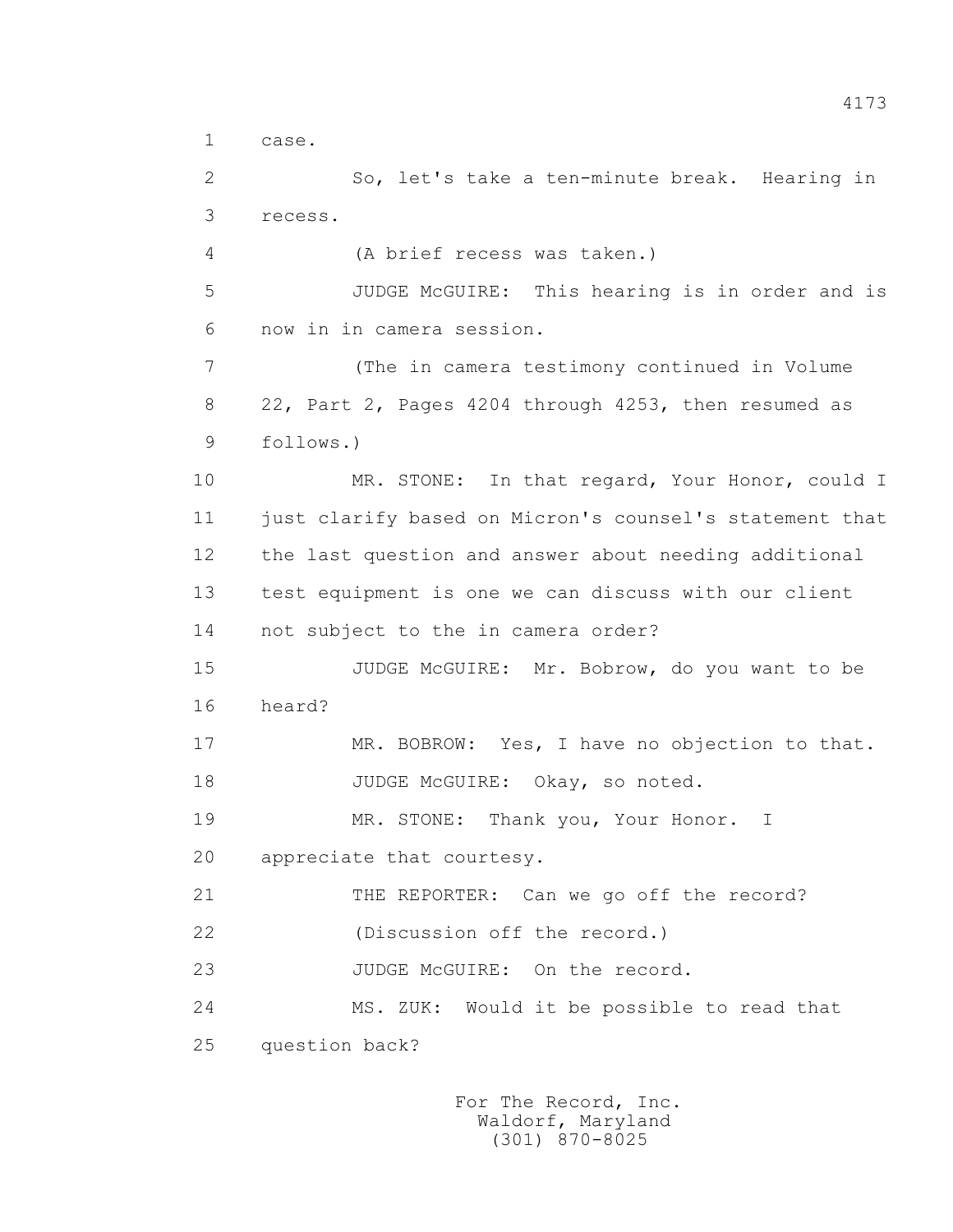```
 1 case.
```
 2 So, let's take a ten-minute break. Hearing in 3 recess.

4 (A brief recess was taken.)

 5 JUDGE McGUIRE: This hearing is in order and is 6 now in in camera session.

 7 (The in camera testimony continued in Volume 8 22, Part 2, Pages 4204 through 4253, then resumed as 9 follows.)

10 MR. STONE: In that regard, Your Honor, could I 11 just clarify based on Micron's counsel's statement that 12 the last question and answer about needing additional 13 test equipment is one we can discuss with our client 14 not subject to the in camera order?

 15 JUDGE McGUIRE: Mr. Bobrow, do you want to be 16 heard?

17 MR. BOBROW: Yes, I have no objection to that. 18 JUDGE McGUIRE: Okay, so noted.

19 MR. STONE: Thank you, Your Honor. I

20 appreciate that courtesy.

21 THE REPORTER: Can we go off the record?

22 (Discussion off the record.)

23 JUDGE McGUIRE: On the record.

 24 MS. ZUK: Would it be possible to read that 25 question back?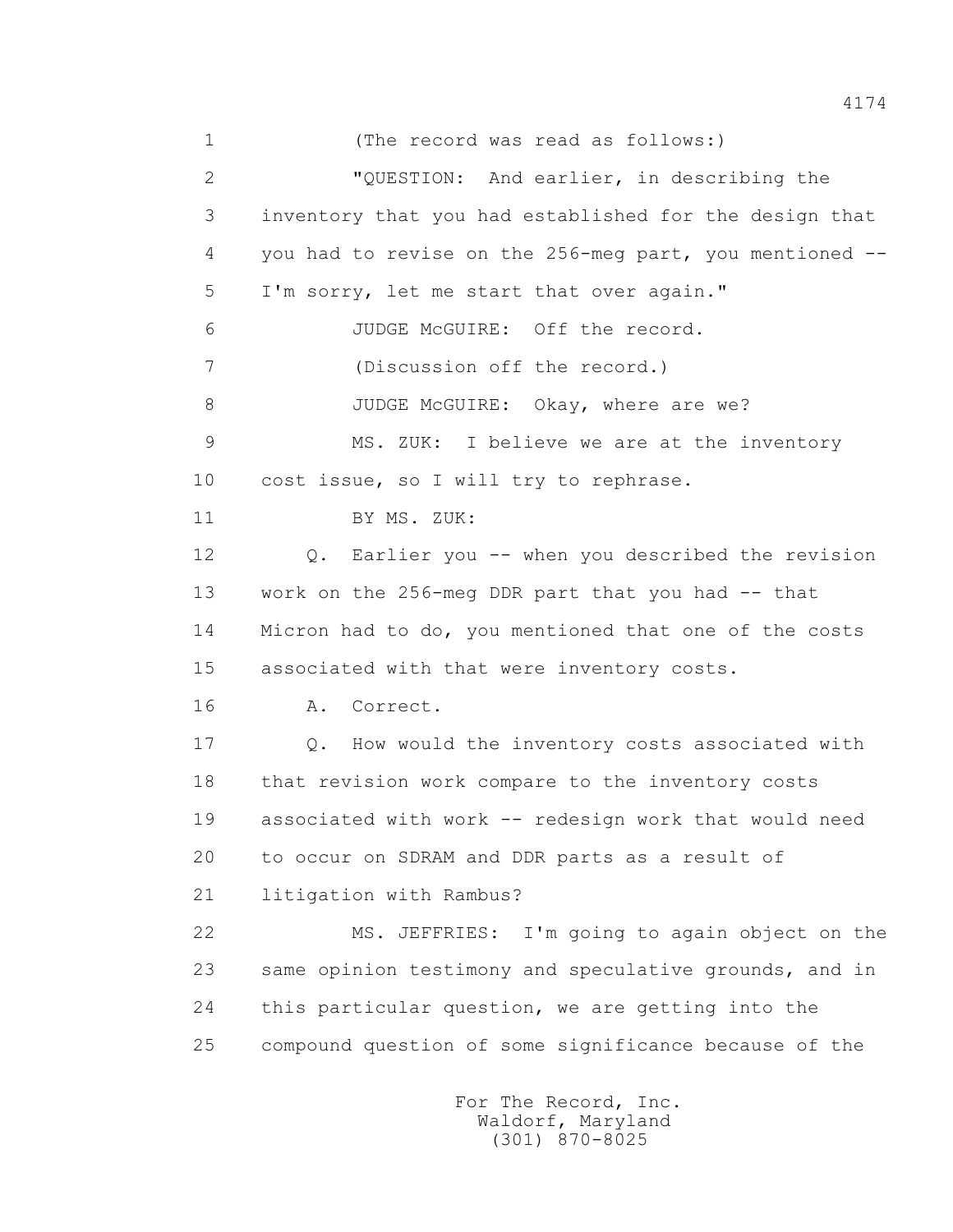1 (The record was read as follows:) 2 "QUESTION: And earlier, in describing the 3 inventory that you had established for the design that 4 you had to revise on the 256-meg part, you mentioned -- 5 I'm sorry, let me start that over again." 6 JUDGE McGUIRE: Off the record. 7 (Discussion off the record.) 8 JUDGE McGUIRE: Okay, where are we? 9 MS. ZUK: I believe we are at the inventory 10 cost issue, so I will try to rephrase. 11 BY MS. ZUK: 12 Q. Earlier you -- when you described the revision 13 work on the 256-meg DDR part that you had -- that 14 Micron had to do, you mentioned that one of the costs 15 associated with that were inventory costs. 16 A. Correct. 17 Q. How would the inventory costs associated with 18 that revision work compare to the inventory costs 19 associated with work -- redesign work that would need 20 to occur on SDRAM and DDR parts as a result of 21 litigation with Rambus? 22 MS. JEFFRIES: I'm going to again object on the 23 same opinion testimony and speculative grounds, and in 24 this particular question, we are getting into the 25 compound question of some significance because of the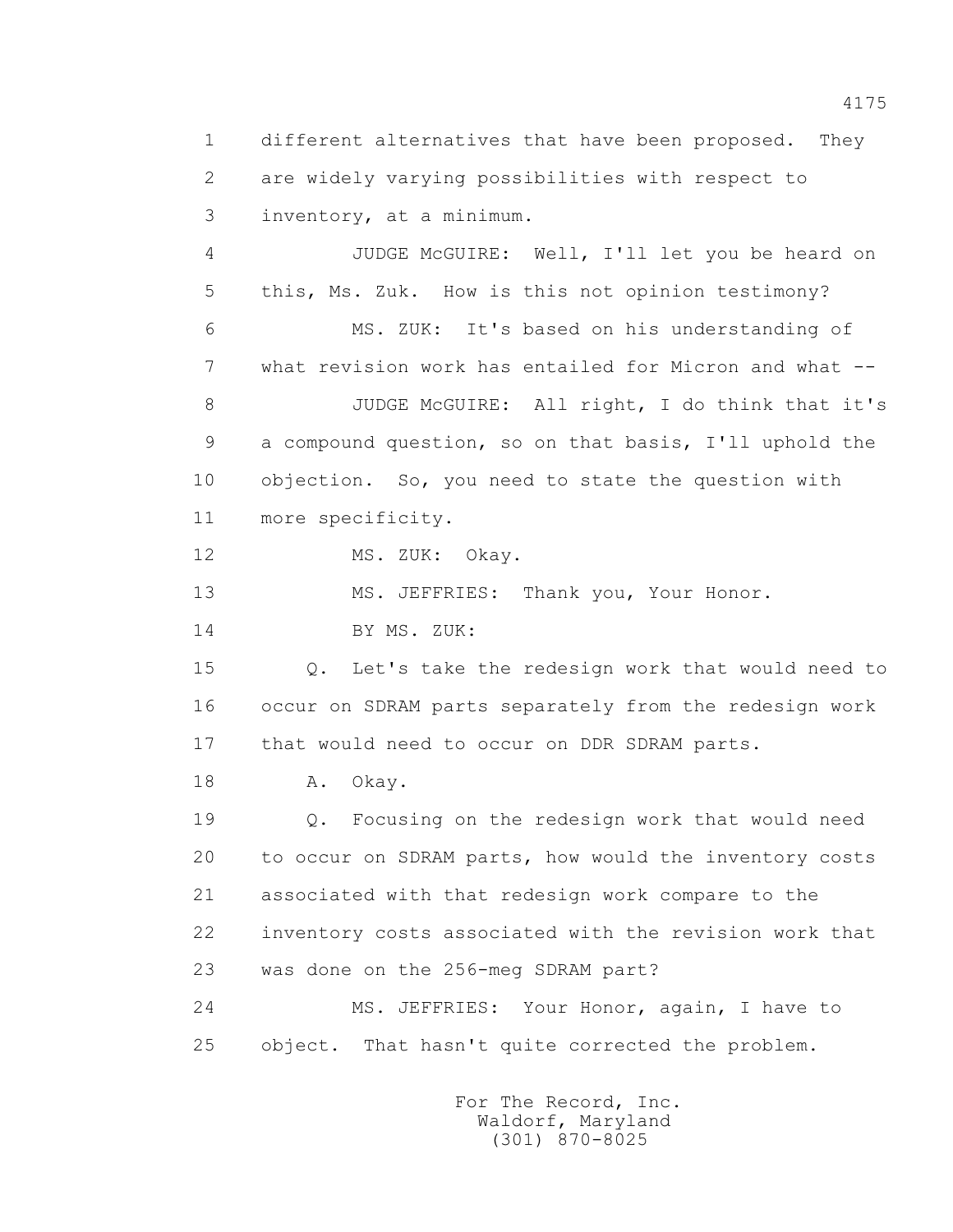1 different alternatives that have been proposed. They 2 are widely varying possibilities with respect to 3 inventory, at a minimum.

 4 JUDGE McGUIRE: Well, I'll let you be heard on 5 this, Ms. Zuk. How is this not opinion testimony? 6 MS. ZUK: It's based on his understanding of 7 what revision work has entailed for Micron and what -- 8 JUDGE McGUIRE: All right, I do think that it's 9 a compound question, so on that basis, I'll uphold the 10 objection. So, you need to state the question with 11 more specificity.

12 MS. ZUK: Okay.

13 MS. JEFFRIES: Thank you, Your Honor.

14 BY MS. ZUK:

 15 Q. Let's take the redesign work that would need to 16 occur on SDRAM parts separately from the redesign work 17 that would need to occur on DDR SDRAM parts.

18 A. Okay.

 19 Q. Focusing on the redesign work that would need 20 to occur on SDRAM parts, how would the inventory costs 21 associated with that redesign work compare to the 22 inventory costs associated with the revision work that 23 was done on the 256-meg SDRAM part?

 24 MS. JEFFRIES: Your Honor, again, I have to 25 object. That hasn't quite corrected the problem.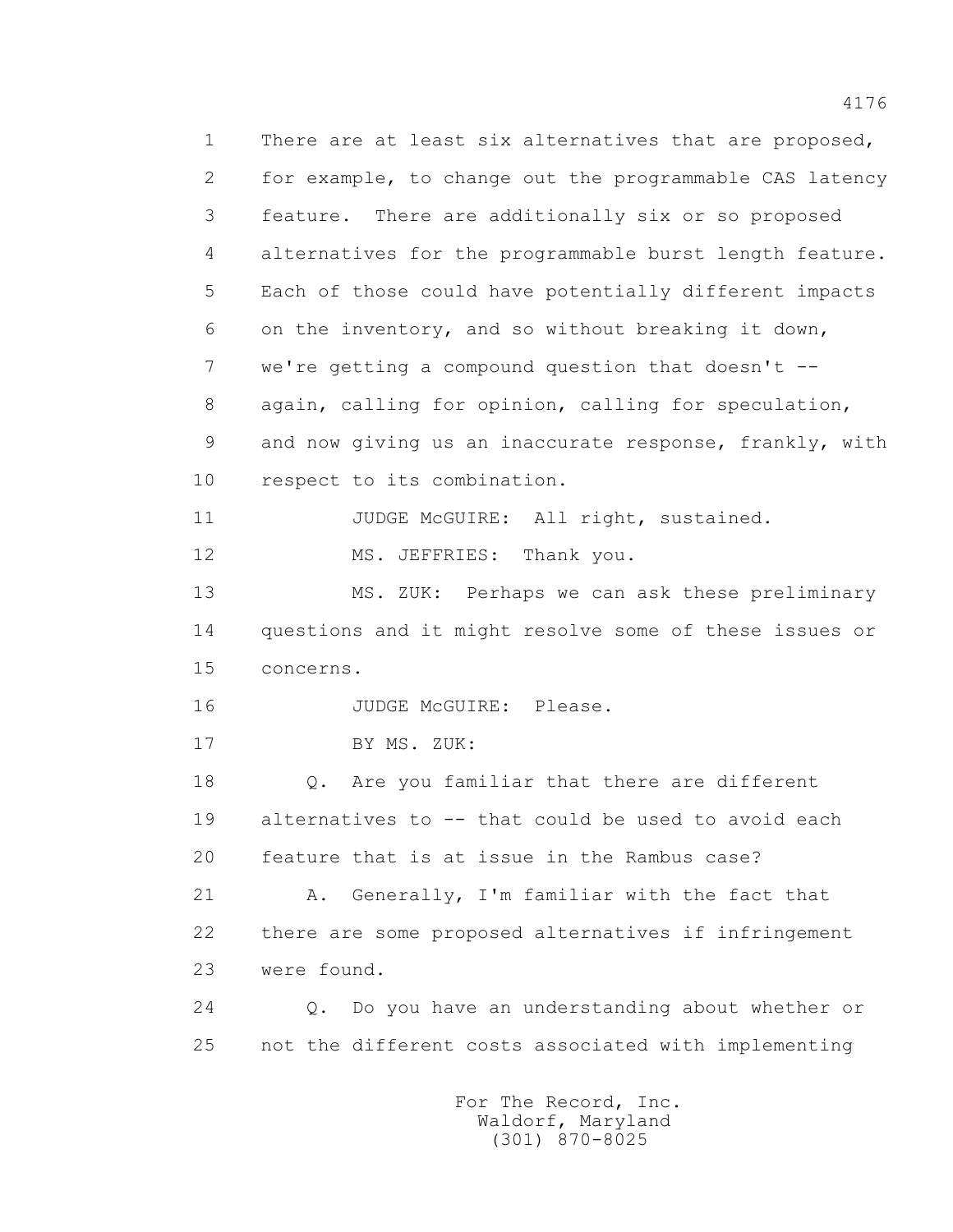1 There are at least six alternatives that are proposed, 2 for example, to change out the programmable CAS latency 3 feature. There are additionally six or so proposed 4 alternatives for the programmable burst length feature. 5 Each of those could have potentially different impacts 6 on the inventory, and so without breaking it down, 7 we're getting a compound question that doesn't -- 8 again, calling for opinion, calling for speculation, 9 and now giving us an inaccurate response, frankly, with 10 respect to its combination. 11 JUDGE McGUIRE: All right, sustained. 12 MS. JEFFRIES: Thank you. 13 MS. ZUK: Perhaps we can ask these preliminary 14 questions and it might resolve some of these issues or 15 concerns. 16 JUDGE McGUIRE: Please. 17 BY MS. ZUK: 18 Q. Are you familiar that there are different 19 alternatives to -- that could be used to avoid each 20 feature that is at issue in the Rambus case? 21 A. Generally, I'm familiar with the fact that 22 there are some proposed alternatives if infringement 23 were found. 24 Q. Do you have an understanding about whether or 25 not the different costs associated with implementing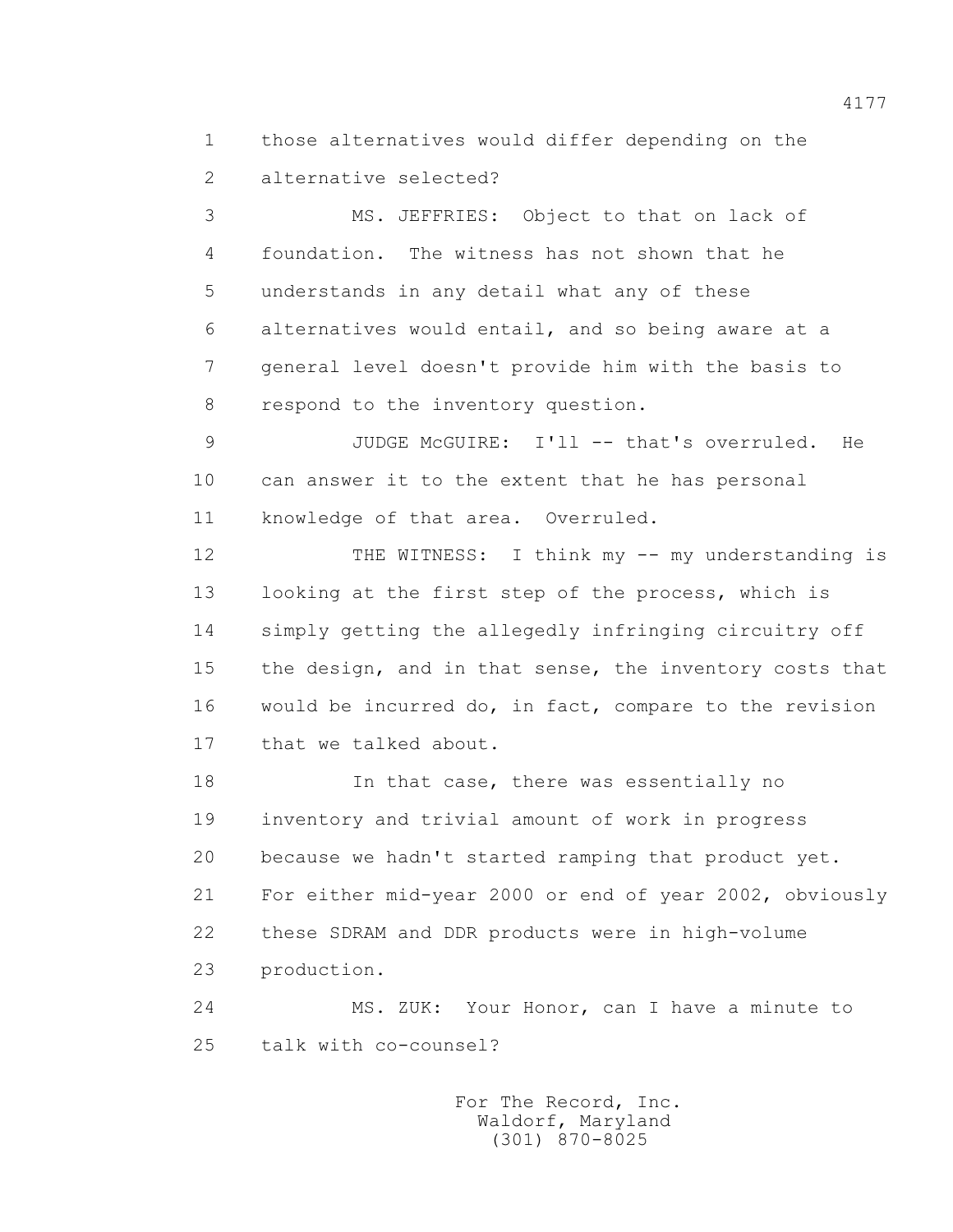1 those alternatives would differ depending on the 2 alternative selected?

 3 MS. JEFFRIES: Object to that on lack of 4 foundation. The witness has not shown that he 5 understands in any detail what any of these 6 alternatives would entail, and so being aware at a 7 general level doesn't provide him with the basis to 8 respond to the inventory question.

 9 JUDGE McGUIRE: I'll -- that's overruled. He 10 can answer it to the extent that he has personal 11 knowledge of that area. Overruled.

12 THE WITNESS: I think my -- my understanding is 13 looking at the first step of the process, which is 14 simply getting the allegedly infringing circuitry off 15 the design, and in that sense, the inventory costs that 16 would be incurred do, in fact, compare to the revision 17 that we talked about.

18 **In that case, there was essentially no**  19 inventory and trivial amount of work in progress 20 because we hadn't started ramping that product yet. 21 For either mid-year 2000 or end of year 2002, obviously 22 these SDRAM and DDR products were in high-volume 23 production.

 24 MS. ZUK: Your Honor, can I have a minute to 25 talk with co-counsel?

> For The Record, Inc. Waldorf, Maryland (301) 870-8025

4177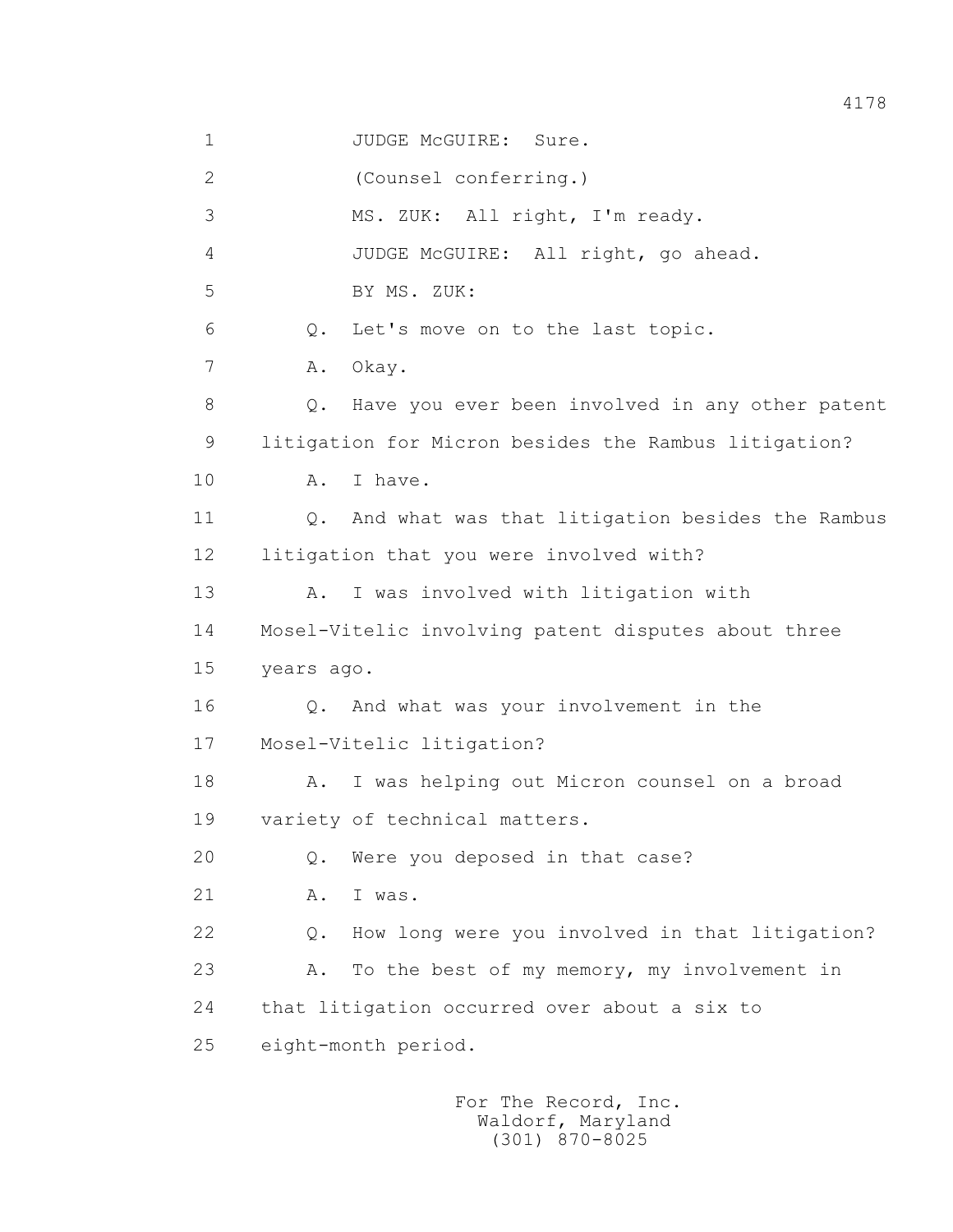| $\mathbf 1$  |            | JUDGE McGUIRE: Sure.                                 |
|--------------|------------|------------------------------------------------------|
| $\mathbf{2}$ |            | (Counsel conferring.)                                |
| 3            |            | MS. ZUK: All right, I'm ready.                       |
| 4            |            | JUDGE McGUIRE: All right, go ahead.                  |
| 5            |            | BY MS. ZUK:                                          |
| 6            | Q.         | Let's move on to the last topic.                     |
| 7            | Α.         | Okay.                                                |
| 8            | Q.         | Have you ever been involved in any other patent      |
| 9            |            | litigation for Micron besides the Rambus litigation? |
| 10           | Α.         | I have.                                              |
| 11           | $Q$ .      | And what was that litigation besides the Rambus      |
| 12           |            | litigation that you were involved with?              |
| 13           | A.         | I was involved with litigation with                  |
| 14           |            | Mosel-Vitelic involving patent disputes about three  |
| 15           | years ago. |                                                      |
| 16           |            | Q. And what was your involvement in the              |
| 17           |            | Mosel-Vitelic litigation?                            |
| 18           | Α.         | I was helping out Micron counsel on a broad          |
| 19           |            | variety of technical matters.                        |
| 20           | $Q$ .      | Were you deposed in that case?                       |
| 21           | Α.         | I was.                                               |
| 22           | $Q$ .      | How long were you involved in that litigation?       |
| 23           | Α.         | To the best of my memory, my involvement in          |
| 24           |            | that litigation occurred over about a six to         |
| 25           |            | eight-month period.                                  |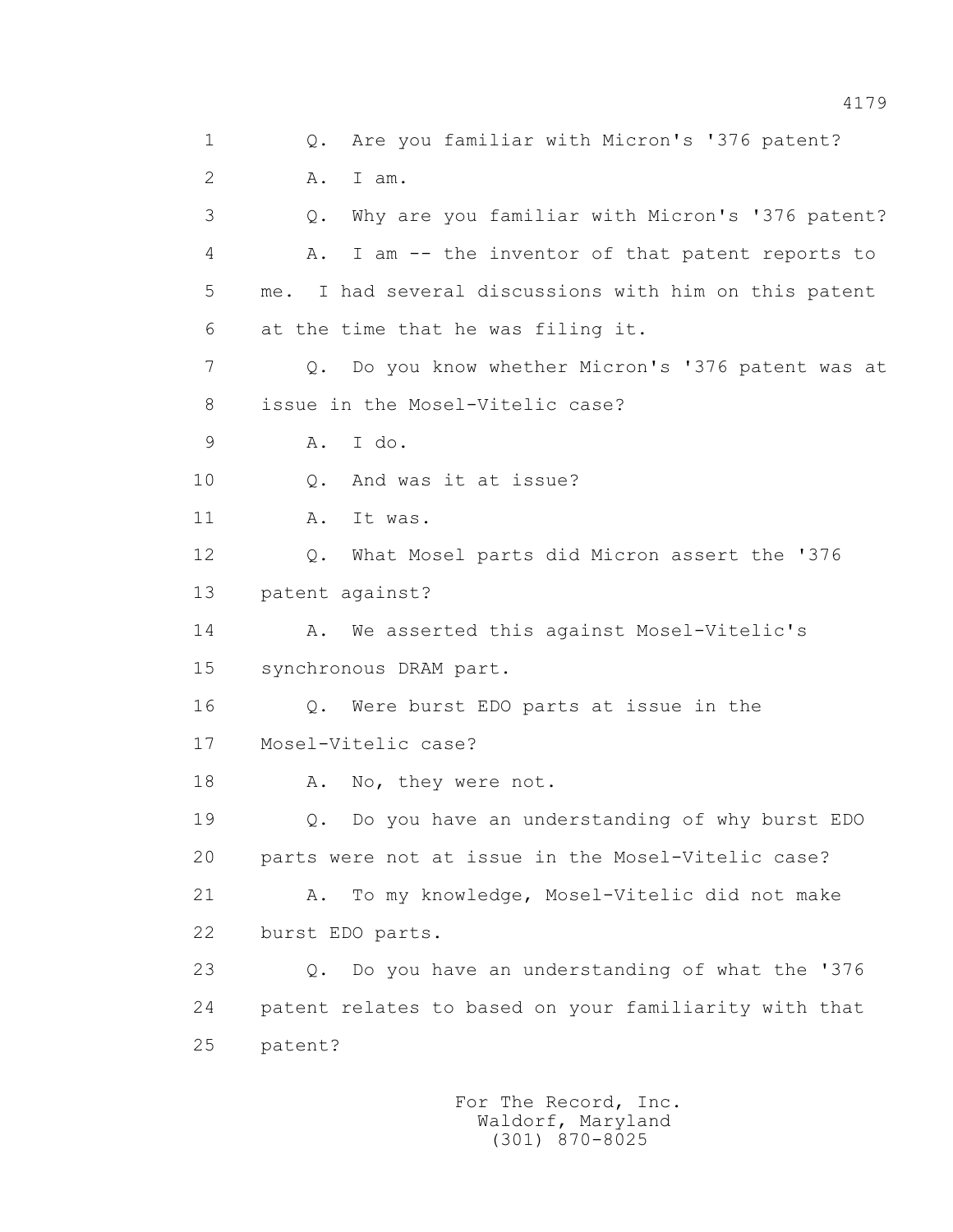1 Q. Are you familiar with Micron's '376 patent? 2 A. I am. 3 Q. Why are you familiar with Micron's '376 patent? 4 A. I am -- the inventor of that patent reports to 5 me. I had several discussions with him on this patent 6 at the time that he was filing it. 7 Q. Do you know whether Micron's '376 patent was at 8 issue in the Mosel-Vitelic case? 9 A. I do. 10 Q. And was it at issue? 11 A. It was. 12 Q. What Mosel parts did Micron assert the '376 13 patent against? 14 A. We asserted this against Mosel-Vitelic's 15 synchronous DRAM part. 16 Q. Were burst EDO parts at issue in the 17 Mosel-Vitelic case? 18 A. No, they were not. 19 Q. Do you have an understanding of why burst EDO 20 parts were not at issue in the Mosel-Vitelic case? 21 A. To my knowledge, Mosel-Vitelic did not make 22 burst EDO parts. 23 Q. Do you have an understanding of what the '376 24 patent relates to based on your familiarity with that 25 patent?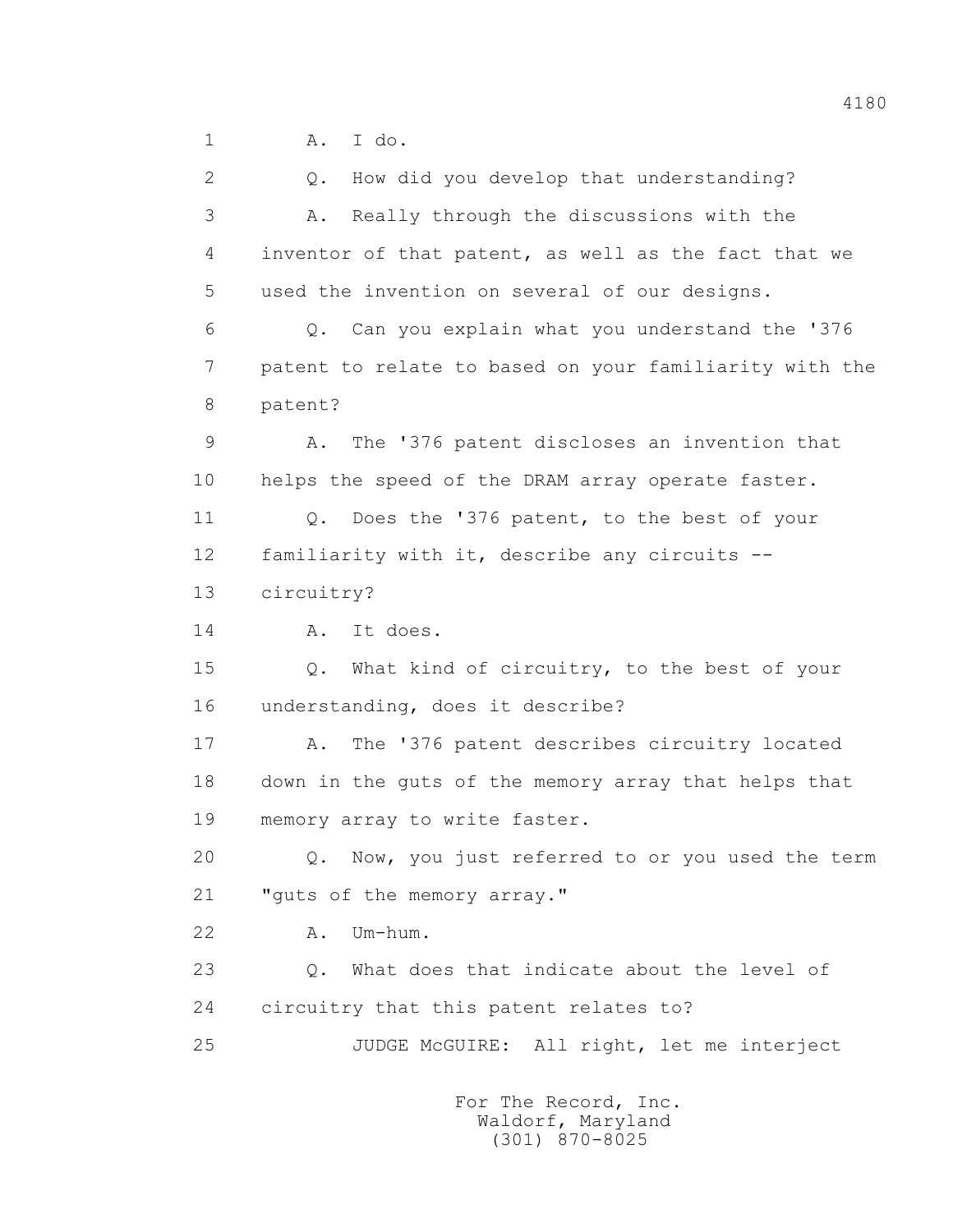1 A. I do.

 2 Q. How did you develop that understanding? 3 A. Really through the discussions with the 4 inventor of that patent, as well as the fact that we 5 used the invention on several of our designs. 6 Q. Can you explain what you understand the '376 7 patent to relate to based on your familiarity with the 8 patent? 9 A. The '376 patent discloses an invention that 10 helps the speed of the DRAM array operate faster. 11 Q. Does the '376 patent, to the best of your 12 familiarity with it, describe any circuits -- 13 circuitry? 14 A. It does. 15 Q. What kind of circuitry, to the best of your 16 understanding, does it describe? 17 A. The '376 patent describes circuitry located 18 down in the guts of the memory array that helps that 19 memory array to write faster. 20 Q. Now, you just referred to or you used the term 21 "guts of the memory array." 22 A. Um-hum. 23 Q. What does that indicate about the level of 24 circuitry that this patent relates to? 25 JUDGE McGUIRE: All right, let me interject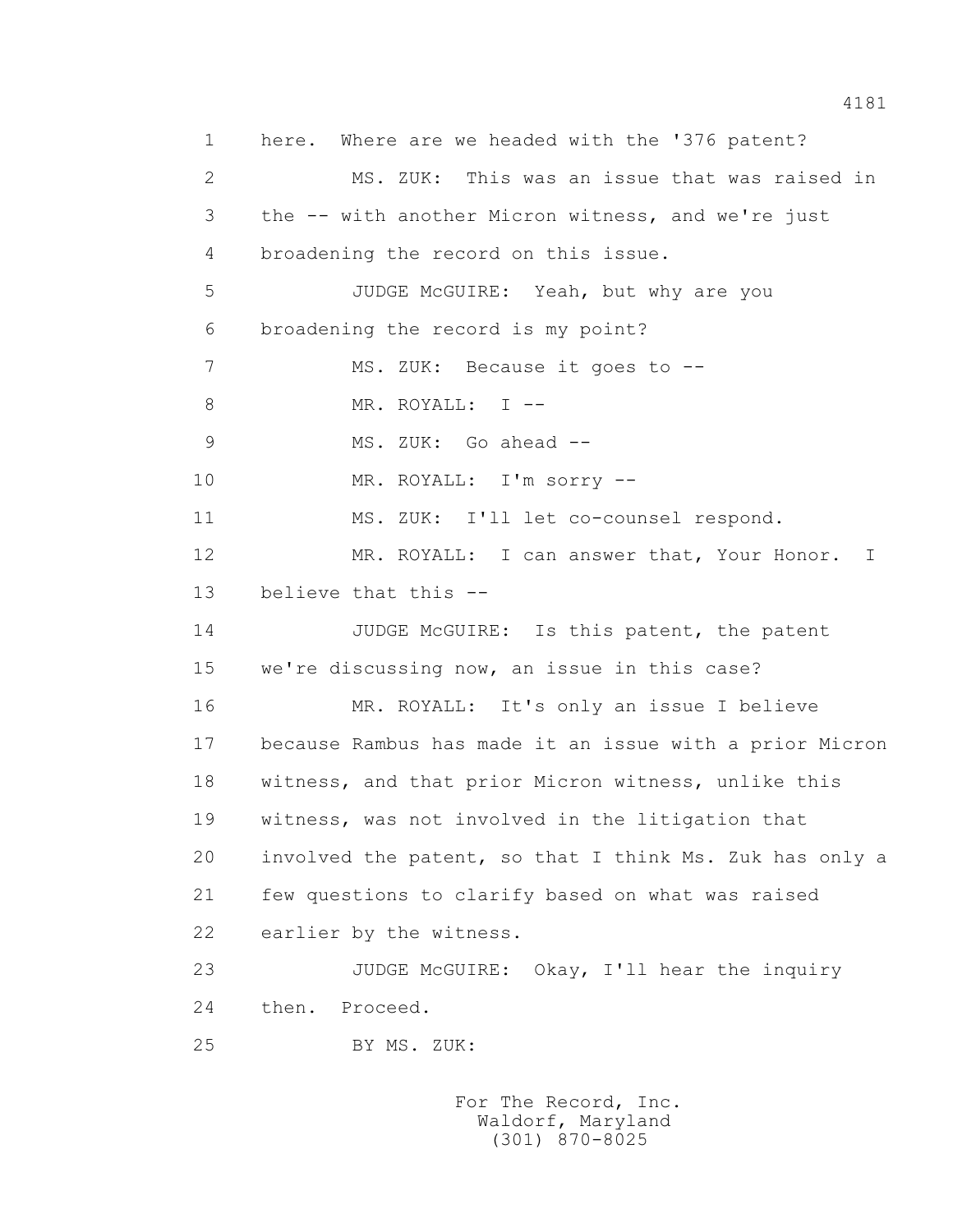1 here. Where are we headed with the '376 patent? 2 MS. ZUK: This was an issue that was raised in 3 the -- with another Micron witness, and we're just 4 broadening the record on this issue. 5 JUDGE McGUIRE: Yeah, but why are you 6 broadening the record is my point? 7 MS. ZUK: Because it goes to --8 MR. ROYALL: I -- 9 MS. ZUK: Go ahead -- 10 MR. ROYALL: I'm sorry -- 11 MS. ZUK: I'll let co-counsel respond. 12 MR. ROYALL: I can answer that, Your Honor. I 13 believe that this -- 14 JUDGE McGUIRE: Is this patent, the patent 15 we're discussing now, an issue in this case? 16 MR. ROYALL: It's only an issue I believe 17 because Rambus has made it an issue with a prior Micron 18 witness, and that prior Micron witness, unlike this 19 witness, was not involved in the litigation that 20 involved the patent, so that I think Ms. Zuk has only a 21 few questions to clarify based on what was raised 22 earlier by the witness. 23 JUDGE McGUIRE: Okay, I'll hear the inquiry 24 then. Proceed. 25 BY MS. ZUK: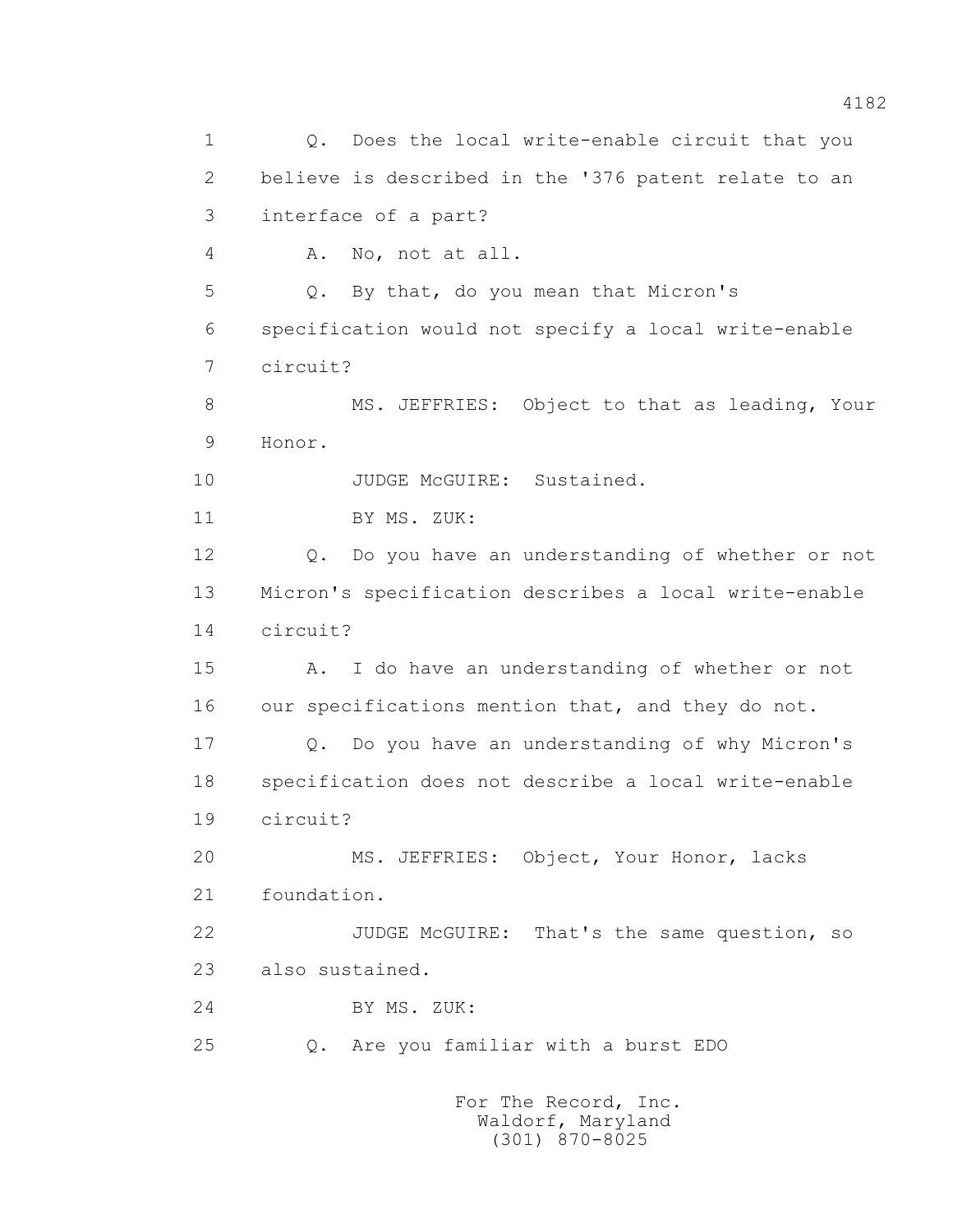1 0. Does the local write-enable circuit that you 2 believe is described in the '376 patent relate to an 3 interface of a part? 4 A. No, not at all. 5 Q. By that, do you mean that Micron's 6 specification would not specify a local write-enable 7 circuit? 8 MS. JEFFRIES: Object to that as leading, Your 9 Honor. 10 JUDGE McGUIRE: Sustained. 11 BY MS. ZUK: 12 Q. Do you have an understanding of whether or not 13 Micron's specification describes a local write-enable 14 circuit? 15 A. I do have an understanding of whether or not 16 our specifications mention that, and they do not. 17 Q. Do you have an understanding of why Micron's 18 specification does not describe a local write-enable 19 circuit? 20 MS. JEFFRIES: Object, Your Honor, lacks 21 foundation. 22 JUDGE McGUIRE: That's the same question, so 23 also sustained. 24 BY MS. ZUK: 25 Q. Are you familiar with a burst EDO For The Record, Inc.

 Waldorf, Maryland (301) 870-8025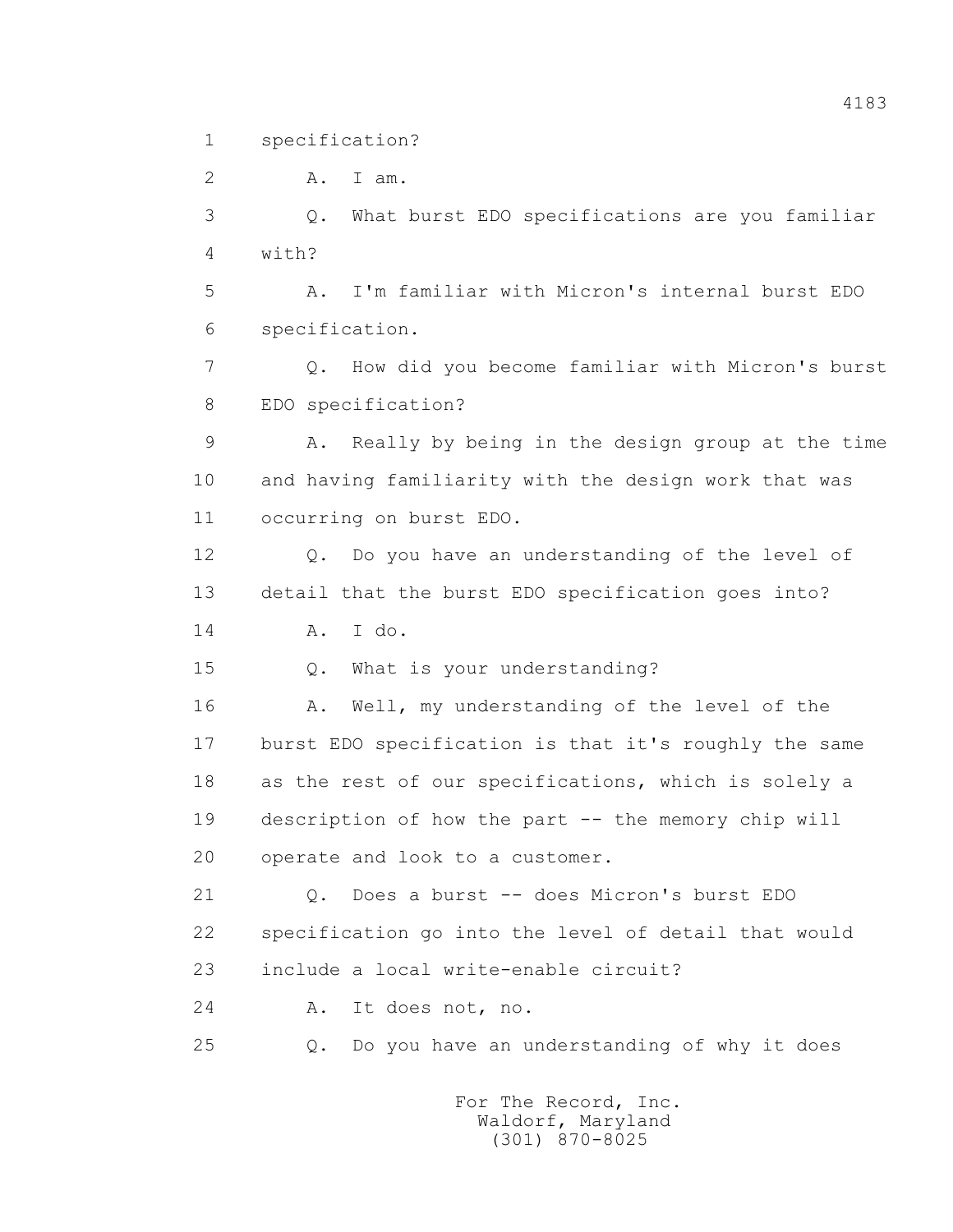1 specification?

 2 A. I am. 3 Q. What burst EDO specifications are you familiar 4 with? 5 A. I'm familiar with Micron's internal burst EDO 6 specification. 7 Q. How did you become familiar with Micron's burst 8 EDO specification? 9 A. Really by being in the design group at the time 10 and having familiarity with the design work that was 11 occurring on burst EDO. 12 Q. Do you have an understanding of the level of 13 detail that the burst EDO specification goes into? 14 A. I do. 15 Q. What is your understanding? 16 A. Well, my understanding of the level of the 17 burst EDO specification is that it's roughly the same 18 as the rest of our specifications, which is solely a 19 description of how the part -- the memory chip will 20 operate and look to a customer. 21 Q. Does a burst -- does Micron's burst EDO 22 specification go into the level of detail that would 23 include a local write-enable circuit? 24 A. It does not, no. 25 Q. Do you have an understanding of why it does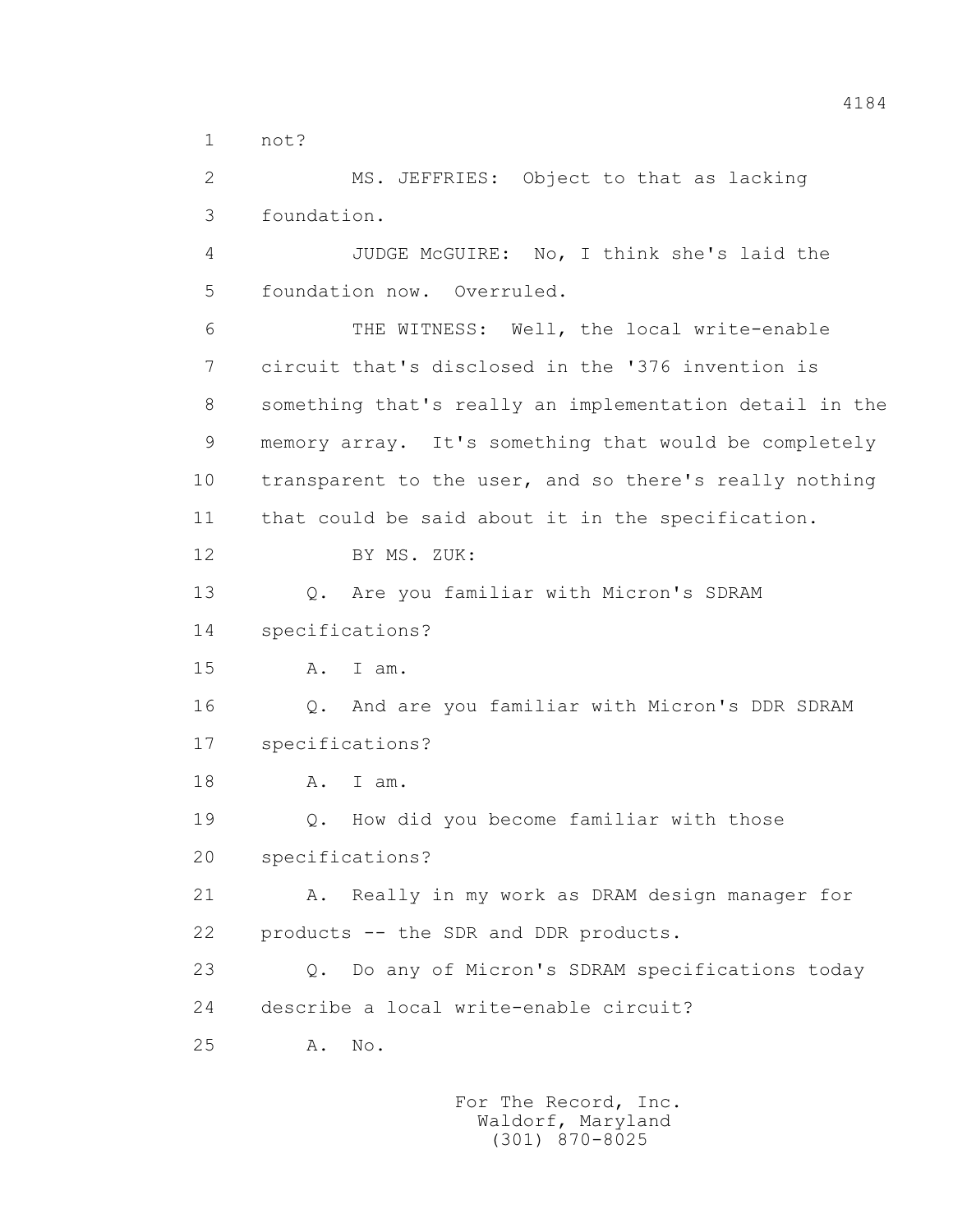1 not?

 2 MS. JEFFRIES: Object to that as lacking 3 foundation.

 4 JUDGE McGUIRE: No, I think she's laid the 5 foundation now. Overruled.

 6 THE WITNESS: Well, the local write-enable 7 circuit that's disclosed in the '376 invention is 8 something that's really an implementation detail in the 9 memory array. It's something that would be completely 10 transparent to the user, and so there's really nothing 11 that could be said about it in the specification. 12 BY MS. ZUK: 13 Q. Are you familiar with Micron's SDRAM 14 specifications? 15 A. I am.

 16 Q. And are you familiar with Micron's DDR SDRAM 17 specifications?

18 A. I am.

19 Q. How did you become familiar with those

20 specifications?

21 A. Really in my work as DRAM design manager for 22 products -- the SDR and DDR products.

 23 Q. Do any of Micron's SDRAM specifications today 24 describe a local write-enable circuit?

25 A. No.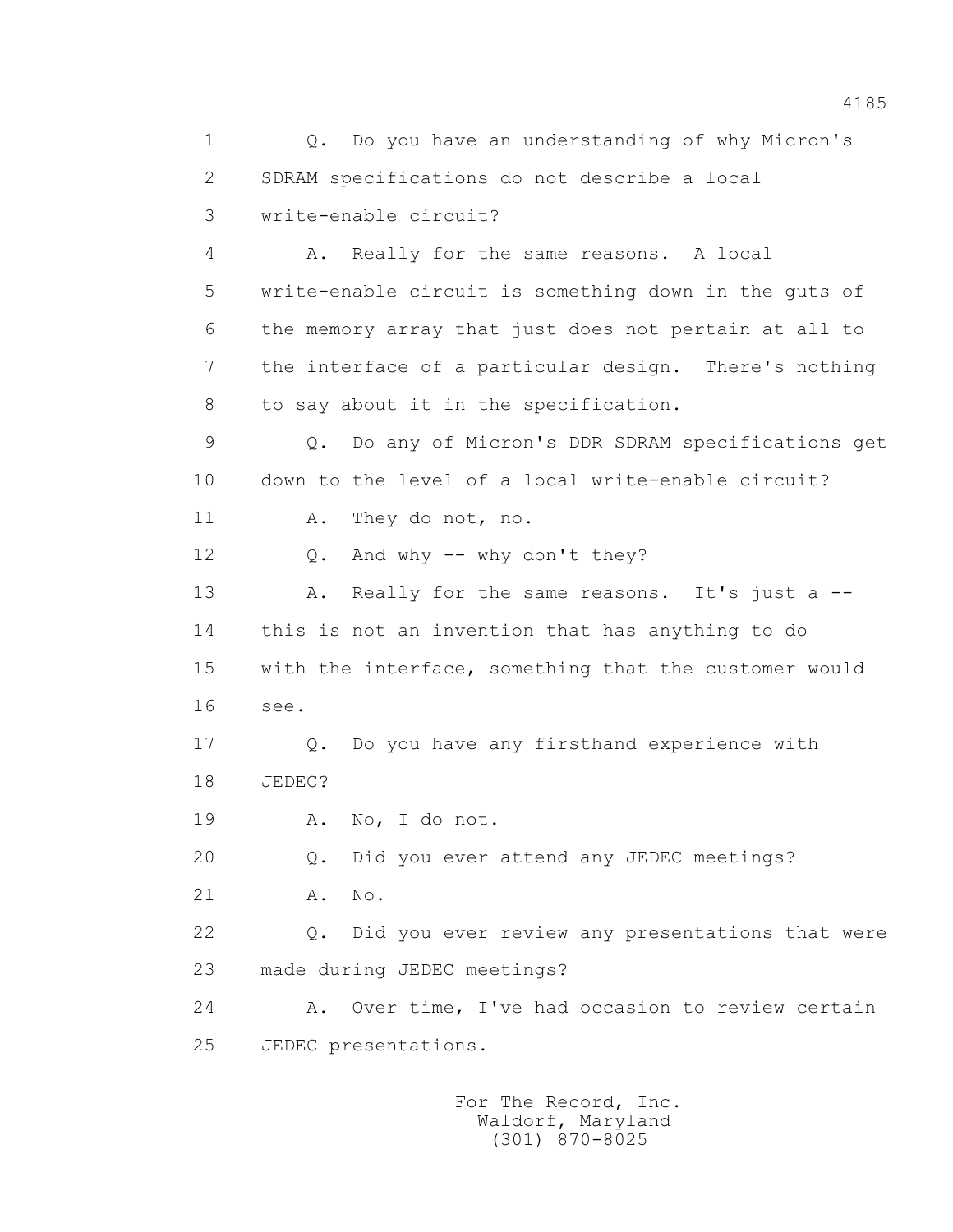1 Q. Do you have an understanding of why Micron's 2 SDRAM specifications do not describe a local 3 write-enable circuit? 4 A. Really for the same reasons. A local 5 write-enable circuit is something down in the guts of 6 the memory array that just does not pertain at all to 7 the interface of a particular design. There's nothing 8 to say about it in the specification. 9 Q. Do any of Micron's DDR SDRAM specifications get 10 down to the level of a local write-enable circuit? 11 A. They do not, no. 12 Q. And why -- why don't they? 13 A. Really for the same reasons. It's just a -- 14 this is not an invention that has anything to do 15 with the interface, something that the customer would 16 see. 17 Q. Do you have any firsthand experience with 18 JEDEC? 19 A. No, I do not. 20 Q. Did you ever attend any JEDEC meetings? 21 A. No. 22 Q. Did you ever review any presentations that were 23 made during JEDEC meetings? 24 A. Over time, I've had occasion to review certain 25 JEDEC presentations.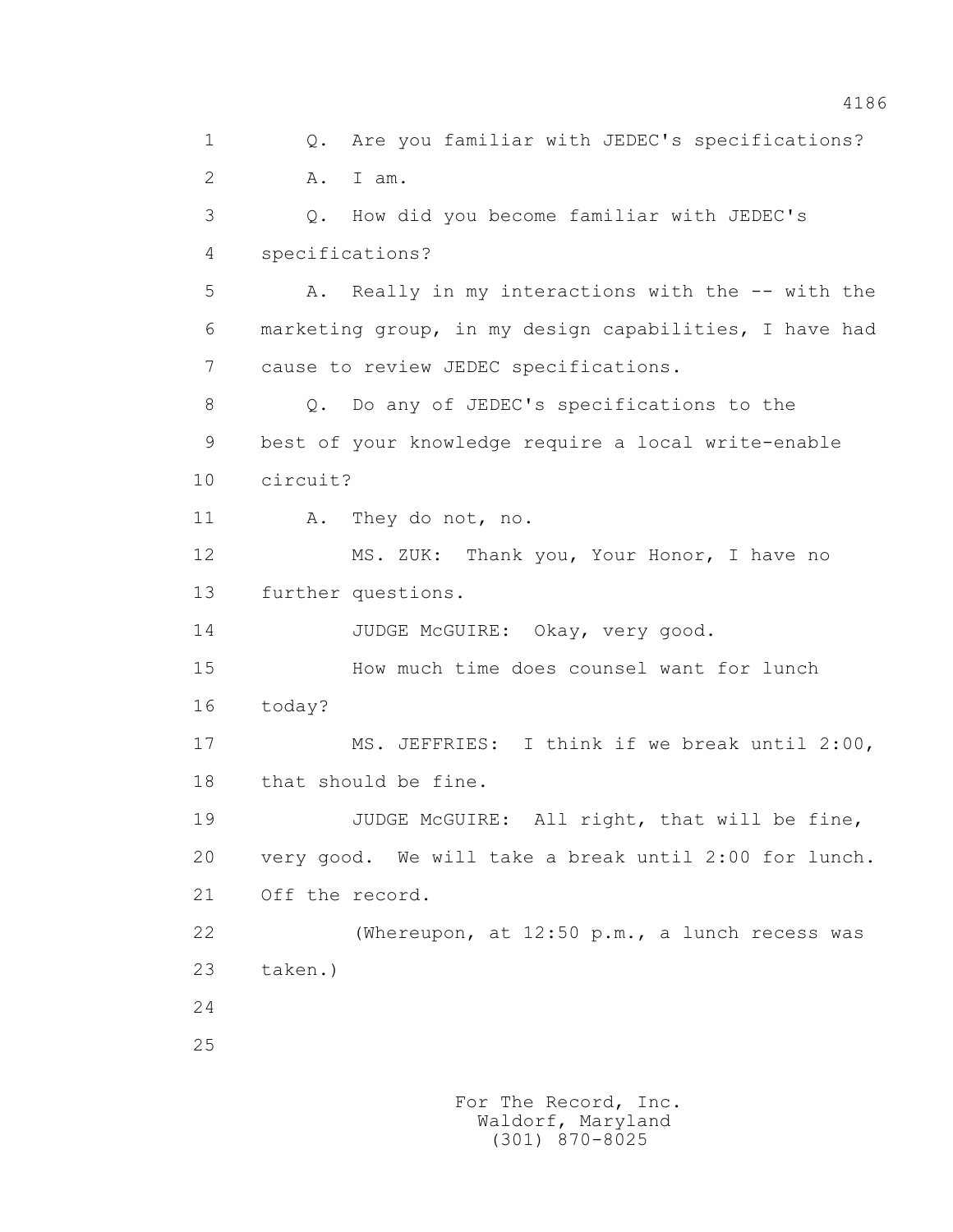1 0. Are you familiar with JEDEC's specifications? 2 A. I am. 3 Q. How did you become familiar with JEDEC's 4 specifications? 5 A. Really in my interactions with the -- with the 6 marketing group, in my design capabilities, I have had 7 cause to review JEDEC specifications. 8 Q. Do any of JEDEC's specifications to the 9 best of your knowledge require a local write-enable 10 circuit? 11 A. They do not, no. 12 MS. ZUK: Thank you, Your Honor, I have no 13 further questions. 14 JUDGE McGUIRE: Okay, very good. 15 How much time does counsel want for lunch 16 today? 17 MS. JEFFRIES: I think if we break until 2:00, 18 that should be fine. 19 JUDGE McGUIRE: All right, that will be fine, 20 very good. We will take a break until 2:00 for lunch. 21 Off the record. 22 (Whereupon, at 12:50 p.m., a lunch recess was 23 taken.) 24 25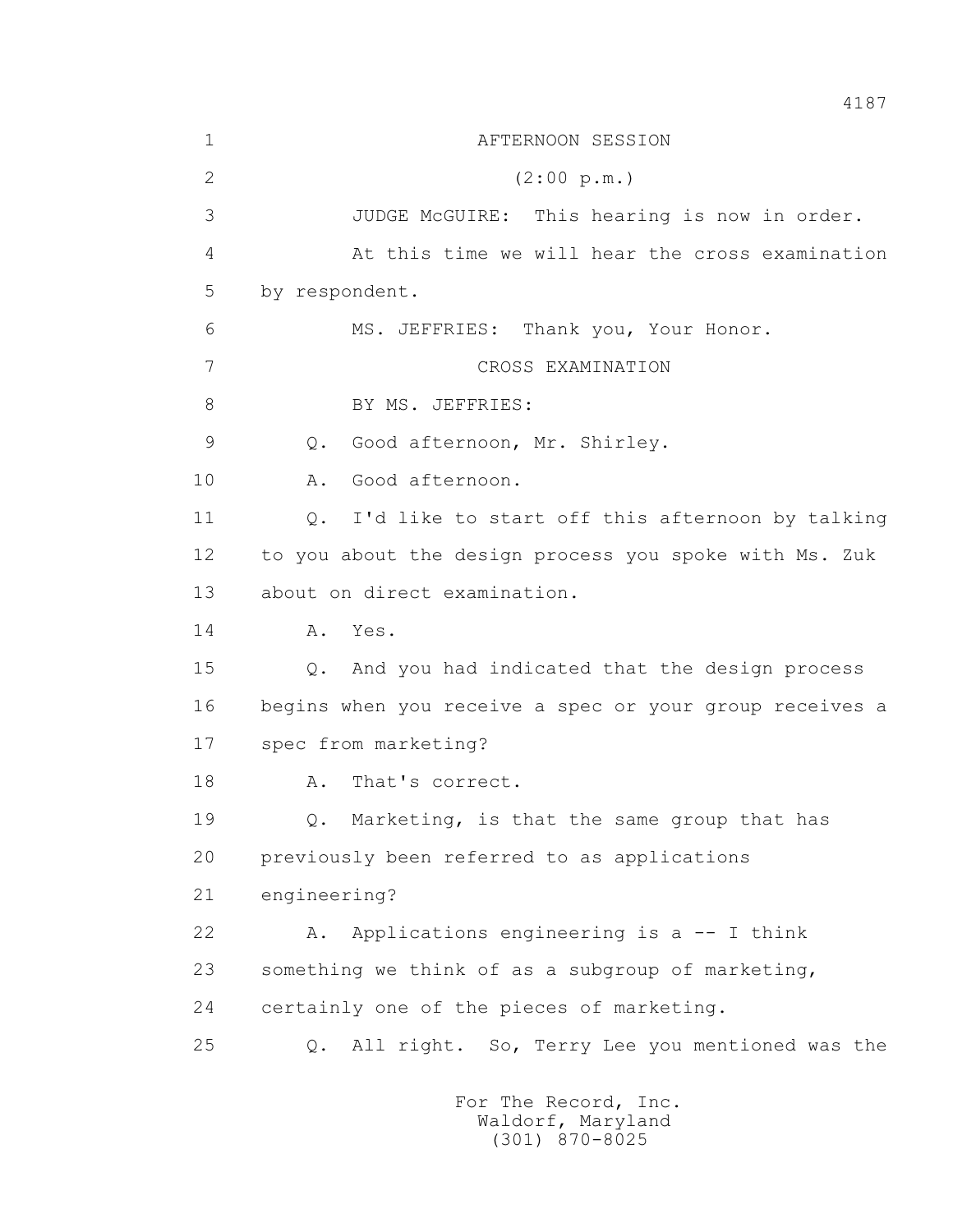| $\mathbf 1$     | AFTERNOON SESSION                                       |
|-----------------|---------------------------------------------------------|
| $\overline{2}$  | (2:00 p.m.)                                             |
| 3               | JUDGE McGUIRE: This hearing is now in order.            |
| 4               | At this time we will hear the cross examination         |
| 5               | by respondent.                                          |
| 6               | MS. JEFFRIES: Thank you, Your Honor.                    |
| $7\phantom{.0}$ | CROSS EXAMINATION                                       |
| 8               | BY MS. JEFFRIES:                                        |
| $\mathcal{G}$   | Good afternoon, Mr. Shirley.<br>$Q$ .                   |
| 10              | Good afternoon.<br>Α.                                   |
| 11              | Q. I'd like to start off this afternoon by talking      |
| 12              | to you about the design process you spoke with Ms. Zuk  |
| 13              | about on direct examination.                            |
| 14              | A.<br>Yes.                                              |
| 15              | And you had indicated that the design process<br>Q.     |
| 16              | begins when you receive a spec or your group receives a |
| 17              | spec from marketing?                                    |
| 18              | That's correct.<br>Α.                                   |
| 19              | Q. Marketing, is that the same group that has           |
| 20              | previously been referred to as applications             |
| 21              | engineering?                                            |
| 22              | Applications engineering is a -- I think<br>Α.          |
| 23              | something we think of as a subgroup of marketing,       |
| 24              | certainly one of the pieces of marketing.               |
| 25              | Q. All right. So, Terry Lee you mentioned was the       |
|                 |                                                         |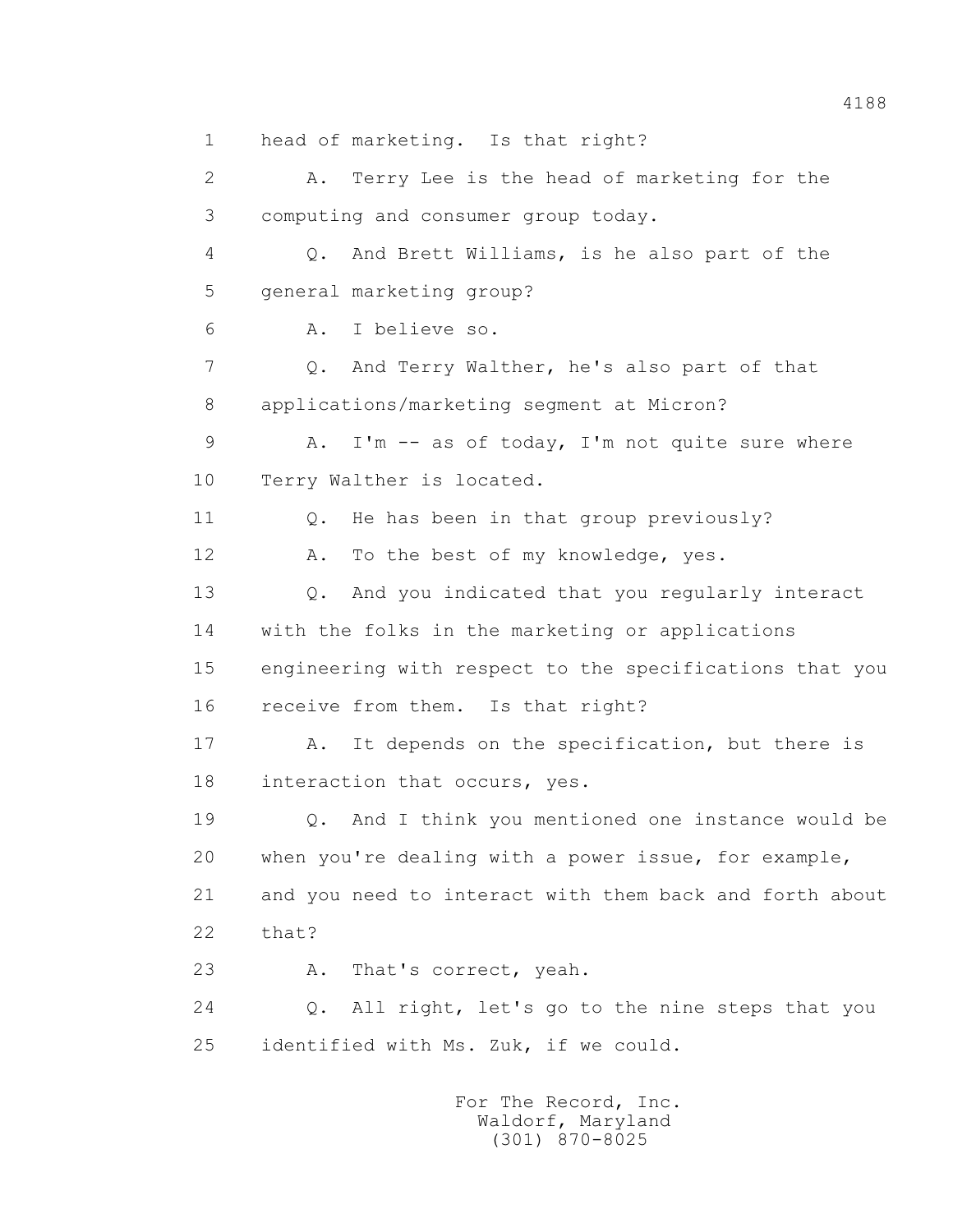1 head of marketing. Is that right? 2 A. Terry Lee is the head of marketing for the 3 computing and consumer group today. 4 Q. And Brett Williams, is he also part of the 5 general marketing group? 6 A. I believe so. 7 Q. And Terry Walther, he's also part of that 8 applications/marketing segment at Micron? 9 A. I'm -- as of today, I'm not quite sure where 10 Terry Walther is located. 11 0. He has been in that group previously? 12 A. To the best of my knowledge, yes. 13 Q. And you indicated that you regularly interact 14 with the folks in the marketing or applications 15 engineering with respect to the specifications that you 16 receive from them. Is that right? 17 A. It depends on the specification, but there is 18 interaction that occurs, yes. 19 Q. And I think you mentioned one instance would be 20 when you're dealing with a power issue, for example, 21 and you need to interact with them back and forth about 22 that? 23 A. That's correct, yeah. 24 Q. All right, let's go to the nine steps that you 25 identified with Ms. Zuk, if we could.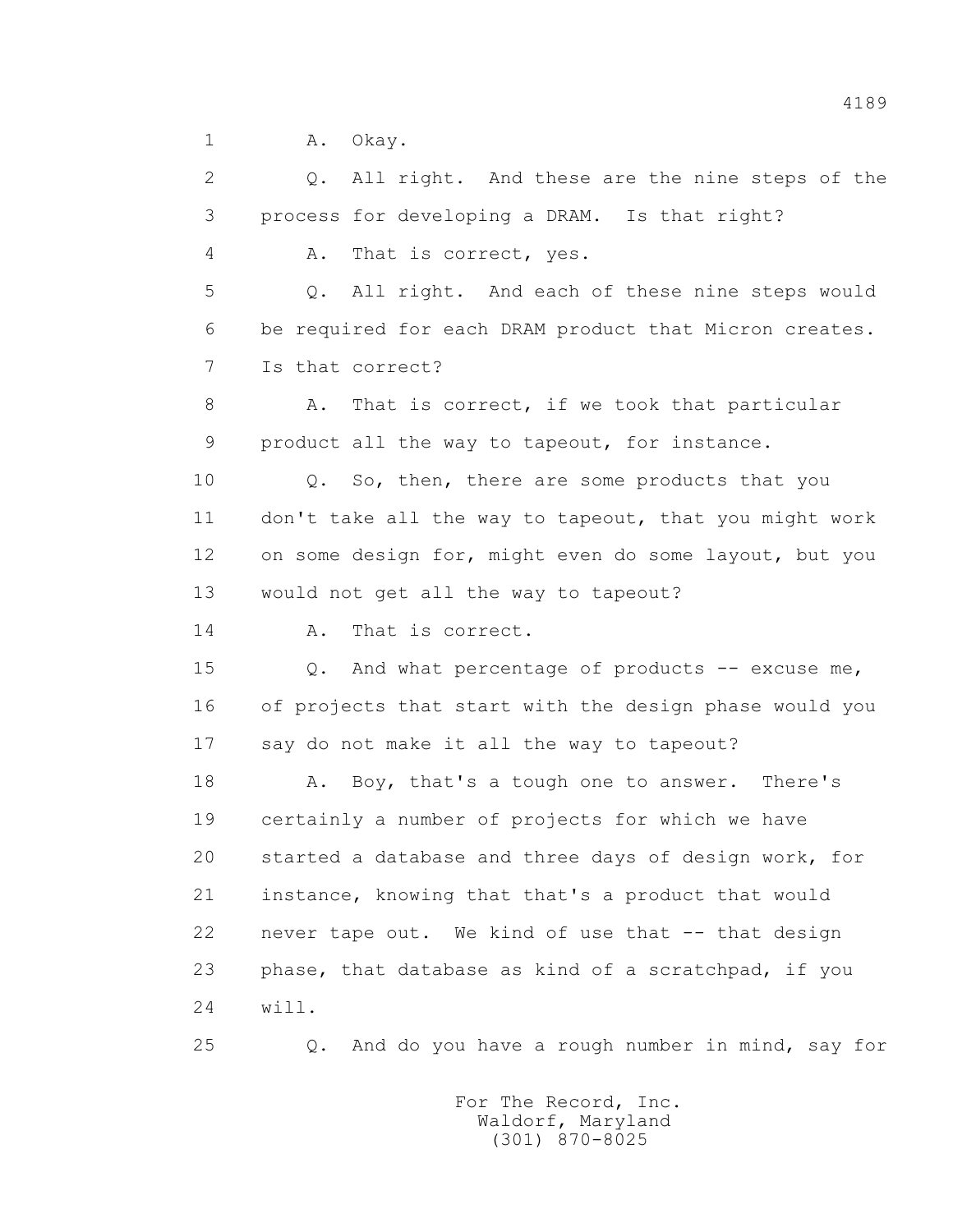1 A. Okay.

 2 Q. All right. And these are the nine steps of the 3 process for developing a DRAM. Is that right? 4 A. That is correct, yes. 5 Q. All right. And each of these nine steps would 6 be required for each DRAM product that Micron creates. 7 Is that correct? 8 A. That is correct, if we took that particular 9 product all the way to tapeout, for instance. 10 Q. So, then, there are some products that you 11 don't take all the way to tapeout, that you might work 12 on some design for, might even do some layout, but you 13 would not get all the way to tapeout? 14 A. That is correct. 15 0. And what percentage of products -- excuse me, 16 of projects that start with the design phase would you 17 say do not make it all the way to tapeout? 18 A. Boy, that's a tough one to answer. There's 19 certainly a number of projects for which we have 20 started a database and three days of design work, for 21 instance, knowing that that's a product that would 22 never tape out. We kind of use that -- that design 23 phase, that database as kind of a scratchpad, if you 24 will.

25 Q. And do you have a rough number in mind, say for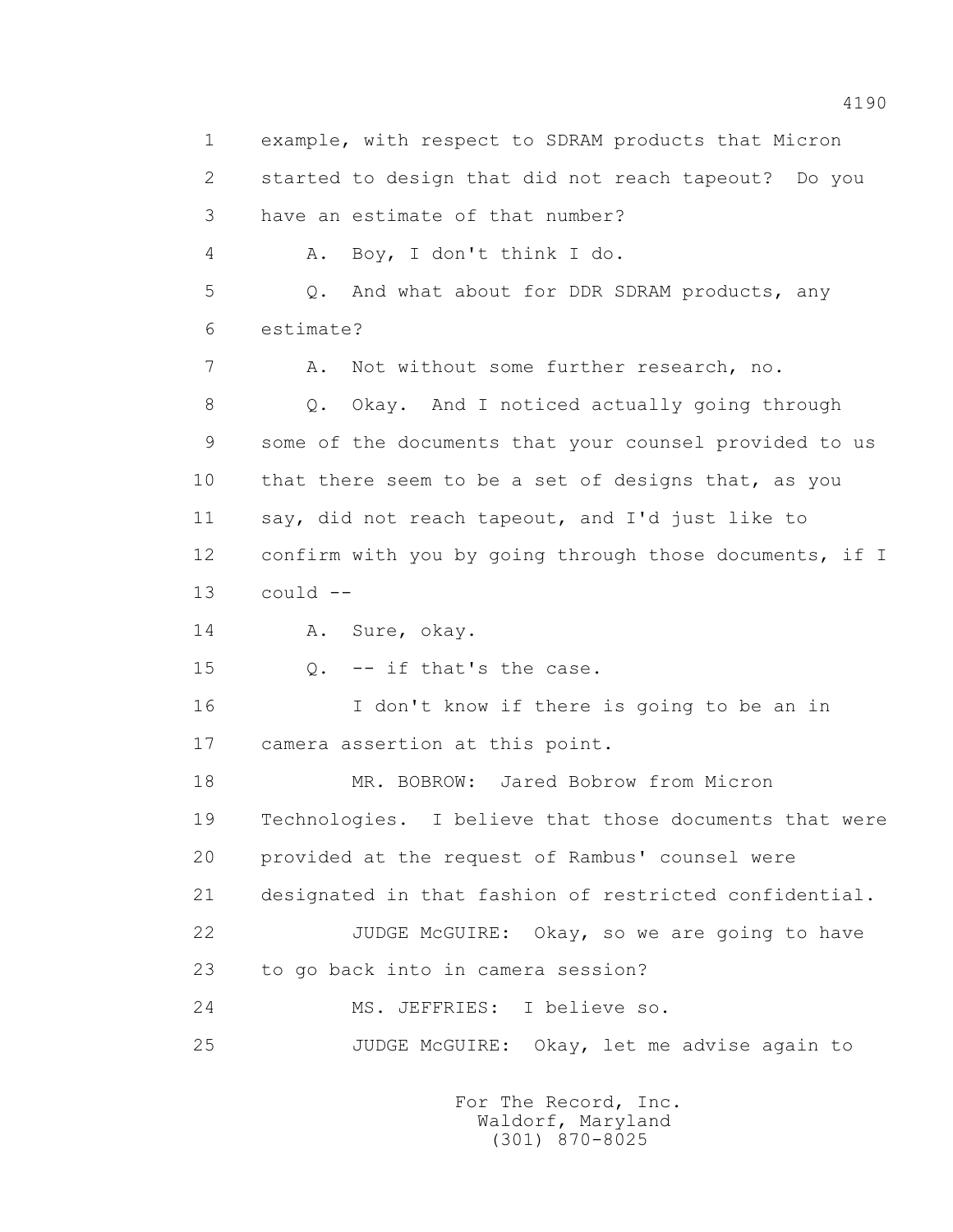1 example, with respect to SDRAM products that Micron 2 started to design that did not reach tapeout? Do you 3 have an estimate of that number? 4 A. Boy, I don't think I do. 5 Q. And what about for DDR SDRAM products, any 6 estimate? 7 A. Not without some further research, no. 8 Q. Okay. And I noticed actually going through 9 some of the documents that your counsel provided to us 10 that there seem to be a set of designs that, as you 11 say, did not reach tapeout, and I'd just like to 12 confirm with you by going through those documents, if I  $13$  could  $-$  14 A. Sure, okay. 15 Q. -- if that's the case. 16 I don't know if there is going to be an in 17 camera assertion at this point. 18 MR. BOBROW: Jared Bobrow from Micron 19 Technologies. I believe that those documents that were 20 provided at the request of Rambus' counsel were 21 designated in that fashion of restricted confidential. 22 JUDGE McGUIRE: Okay, so we are going to have 23 to go back into in camera session? 24 MS. JEFFRIES: I believe so. 25 JUDGE McGUIRE: Okay, let me advise again to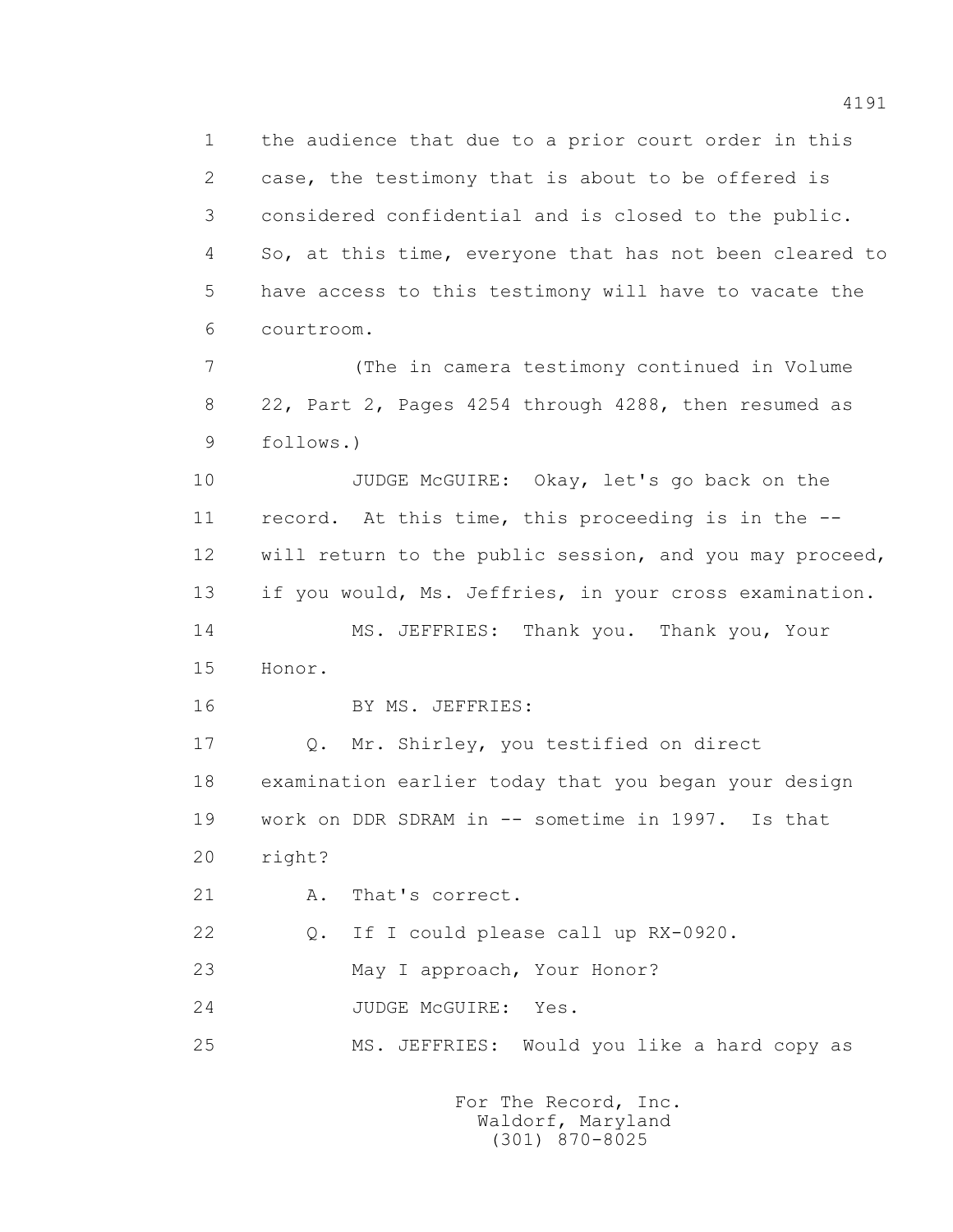1 the audience that due to a prior court order in this 2 case, the testimony that is about to be offered is 3 considered confidential and is closed to the public. 4 So, at this time, everyone that has not been cleared to 5 have access to this testimony will have to vacate the 6 courtroom. 7 (The in camera testimony continued in Volume 8 22, Part 2, Pages 4254 through 4288, then resumed as 9 follows.) 10 JUDGE McGUIRE: Okay, let's go back on the 11 record. At this time, this proceeding is in the -- 12 will return to the public session, and you may proceed, 13 if you would, Ms. Jeffries, in your cross examination. 14 MS. JEFFRIES: Thank you. Thank you, Your 15 Honor. 16 BY MS. JEFFRIES: 17 Q. Mr. Shirley, you testified on direct 18 examination earlier today that you began your design 19 work on DDR SDRAM in -- sometime in 1997. Is that 20 right? 21 A. That's correct. 22 Q. If I could please call up RX-0920. 23 May I approach, Your Honor? 24 JUDGE McGUIRE: Yes. 25 MS. JEFFRIES: Would you like a hard copy as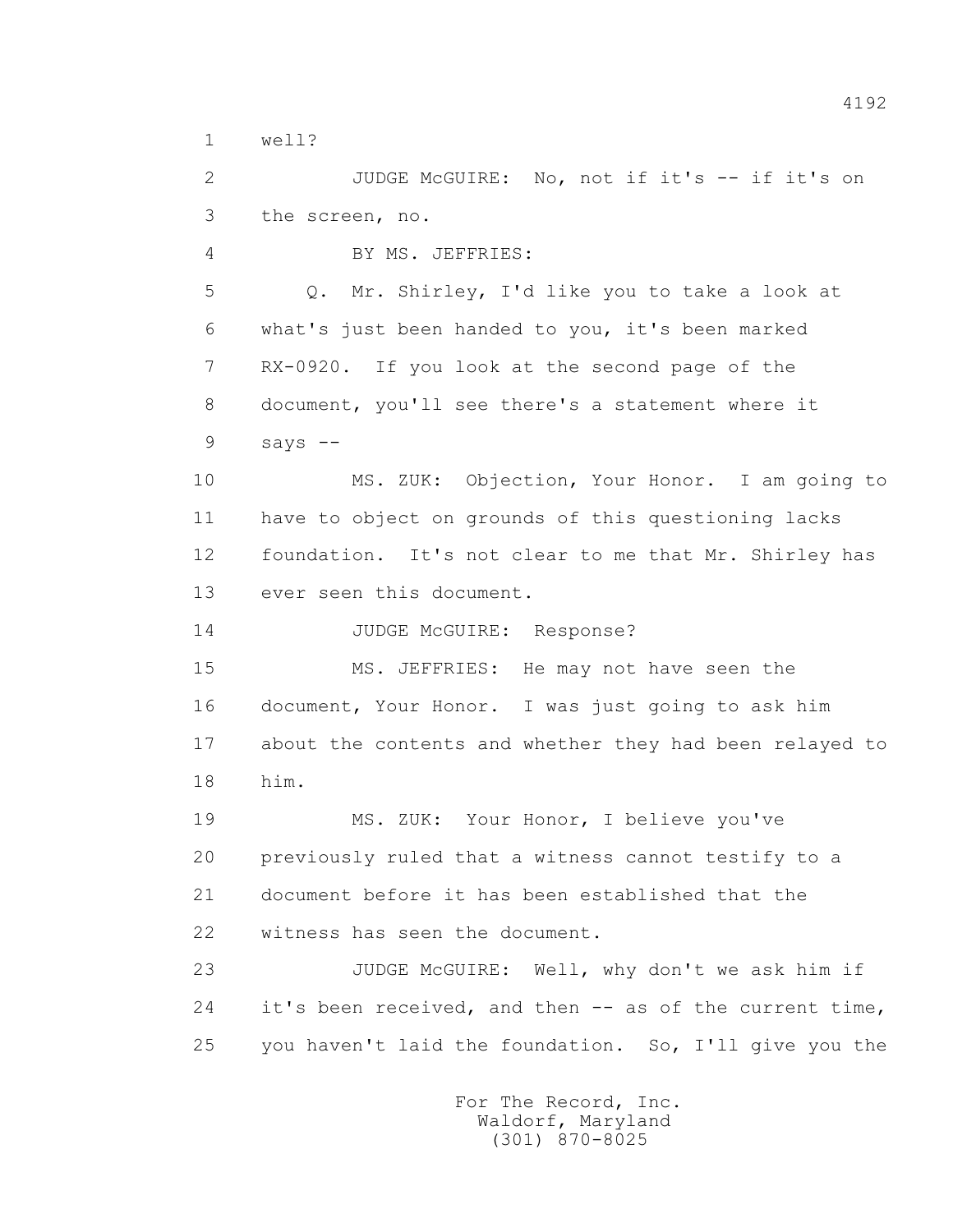1 well?

2 JUDGE McGUIRE: No, not if it's -- if it's on 3 the screen, no.

4 BY MS. JEFFRIES:

 5 Q. Mr. Shirley, I'd like you to take a look at 6 what's just been handed to you, it's been marked 7 RX-0920. If you look at the second page of the 8 document, you'll see there's a statement where it  $9$  says  $-$ 

 10 MS. ZUK: Objection, Your Honor. I am going to 11 have to object on grounds of this questioning lacks 12 foundation. It's not clear to me that Mr. Shirley has 13 ever seen this document.

14 JUDGE McGUIRE: Response?

 15 MS. JEFFRIES: He may not have seen the 16 document, Your Honor. I was just going to ask him 17 about the contents and whether they had been relayed to 18 him.

 19 MS. ZUK: Your Honor, I believe you've 20 previously ruled that a witness cannot testify to a 21 document before it has been established that the 22 witness has seen the document.

 23 JUDGE McGUIRE: Well, why don't we ask him if 24 it's been received, and then -- as of the current time, 25 you haven't laid the foundation. So, I'll give you the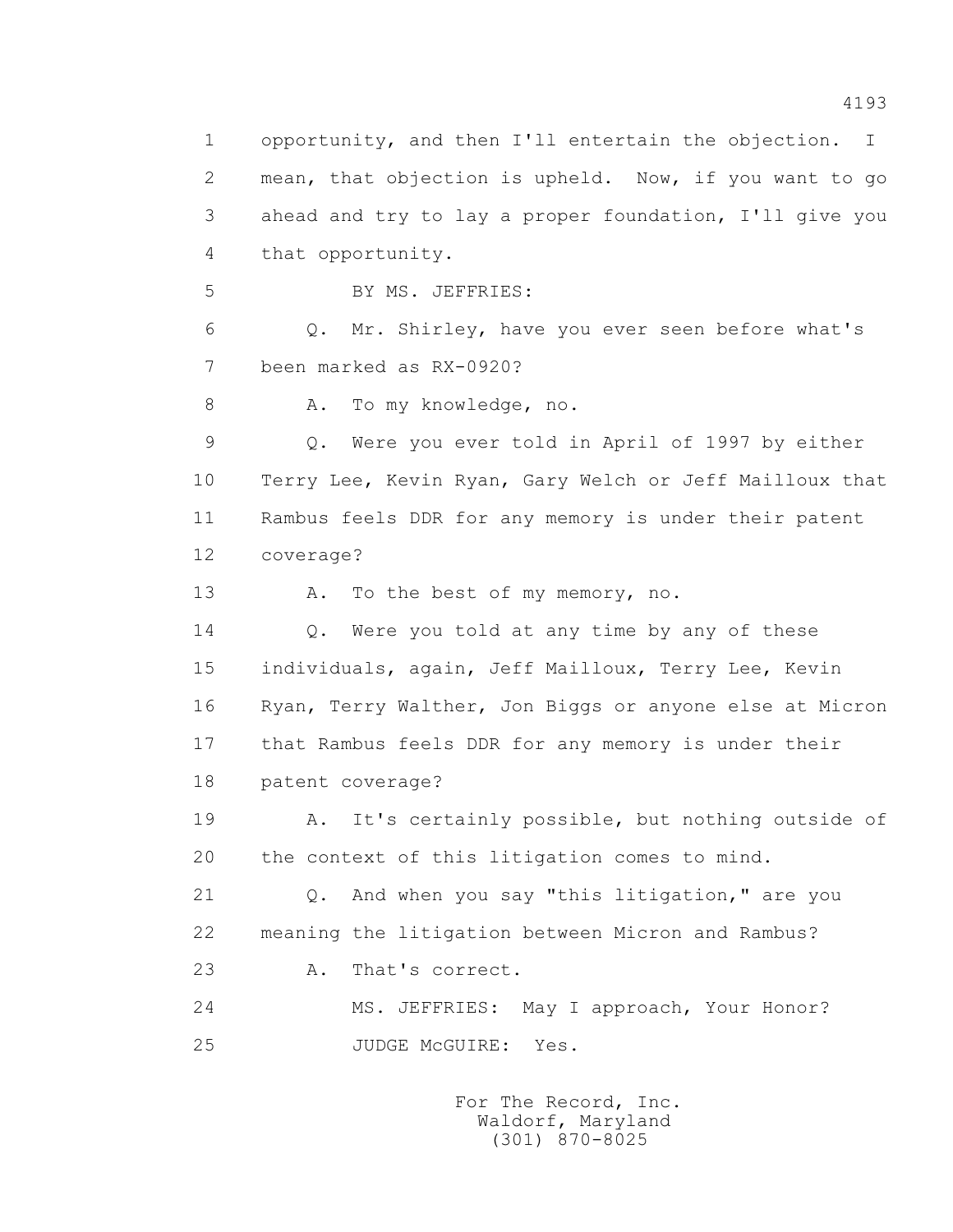1 opportunity, and then I'll entertain the objection. I 2 mean, that objection is upheld. Now, if you want to go 3 ahead and try to lay a proper foundation, I'll give you 4 that opportunity. 5 BY MS. JEFFRIES: 6 Q. Mr. Shirley, have you ever seen before what's 7 been marked as RX-0920? 8 A. To my knowledge, no. 9 Q. Were you ever told in April of 1997 by either 10 Terry Lee, Kevin Ryan, Gary Welch or Jeff Mailloux that 11 Rambus feels DDR for any memory is under their patent 12 coverage? 13 A. To the best of my memory, no. 14 Q. Were you told at any time by any of these 15 individuals, again, Jeff Mailloux, Terry Lee, Kevin 16 Ryan, Terry Walther, Jon Biggs or anyone else at Micron 17 that Rambus feels DDR for any memory is under their 18 patent coverage? 19 A. It's certainly possible, but nothing outside of 20 the context of this litigation comes to mind. 21 Q. And when you say "this litigation," are you 22 meaning the litigation between Micron and Rambus? 23 A. That's correct. 24 MS. JEFFRIES: May I approach, Your Honor? 25 JUDGE McGUIRE: Yes.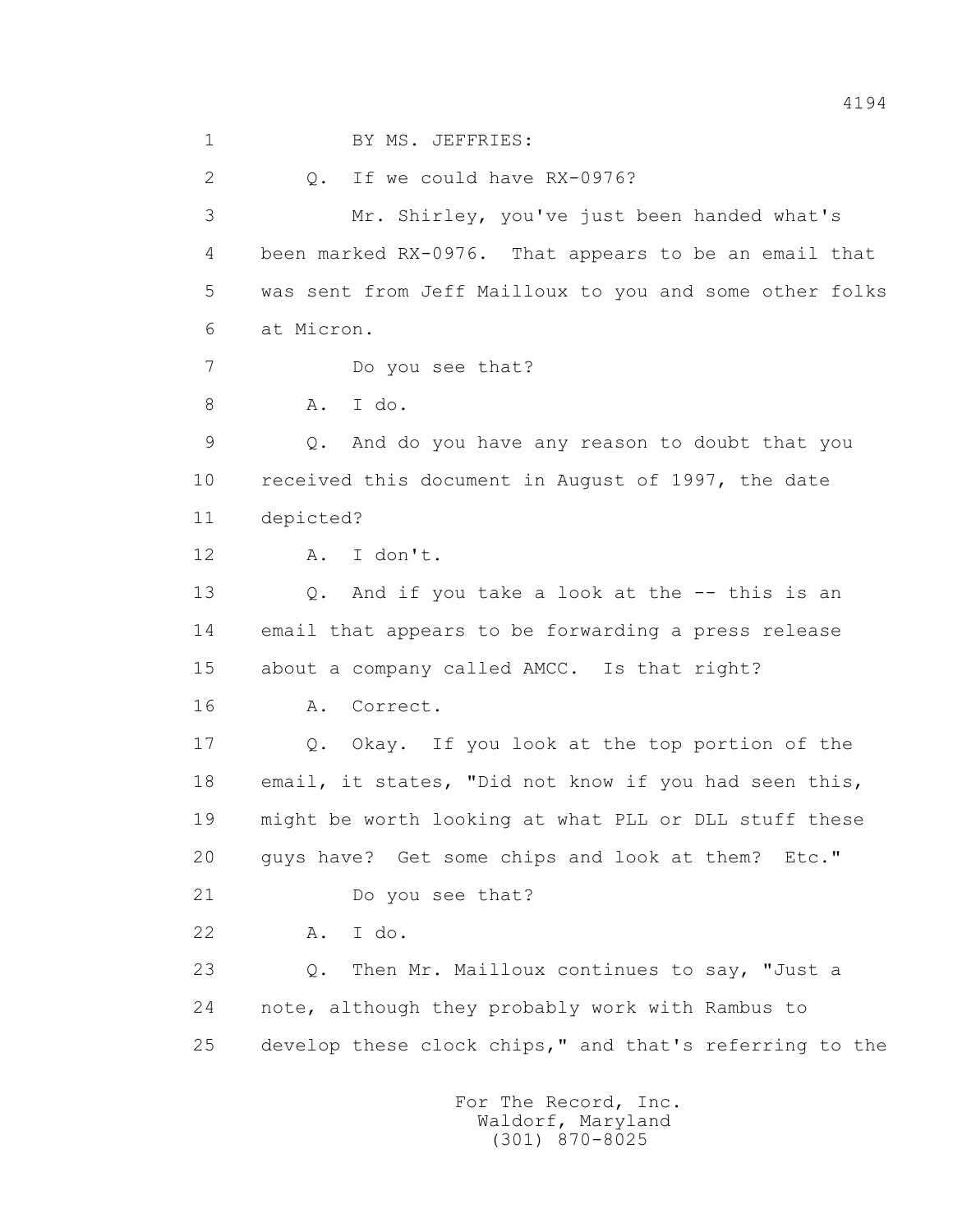1 BY MS. JEFFRIES: 2 Q. If we could have RX-0976? 3 Mr. Shirley, you've just been handed what's 4 been marked RX-0976. That appears to be an email that 5 was sent from Jeff Mailloux to you and some other folks 6 at Micron. 7 Do you see that? 8 A. I do. 9 Q. And do you have any reason to doubt that you 10 received this document in August of 1997, the date 11 depicted? 12 A. I don't. 13 Q. And if you take a look at the -- this is an 14 email that appears to be forwarding a press release 15 about a company called AMCC. Is that right? 16 A. Correct. 17 Q. Okay. If you look at the top portion of the 18 email, it states, "Did not know if you had seen this, 19 might be worth looking at what PLL or DLL stuff these 20 guys have? Get some chips and look at them? Etc." 21 Do you see that? 22 A. I do. 23 Q. Then Mr. Mailloux continues to say, "Just a 24 note, although they probably work with Rambus to 25 develop these clock chips," and that's referring to the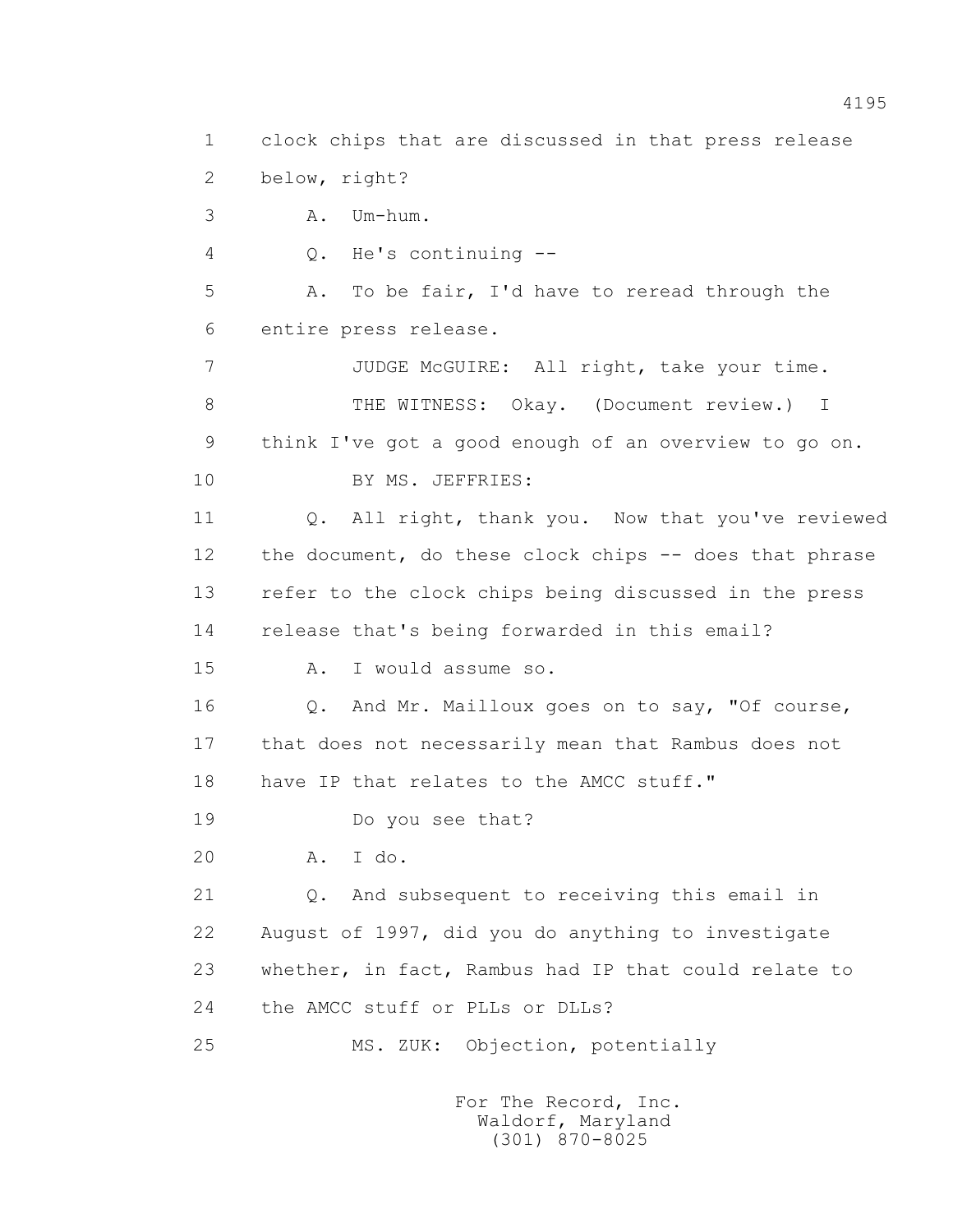1 clock chips that are discussed in that press release 2 below, right? 3 A. Um-hum. 4 Q. He's continuing -- 5 A. To be fair, I'd have to reread through the 6 entire press release. 7 JUDGE McGUIRE: All right, take your time. 8 THE WITNESS: Okay. (Document review.) I 9 think I've got a good enough of an overview to go on. 10 BY MS. JEFFRIES: 11 Q. All right, thank you. Now that you've reviewed 12 the document, do these clock chips -- does that phrase 13 refer to the clock chips being discussed in the press 14 release that's being forwarded in this email? 15 A. I would assume so. 16 Q. And Mr. Mailloux goes on to say, "Of course, 17 that does not necessarily mean that Rambus does not 18 have IP that relates to the AMCC stuff." 19 Do you see that? 20 A. I do. 21 Q. And subsequent to receiving this email in 22 August of 1997, did you do anything to investigate 23 whether, in fact, Rambus had IP that could relate to 24 the AMCC stuff or PLLs or DLLs? 25 MS. ZUK: Objection, potentially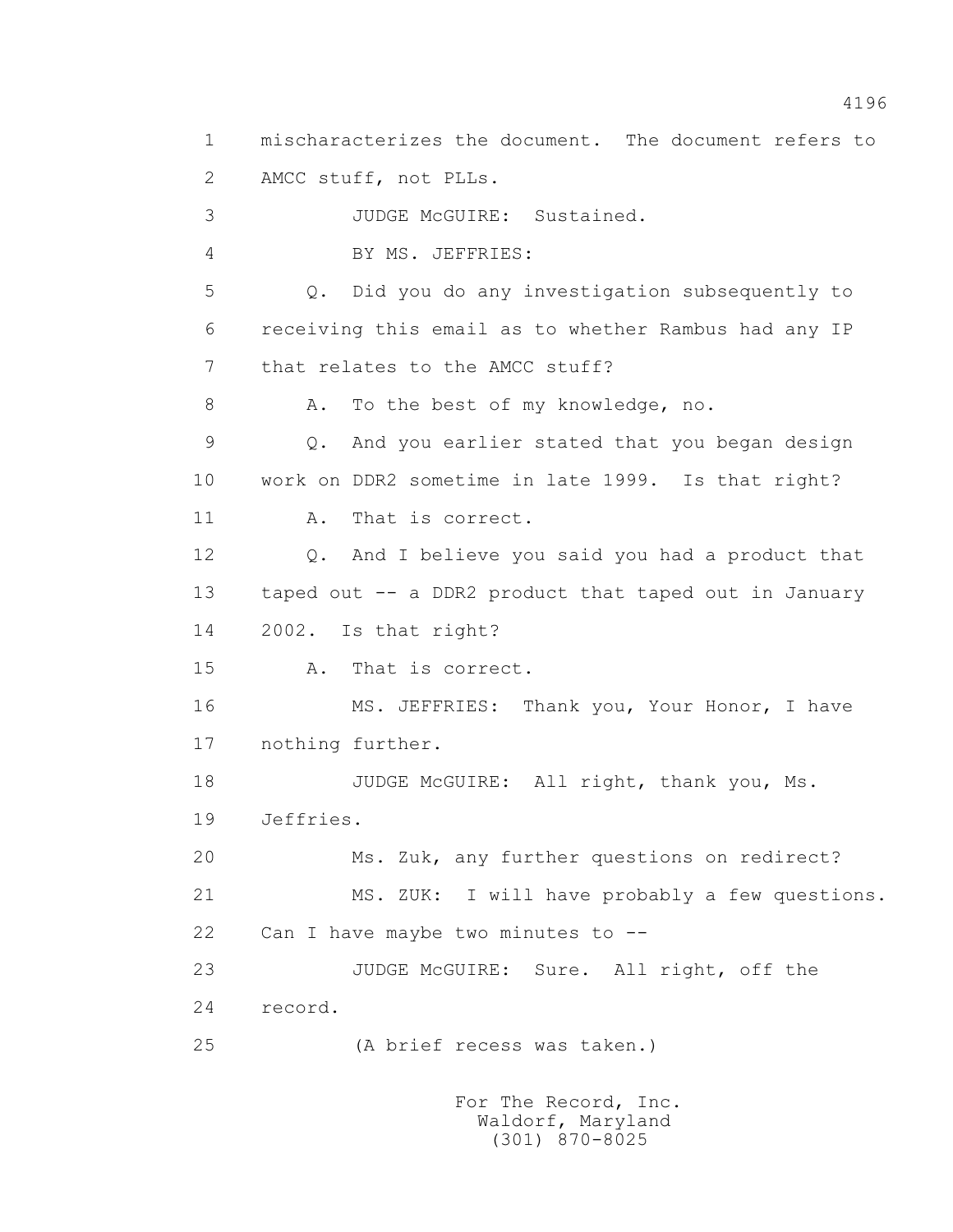1 mischaracterizes the document. The document refers to 2 AMCC stuff, not PLLs. 3 JUDGE McGUIRE: Sustained. 4 BY MS. JEFFRIES: 5 Q. Did you do any investigation subsequently to 6 receiving this email as to whether Rambus had any IP 7 that relates to the AMCC stuff? 8 A. To the best of my knowledge, no. 9 Q. And you earlier stated that you began design 10 work on DDR2 sometime in late 1999. Is that right? 11 A. That is correct. 12 Q. And I believe you said you had a product that 13 taped out -- a DDR2 product that taped out in January 14 2002. Is that right? 15 A. That is correct. 16 MS. JEFFRIES: Thank you, Your Honor, I have 17 nothing further. 18 JUDGE McGUIRE: All right, thank you, Ms. 19 Jeffries. 20 Ms. Zuk, any further questions on redirect? 21 MS. ZUK: I will have probably a few questions. 22 Can I have maybe two minutes to -- 23 JUDGE McGUIRE: Sure. All right, off the 24 record. 25 (A brief recess was taken.)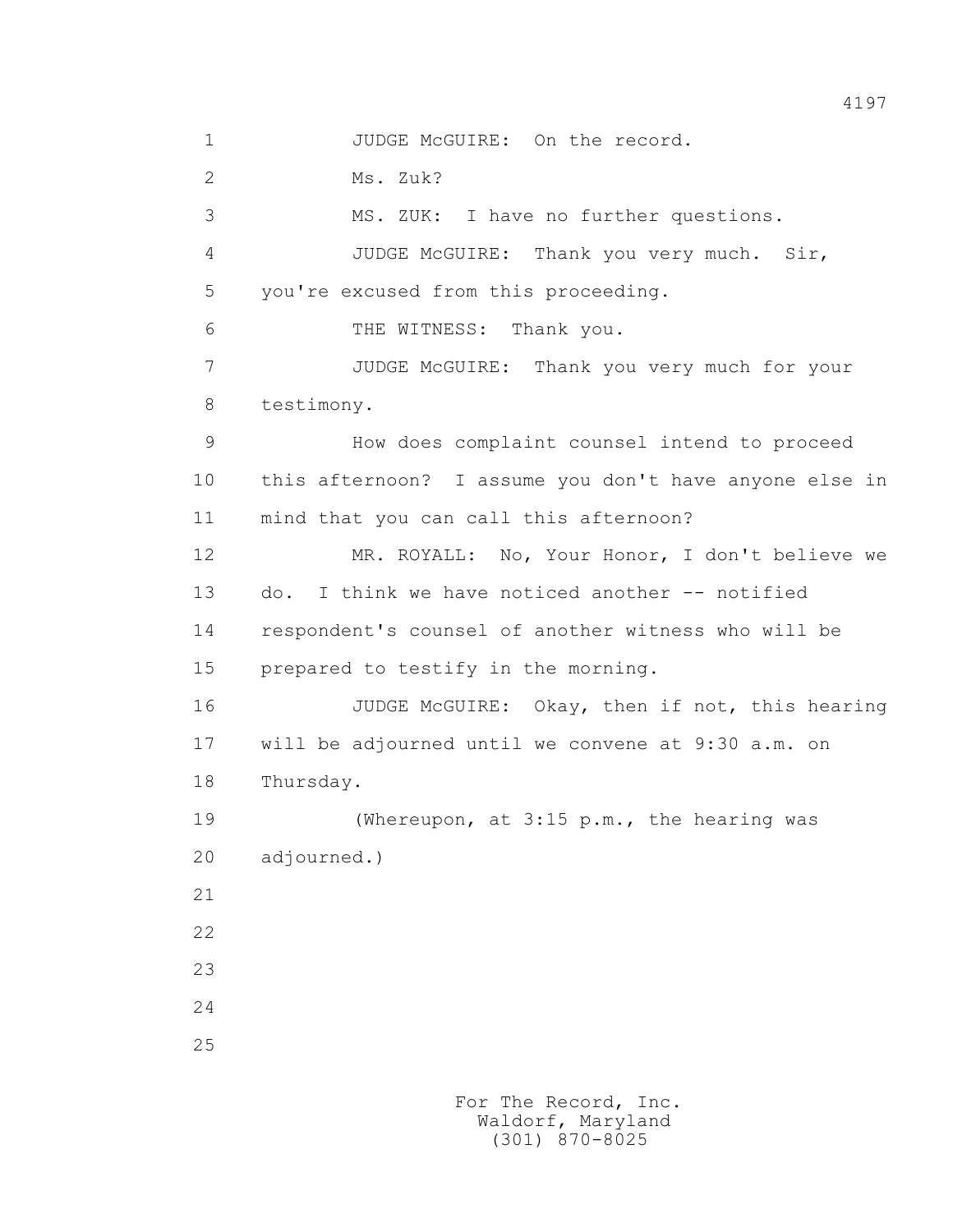1 JUDGE McGUIRE: On the record. 2 Ms. Zuk? 3 MS. ZUK: I have no further questions. 4 JUDGE McGUIRE: Thank you very much. Sir, 5 you're excused from this proceeding. 6 THE WITNESS: Thank you. 7 JUDGE McGUIRE: Thank you very much for your 8 testimony. 9 How does complaint counsel intend to proceed 10 this afternoon? I assume you don't have anyone else in 11 mind that you can call this afternoon? 12 MR. ROYALL: No, Your Honor, I don't believe we 13 do. I think we have noticed another -- notified 14 respondent's counsel of another witness who will be 15 prepared to testify in the morning. 16 JUDGE McGUIRE: Okay, then if not, this hearing 17 will be adjourned until we convene at 9:30 a.m. on 18 Thursday. 19 (Whereupon, at 3:15 p.m., the hearing was 20 adjourned.) 21 22 23 24 25